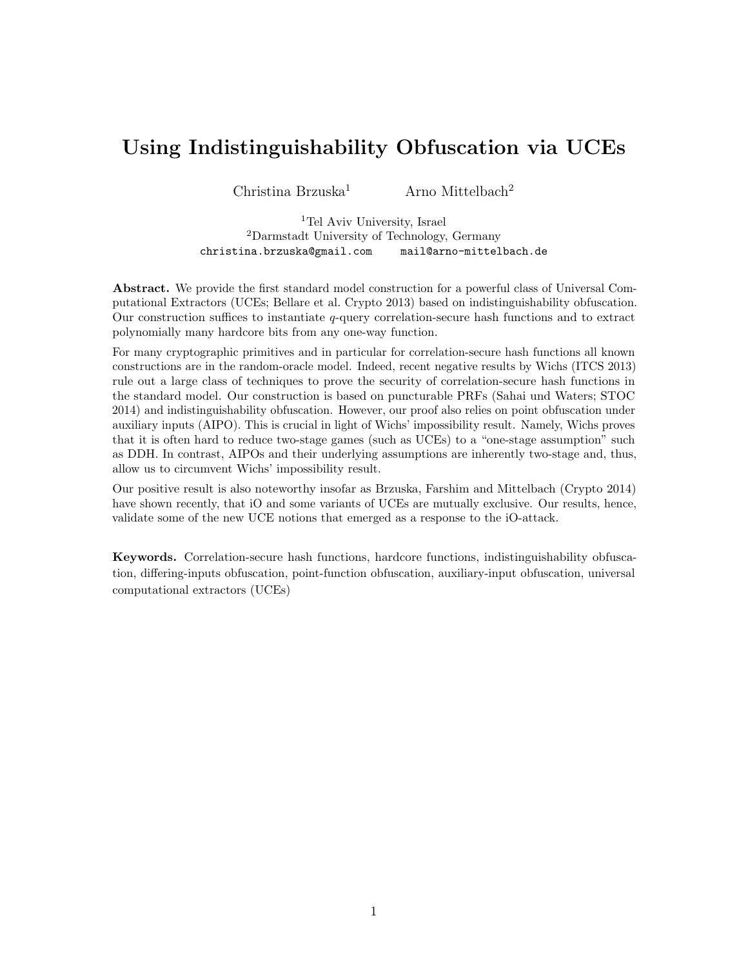## Using Indistinguishability Obfuscation via UCEs

Christina Brzuska<sup>1</sup> Arno Mittelbach<sup>2</sup>

<sup>1</sup>Tel Aviv University, Israel <sup>2</sup>Darmstadt University of Technology, Germany christina.brzuska@gmail.com mail@arno-mittelbach.de

Abstract. We provide the first standard model construction for a powerful class of Universal Computational Extractors (UCEs; Bellare et al. Crypto 2013) based on indistinguishability obfuscation. Our construction suffices to instantiate  $q$ -query correlation-secure hash functions and to extract polynomially many hardcore bits from any one-way function.

For many cryptographic primitives and in particular for correlation-secure hash functions all known constructions are in the random-oracle model. Indeed, recent negative results by Wichs (ITCS 2013) rule out a large class of techniques to prove the security of correlation-secure hash functions in the standard model. Our construction is based on puncturable PRFs (Sahai und Waters; STOC 2014) and indistinguishability obfuscation. However, our proof also relies on point obfuscation under auxiliary inputs (AIPO). This is crucial in light of Wichs' impossibility result. Namely, Wichs proves that it is often hard to reduce two-stage games (such as UCEs) to a "one-stage assumption" such as DDH. In contrast, AIPOs and their underlying assumptions are inherently two-stage and, thus, allow us to circumvent Wichs' impossibility result.

Our positive result is also noteworthy insofar as Brzuska, Farshim and Mittelbach (Crypto 2014) have shown recently, that iO and some variants of UCEs are mutually exclusive. Our results, hence, validate some of the new UCE notions that emerged as a response to the iO-attack.

Keywords. Correlation-secure hash functions, hardcore functions, indistinguishability obfuscation, differing-inputs obfuscation, point-function obfuscation, auxiliary-input obfuscation, universal computational extractors (UCEs)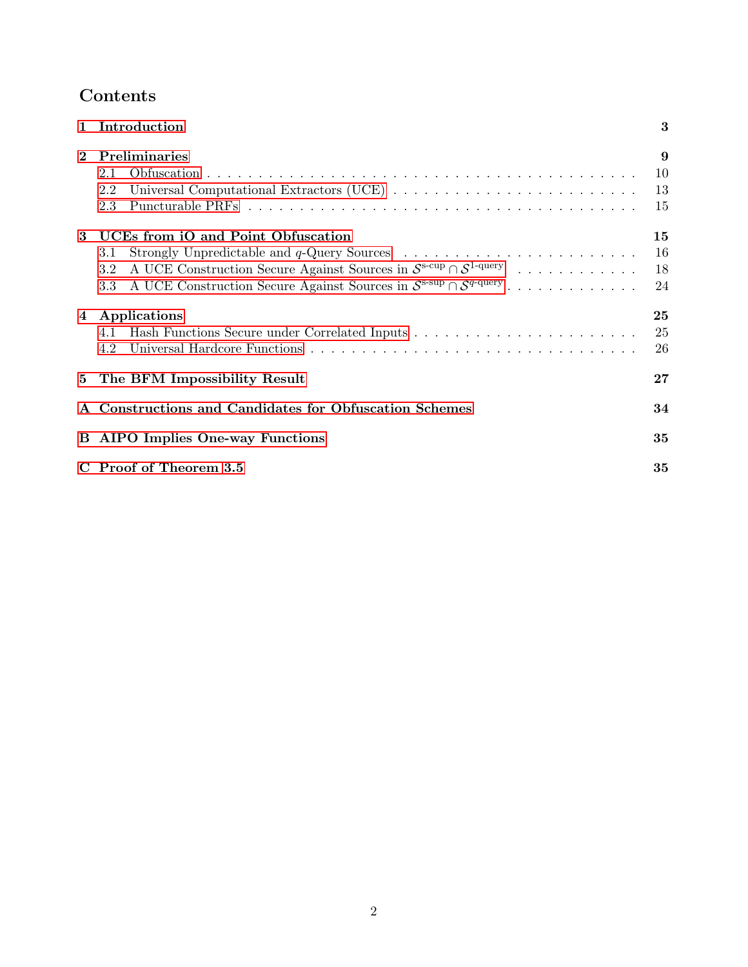# Contents

|          | Introduction                                                                                                                                                                                                      | 3                    |
|----------|-------------------------------------------------------------------------------------------------------------------------------------------------------------------------------------------------------------------|----------------------|
| $\bf{2}$ | <b>Preliminaries</b><br>2.1<br>2.2<br>2.3                                                                                                                                                                         | 9<br>10<br>13<br>15  |
| 3        | UCEs from iO and Point Obfuscation<br>3.1<br>A UCE Construction Secure Against Sources in $S^{s-cup} \cap S^{1-query}$<br>3.2<br>A UCE Construction Secure Against Sources in $S^{s-sup} \cap S^{q-query}$<br>3.3 | 15<br>16<br>18<br>24 |
| 4        | Applications<br>4.1<br>4.2                                                                                                                                                                                        | 25<br>25<br>26       |
| 5        | The BFM Impossibility Result                                                                                                                                                                                      | 27                   |
|          | A Constructions and Candidates for Obfuscation Schemes                                                                                                                                                            | 34                   |
|          | <b>B</b> AIPO Implies One-way Functions                                                                                                                                                                           | 35                   |
|          | C Proof of Theorem 3.5                                                                                                                                                                                            | 35                   |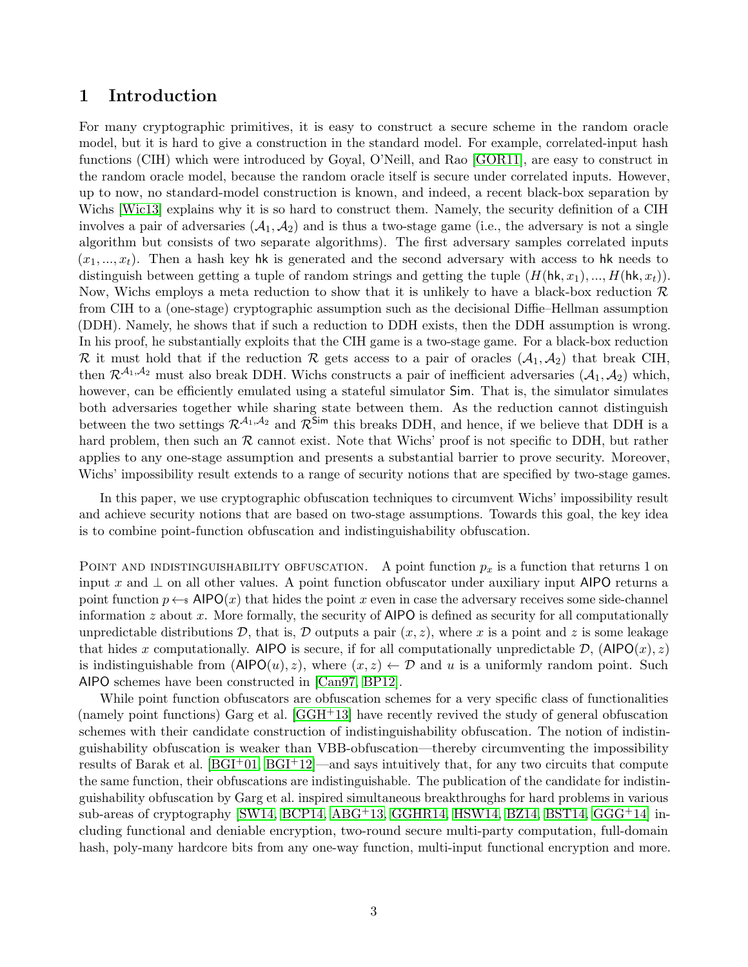### <span id="page-2-1"></span><span id="page-2-0"></span>1 Introduction

For many cryptographic primitives, it is easy to construct a secure scheme in the random oracle model, but it is hard to give a construction in the standard model. For example, correlated-input hash functions (CIH) which were introduced by Goyal, O'Neill, and Rao [\[GOR11\]](#page-31-0), are easy to construct in the random oracle model, because the random oracle itself is secure under correlated inputs. However, up to now, no standard-model construction is known, and indeed, a recent black-box separation by Wichs [\[Wic13\]](#page-32-0) explains why it is so hard to construct them. Namely, the security definition of a CIH involves a pair of adversaries  $(A_1, A_2)$  and is thus a two-stage game (i.e., the adversary is not a single algorithm but consists of two separate algorithms). The first adversary samples correlated inputs  $(x_1, ..., x_t)$ . Then a hash key hk is generated and the second adversary with access to hk needs to distinguish between getting a tuple of random strings and getting the tuple  $(H(hk, x_1), ..., H(hk, x_t))$ . Now, Wichs employs a meta reduction to show that it is unlikely to have a black-box reduction  $\mathcal R$ from CIH to a (one-stage) cryptographic assumption such as the decisional Diffie–Hellman assumption (DDH). Namely, he shows that if such a reduction to DDH exists, then the DDH assumption is wrong. In his proof, he substantially exploits that the CIH game is a two-stage game. For a black-box reduction R it must hold that if the reduction R gets access to a pair of oracles  $(A_1, A_2)$  that break CIH, then  $\mathcal{R}^{A_1,A_2}$  must also break DDH. Wichs constructs a pair of inefficient adversaries  $(A_1, A_2)$  which, however, can be efficiently emulated using a stateful simulator Sim. That is, the simulator simulates both adversaries together while sharing state between them. As the reduction cannot distinguish between the two settings  $\mathcal{R}^{\mathcal{A}_1,\mathcal{A}_2}$  and  $\mathcal{R}^{\mathsf{Sim}}$  this breaks DDH, and hence, if we believe that DDH is a hard problem, then such an  $R$  cannot exist. Note that Wichs' proof is not specific to DDH, but rather applies to any one-stage assumption and presents a substantial barrier to prove security. Moreover, Wichs' impossibility result extends to a range of security notions that are specified by two-stage games.

In this paper, we use cryptographic obfuscation techniques to circumvent Wichs' impossibility result and achieve security notions that are based on two-stage assumptions. Towards this goal, the key idea is to combine point-function obfuscation and indistinguishability obfuscation.

POINT AND INDISTINGUISHABILITY OBFUSCATION. A point function  $p_x$  is a function that returns 1 on input x and  $\perp$  on all other values. A point function obfuscator under auxiliary input AIPO returns a point function  $p \leftarrow s \text{AIPO}(x)$  that hides the point x even in case the adversary receives some side-channel information z about x. More formally, the security of  $AIPO$  is defined as security for all computationally unpredictable distributions D, that is, D outputs a pair  $(x, z)$ , where x is a point and z is some leakage that hides x computationally. AIPO is secure, if for all computationally unpredictable  $\mathcal{D}$ , (AIPO(x), z) is indistinguishable from  $(AIPO(u), z)$ , where  $(x, z) \leftarrow \mathcal{D}$  and u is a uniformly random point. Such AIPO schemes have been constructed in [\[Can97,](#page-30-0) [BP12\]](#page-29-0).

While point function obfuscators are obfuscation schemes for a very specific class of functionalities (namely point functions) Garg et al. [\[GGH](#page-30-1)+13] have recently revived the study of general obfuscation schemes with their candidate construction of indistinguishability obfuscation. The notion of indistinguishability obfuscation is weaker than VBB-obfuscation—thereby circumventing the impossibility results of Barak et al.  $[BGI^+01, BGI^+12]$  $[BGI^+01, BGI^+12]$  $[BGI^+01, BGI^+12]$  $[BGI^+01, BGI^+12]$ —and says intuitively that, for any two circuits that compute the same function, their obfuscations are indistinguishable. The publication of the candidate for indistinguishability obfuscation by Garg et al. inspired simultaneous breakthroughs for hard problems in various sub-areas of cryptography [\[SW14,](#page-32-1) [BCP14,](#page-28-2) [ABG](#page-27-0)<sup>+</sup>13, [GGHR14,](#page-30-2) [HSW14,](#page-31-1) [BZ14,](#page-30-3) [BST14,](#page-29-1) [GGG](#page-30-4)<sup>+</sup>14] including functional and deniable encryption, two-round secure multi-party computation, full-domain hash, poly-many hardcore bits from any one-way function, multi-input functional encryption and more.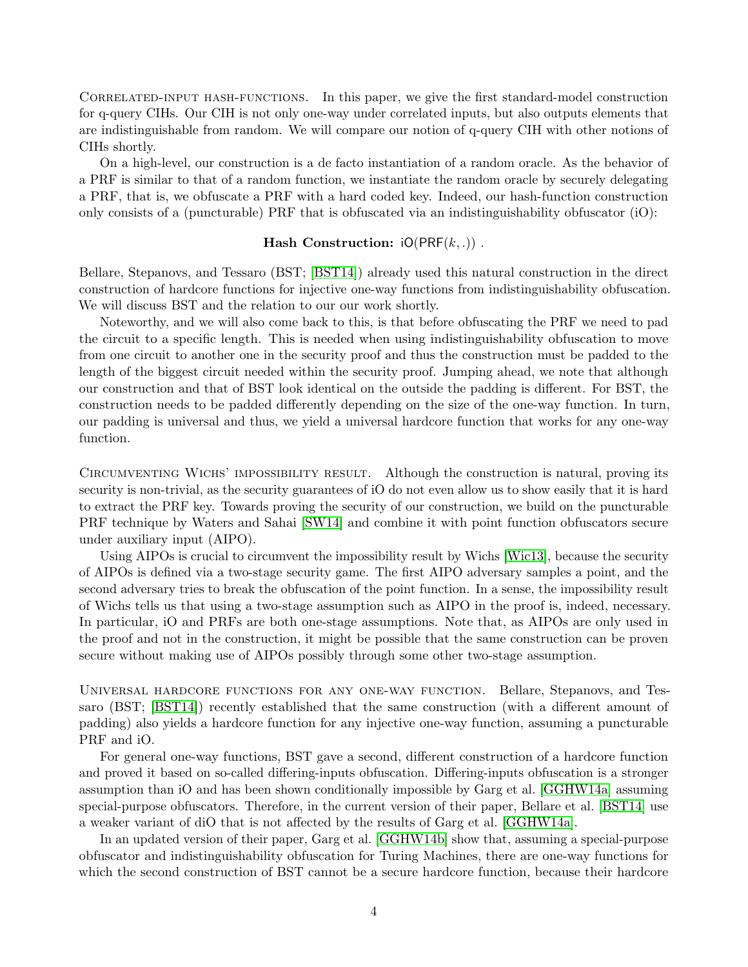<span id="page-3-0"></span>CORRELATED-INPUT HASH-FUNCTIONS. In this paper, we give the first standard-model construction for q-query CIHs. Our CIH is not only one-way under correlated inputs, but also outputs elements that are indistinguishable from random. We will compare our notion of q-query CIH with other notions of CIHs shortly.

On a high-level, our construction is a de facto instantiation of a random oracle. As the behavior of a PRF is similar to that of a random function, we instantiate the random oracle by securely delegating a PRF, that is, we obfuscate a PRF with a hard coded key. Indeed, our hash-function construction only consists of a (puncturable) PRF that is obfuscated via an indistinguishability obfuscator (iO):

#### Hash Construction:  $iO(PRF(k, .))$ .

Bellare, Stepanovs, and Tessaro (BST; [\[BST14\]](#page-29-1)) already used this natural construction in the direct construction of hardcore functions for injective one-way functions from indistinguishability obfuscation. We will discuss BST and the relation to our our work shortly.

Noteworthy, and we will also come back to this, is that before obfuscating the PRF we need to pad the circuit to a specific length. This is needed when using indistinguishability obfuscation to move from one circuit to another one in the security proof and thus the construction must be padded to the length of the biggest circuit needed within the security proof. Jumping ahead, we note that although our construction and that of BST look identical on the outside the padding is different. For BST, the construction needs to be padded differently depending on the size of the one-way function. In turn, our padding is universal and thus, we yield a universal hardcore function that works for any one-way function.

Circumventing Wichs' impossibility result. Although the construction is natural, proving its security is non-trivial, as the security guarantees of iO do not even allow us to show easily that it is hard to extract the PRF key. Towards proving the security of our construction, we build on the puncturable PRF technique by Waters and Sahai [\[SW14\]](#page-32-1) and combine it with point function obfuscators secure under auxiliary input (AIPO).

Using AIPOs is crucial to circumvent the impossibility result by Wichs [\[Wic13\]](#page-32-0), because the security of AIPOs is defined via a two-stage security game. The first AIPO adversary samples a point, and the second adversary tries to break the obfuscation of the point function. In a sense, the impossibility result of Wichs tells us that using a two-stage assumption such as AIPO in the proof is, indeed, necessary. In particular, iO and PRFs are both one-stage assumptions. Note that, as AIPOs are only used in the proof and not in the construction, it might be possible that the same construction can be proven secure without making use of AIPOs possibly through some other two-stage assumption.

Universal hardcore functions for any one-way function. Bellare, Stepanovs, and Tessaro (BST; [\[BST14\]](#page-29-1)) recently established that the same construction (with a different amount of padding) also yields a hardcore function for any injective one-way function, assuming a puncturable PRF and iO.

For general one-way functions, BST gave a second, different construction of a hardcore function and proved it based on so-called differing-inputs obfuscation. Differing-inputs obfuscation is a stronger assumption than iO and has been shown conditionally impossible by Garg et al. [\[GGHW14a\]](#page-31-2) assuming special-purpose obfuscators. Therefore, in the current version of their paper, Bellare et al. [\[BST14\]](#page-29-1) use a weaker variant of diO that is not affected by the results of Garg et al. [\[GGHW14a\]](#page-31-2).

In an updated version of their paper, Garg et al. [\[GGHW14b\]](#page-31-3) show that, assuming a special-purpose obfuscator and indistinguishability obfuscation for Turing Machines, there are one-way functions for which the second construction of BST cannot be a secure hardcore function, because their hardcore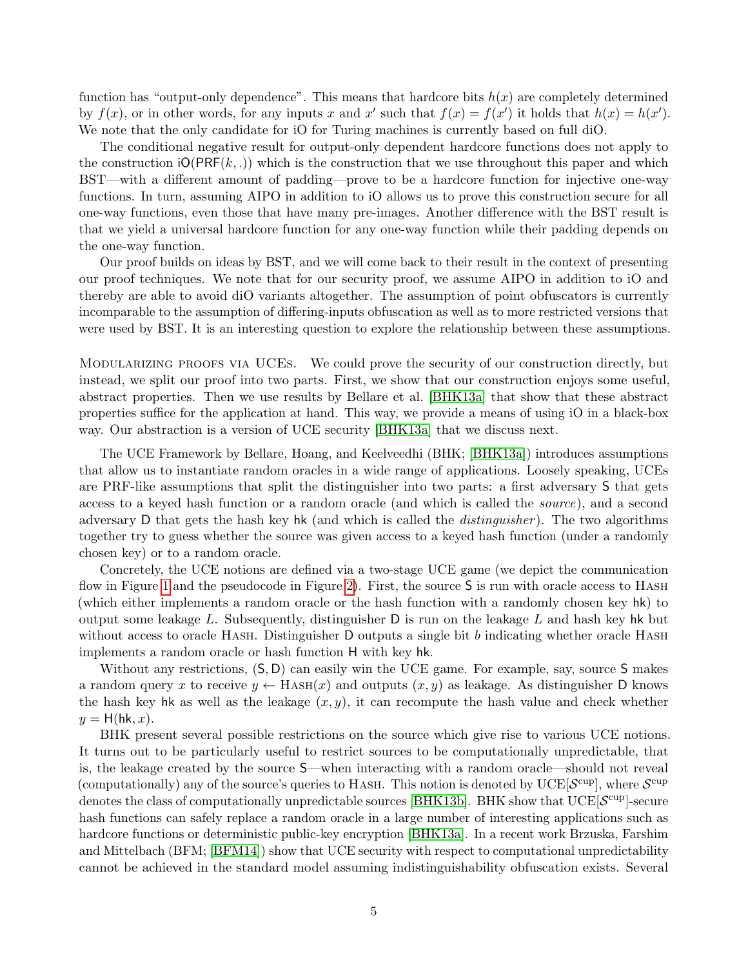<span id="page-4-0"></span>function has "output-only dependence". This means that hardcore bits  $h(x)$  are completely determined by  $f(x)$ , or in other words, for any inputs x and x' such that  $f(x) = f(x')$  it holds that  $h(x) = h(x')$ . We note that the only candidate for iO for Turing machines is currently based on full diO.

The conditional negative result for output-only dependent hardcore functions does not apply to the construction  $\mathsf{IO}(\mathsf{PRF}(k,.))$  which is the construction that we use throughout this paper and which BST—with a different amount of padding—prove to be a hardcore function for injective one-way functions. In turn, assuming AIPO in addition to iO allows us to prove this construction secure for all one-way functions, even those that have many pre-images. Another difference with the BST result is that we yield a universal hardcore function for any one-way function while their padding depends on the one-way function.

Our proof builds on ideas by BST, and we will come back to their result in the context of presenting our proof techniques. We note that for our security proof, we assume AIPO in addition to iO and thereby are able to avoid diO variants altogether. The assumption of point obfuscators is currently incomparable to the assumption of differing-inputs obfuscation as well as to more restricted versions that were used by BST. It is an interesting question to explore the relationship between these assumptions.

Modularizing proofs via UCEs. We could prove the security of our construction directly, but instead, we split our proof into two parts. First, we show that our construction enjoys some useful, abstract properties. Then we use results by Bellare et al. [\[BHK13a\]](#page-29-2) that show that these abstract properties suffice for the application at hand. This way, we provide a means of using iO in a black-box way. Our abstraction is a version of UCE security [\[BHK13a\]](#page-29-2) that we discuss next.

The UCE Framework by Bellare, Hoang, and Keelveedhi (BHK; [\[BHK13a\]](#page-29-2)) introduces assumptions that allow us to instantiate random oracles in a wide range of applications. Loosely speaking, UCEs are PRF-like assumptions that split the distinguisher into two parts: a first adversary S that gets access to a keyed hash function or a random oracle (and which is called the *source*), and a second adversary D that gets the hash key hk (and which is called the *distinguisher*). The two algorithms together try to guess whether the source was given access to a keyed hash function (under a randomly chosen key) or to a random oracle.

Concretely, the UCE notions are defined via a two-stage UCE game (we depict the communication flow in Figure [1](#page-13-0) and the pseudocode in Figure [2\)](#page-13-0). First, the source S is run with oracle access to HASH (which either implements a random oracle or the hash function with a randomly chosen key hk) to output some leakage L. Subsequently, distinguisher  $D$  is run on the leakage L and hash key hk but without access to oracle HASH. Distinguisher  $D$  outputs a single bit b indicating whether oracle HASH implements a random oracle or hash function H with key hk.

Without any restrictions,  $(S, D)$  can easily win the UCE game. For example, say, source S makes a random query x to receive  $y \leftarrow$  HASH(x) and outputs  $(x, y)$  as leakage. As distinguisher D knows the hash key hk as well as the leakage  $(x, y)$ , it can recompute the hash value and check whether  $y = H(hk, x)$ .

BHK present several possible restrictions on the source which give rise to various UCE notions. It turns out to be particularly useful to restrict sources to be computationally unpredictable, that is, the leakage created by the source S—when interacting with a random oracle—should not reveal (computationally) any of the source's queries to HASH. This notion is denoted by UCE  $[\mathcal{S}^{\text{cup}}]$ , where  $\mathcal{S}^{\text{cup}}$ denotes the class of computationally unpredictable sources [\[BHK13b\]](#page-29-3). BHK show that  $\text{UCE}[\mathcal{S}^{\text{cup}}]$ -secure hash functions can safely replace a random oracle in a large number of interesting applications such as hardcore functions or deterministic public-key encryption [\[BHK13a\]](#page-29-2). In a recent work Brzuska, Farshim and Mittelbach (BFM; [\[BFM14\]](#page-28-3)) show that UCE security with respect to computational unpredictability cannot be achieved in the standard model assuming indistinguishability obfuscation exists. Several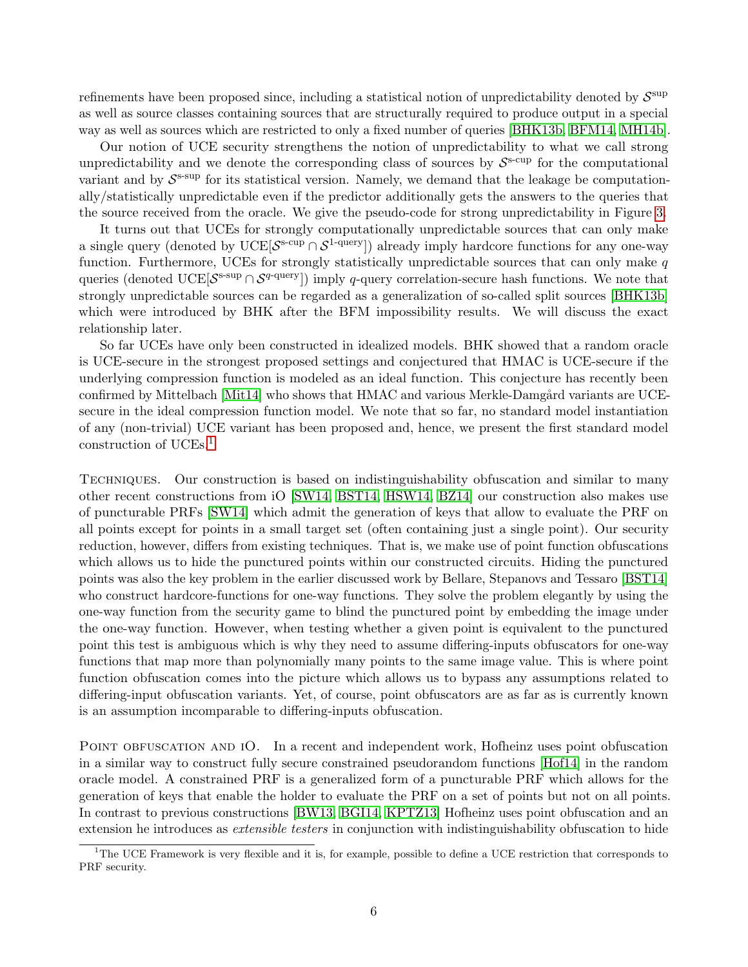<span id="page-5-1"></span>refinements have been proposed since, including a statistical notion of unpredictability denoted by  $\mathcal{S}^{\text{sup}}$ as well as source classes containing sources that are structurally required to produce output in a special way as well as sources which are restricted to only a fixed number of queries [\[BHK13b,](#page-29-3) [BFM14,](#page-28-3) [MH14b\]](#page-32-2).

Our notion of UCE security strengthens the notion of unpredictability to what we call strong unpredictability and we denote the corresponding class of sources by  $S<sup>s-cup</sup>$  for the computational variant and by  $S<sup>s-sup</sup>$  for its statistical version. Namely, we demand that the leakage be computationally/statistically unpredictable even if the predictor additionally gets the answers to the queries that the source received from the oracle. We give the pseudo-code for strong unpredictability in Figure [3.](#page-15-1)

It turns out that UCEs for strongly computationally unpredictable sources that can only make a single query (denoted by UCE $[\mathcal{S}^{\text{5-cup}} \cap \mathcal{S}^{\text{1-qvery}}]$ ) already imply hardcore functions for any one-way function. Furthermore, UCEs for strongly statistically unpredictable sources that can only make  $q$ queries (denoted UCE $[\mathcal{S}^{\text{s-sup}} \cap \mathcal{S}^{\text{query}}]$ ) imply q-query correlation-secure hash functions. We note that strongly unpredictable sources can be regarded as a generalization of so-called split sources [\[BHK13b\]](#page-29-3) which were introduced by BHK after the BFM impossibility results. We will discuss the exact relationship later.

So far UCEs have only been constructed in idealized models. BHK showed that a random oracle is UCE-secure in the strongest proposed settings and conjectured that HMAC is UCE-secure if the underlying compression function is modeled as an ideal function. This conjecture has recently been confirmed by Mittelbach [\[Mit14\]](#page-32-3) who shows that HMAC and various Merkle-Damgård variants are UCEsecure in the ideal compression function model. We note that so far, no standard model instantiation of any (non-trivial) UCE variant has been proposed and, hence, we present the first standard model construction of UCEs.<sup>[1](#page-5-0)</sup>

Techniques. Our construction is based on indistinguishability obfuscation and similar to many other recent constructions from iO [\[SW14,](#page-32-1) [BST14,](#page-29-1) [HSW14,](#page-31-1) [BZ14\]](#page-30-3) our construction also makes use of puncturable PRFs [\[SW14\]](#page-32-1) which admit the generation of keys that allow to evaluate the PRF on all points except for points in a small target set (often containing just a single point). Our security reduction, however, differs from existing techniques. That is, we make use of point function obfuscations which allows us to hide the punctured points within our constructed circuits. Hiding the punctured points was also the key problem in the earlier discussed work by Bellare, Stepanovs and Tessaro [\[BST14\]](#page-29-1) who construct hardcore-functions for one-way functions. They solve the problem elegantly by using the one-way function from the security game to blind the punctured point by embedding the image under the one-way function. However, when testing whether a given point is equivalent to the punctured point this test is ambiguous which is why they need to assume differing-inputs obfuscators for one-way functions that map more than polynomially many points to the same image value. This is where point function obfuscation comes into the picture which allows us to bypass any assumptions related to differing-input obfuscation variants. Yet, of course, point obfuscators are as far as is currently known is an assumption incomparable to differing-inputs obfuscation.

POINT OBFUSCATION AND IO. In a recent and independent work, Hofheinz uses point obfuscation in a similar way to construct fully secure constrained pseudorandom functions [\[Hof14\]](#page-31-4) in the random oracle model. A constrained PRF is a generalized form of a puncturable PRF which allows for the generation of keys that enable the holder to evaluate the PRF on a set of points but not on all points. In contrast to previous constructions [\[BW13,](#page-29-4) [BGI14,](#page-28-4) [KPTZ13\]](#page-32-4) Hofheinz uses point obfuscation and an extension he introduces as *extensible testers* in conjunction with indistinguishability obfuscation to hide

<span id="page-5-0"></span> $1$ The UCE Framework is very flexible and it is, for example, possible to define a UCE restriction that corresponds to PRF security.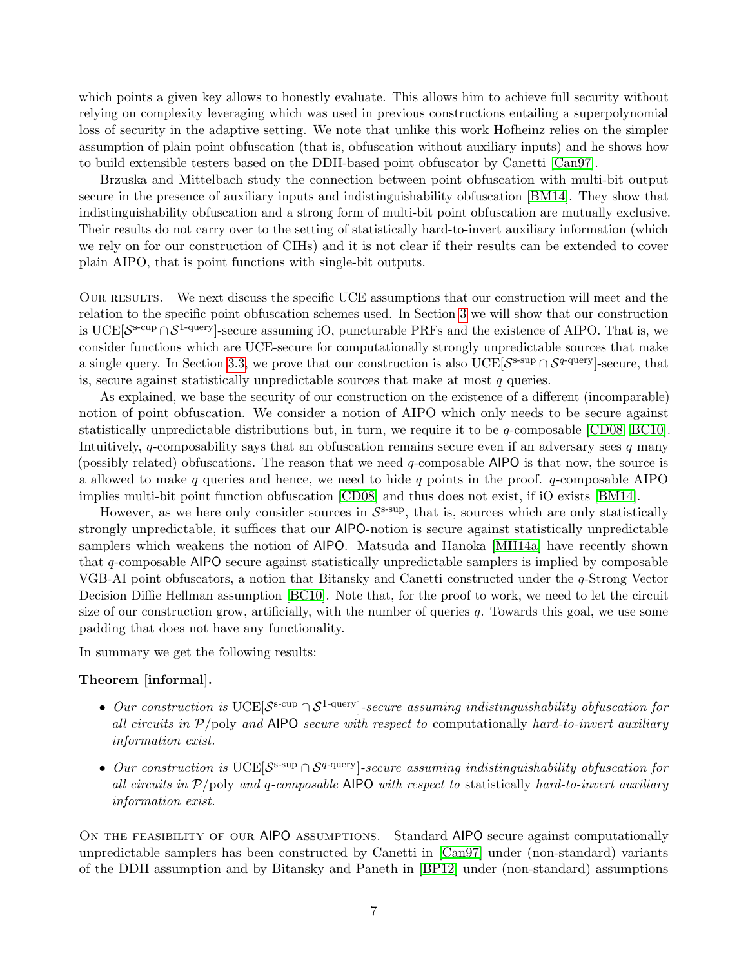<span id="page-6-0"></span>which points a given key allows to honestly evaluate. This allows him to achieve full security without relying on complexity leveraging which was used in previous constructions entailing a superpolynomial loss of security in the adaptive setting. We note that unlike this work Hofheinz relies on the simpler assumption of plain point obfuscation (that is, obfuscation without auxiliary inputs) and he shows how to build extensible testers based on the DDH-based point obfuscator by Canetti [\[Can97\]](#page-30-0).

Brzuska and Mittelbach study the connection between point obfuscation with multi-bit output secure in the presence of auxiliary inputs and indistinguishability obfuscation [\[BM14\]](#page-29-5). They show that indistinguishability obfuscation and a strong form of multi-bit point obfuscation are mutually exclusive. Their results do not carry over to the setting of statistically hard-to-invert auxiliary information (which we rely on for our construction of CIHs) and it is not clear if their results can be extended to cover plain AIPO, that is point functions with single-bit outputs.

OUR RESULTS. We next discuss the specific UCE assumptions that our construction will meet and the relation to the specific point obfuscation schemes used. In Section [3](#page-14-1) we will show that our construction is UCE[ $S<sup>s-cup</sup> \cap S<sup>1-query</sup>$ ]-secure assuming iO, puncturable PRFs and the existence of AIPO. That is, we consider functions which are UCE-secure for computationally strongly unpredictable sources that make a single query. In Section [3.3,](#page-23-0) we prove that our construction is also UCE[ $S<sup>s-sup</sup> \cap S<sup>q query</sup>$ ]-secure, that is, secure against statistically unpredictable sources that make at most  $q$  queries.

As explained, we base the security of our construction on the existence of a different (incomparable) notion of point obfuscation. We consider a notion of AIPO which only needs to be secure against statistically unpredictable distributions but, in turn, we require it to be q-composable [\[CD08,](#page-30-5) [BC10\]](#page-28-5). Intuitively, q-composability says that an obfuscation remains secure even if an adversary sees  $q$  many (possibly related) obfuscations. The reason that we need  $q$ -composable AIPO is that now, the source is a allowed to make q queries and hence, we need to hide q points in the proof.  $q$ -composable AIPO implies multi-bit point function obfuscation [\[CD08\]](#page-30-5) and thus does not exist, if iO exists [\[BM14\]](#page-29-5).

However, as we here only consider sources in  $S^{s-sup}$ , that is, sources which are only statistically strongly unpredictable, it suffices that our AIPO-notion is secure against statistically unpredictable samplers which weakens the notion of AIPO. Matsuda and Hanoka [\[MH14a\]](#page-32-5) have recently shown that q-composable AIPO secure against statistically unpredictable samplers is implied by composable VGB-AI point obfuscators, a notion that Bitansky and Canetti constructed under the q-Strong Vector Decision Diffie Hellman assumption [\[BC10\]](#page-28-5). Note that, for the proof to work, we need to let the circuit size of our construction grow, artificially, with the number of queries  $q$ . Towards this goal, we use some padding that does not have any functionality.

In summary we get the following results:

#### Theorem [informal].

- Our construction is UCE $[\mathcal{S}^{\text{s-cup}} \cap \mathcal{S}^{\text{1-qvery}}]$ -secure assuming indistinguishability obfuscation for all circuits in  $P/\text{poly}$  and AIPO secure with respect to computationally hard-to-invert auxiliary information exist.
- Our construction is UCE $[\mathcal{S}^{\text{s-sup}} \cap \mathcal{S}^{\text{query}}]$ -secure assuming indistinguishability obfuscation for all circuits in  $P/\text{poly}$  and q-composable AIPO with respect to statistically hard-to-invert auxiliary information exist.

On the feasibility of our AIPO assumptions. Standard AIPO secure against computationally unpredictable samplers has been constructed by Canetti in [\[Can97\]](#page-30-0) under (non-standard) variants of the DDH assumption and by Bitansky and Paneth in [\[BP12\]](#page-29-0) under (non-standard) assumptions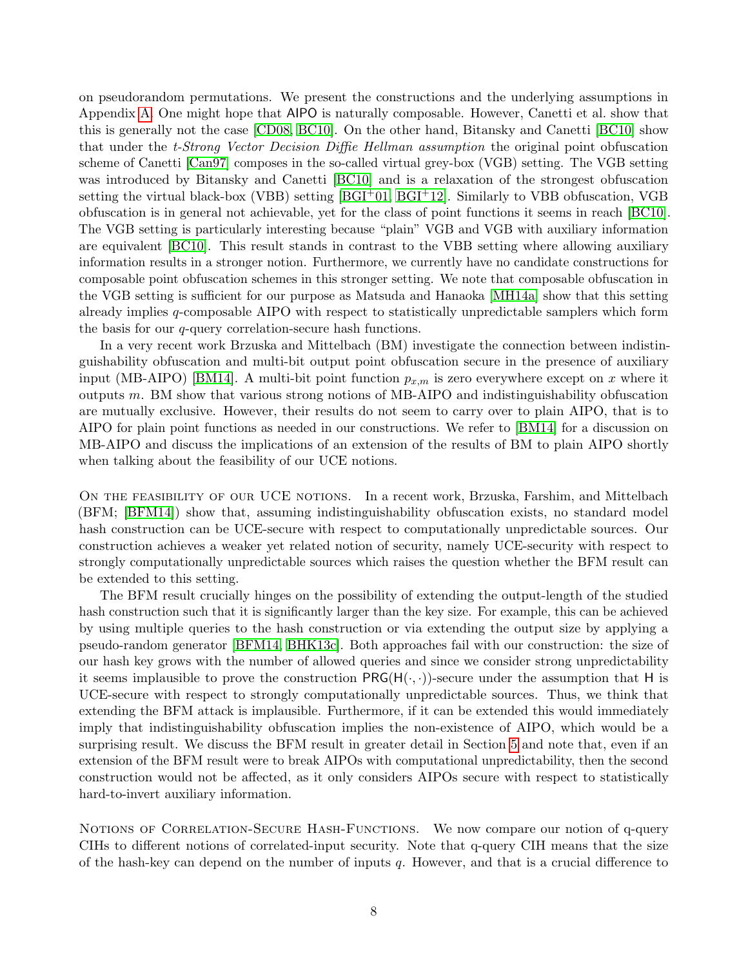<span id="page-7-0"></span>on pseudorandom permutations. We present the constructions and the underlying assumptions in Appendix [A.](#page-33-0) One might hope that AIPO is naturally composable. However, Canetti et al. show that this is generally not the case [\[CD08,](#page-30-5) [BC10\]](#page-28-5). On the other hand, Bitansky and Canetti [\[BC10\]](#page-28-5) show that under the t-Strong Vector Decision Diffie Hellman assumption the original point obfuscation scheme of Canetti [\[Can97\]](#page-30-0) composes in the so-called virtual grey-box (VGB) setting. The VGB setting was introduced by Bitansky and Canetti [\[BC10\]](#page-28-5) and is a relaxation of the strongest obfuscation setting the virtual black-box (VBB) setting [\[BGI](#page-28-0)+01, [BGI](#page-28-1)+12]. Similarly to VBB obfuscation, VGB obfuscation is in general not achievable, yet for the class of point functions it seems in reach [\[BC10\]](#page-28-5). The VGB setting is particularly interesting because "plain" VGB and VGB with auxiliary information are equivalent [\[BC10\]](#page-28-5). This result stands in contrast to the VBB setting where allowing auxiliary information results in a stronger notion. Furthermore, we currently have no candidate constructions for composable point obfuscation schemes in this stronger setting. We note that composable obfuscation in the VGB setting is sufficient for our purpose as Matsuda and Hanaoka [\[MH14a\]](#page-32-5) show that this setting already implies q-composable AIPO with respect to statistically unpredictable samplers which form the basis for our q-query correlation-secure hash functions.

In a very recent work Brzuska and Mittelbach (BM) investigate the connection between indistinguishability obfuscation and multi-bit output point obfuscation secure in the presence of auxiliary input (MB-AIPO) [\[BM14\]](#page-29-5). A multi-bit point function  $p_{x,m}$  is zero everywhere except on x where it outputs  $m$ . BM show that various strong notions of MB-AIPO and indistinguishability obfuscation are mutually exclusive. However, their results do not seem to carry over to plain AIPO, that is to AIPO for plain point functions as needed in our constructions. We refer to [\[BM14\]](#page-29-5) for a discussion on MB-AIPO and discuss the implications of an extension of the results of BM to plain AIPO shortly when talking about the feasibility of our UCE notions.

On the feasibility of our UCE notions. In a recent work, Brzuska, Farshim, and Mittelbach (BFM; [\[BFM14\]](#page-28-3)) show that, assuming indistinguishability obfuscation exists, no standard model hash construction can be UCE-secure with respect to computationally unpredictable sources. Our construction achieves a weaker yet related notion of security, namely UCE-security with respect to strongly computationally unpredictable sources which raises the question whether the BFM result can be extended to this setting.

The BFM result crucially hinges on the possibility of extending the output-length of the studied hash construction such that it is significantly larger than the key size. For example, this can be achieved by using multiple queries to the hash construction or via extending the output size by applying a pseudo-random generator [\[BFM14,](#page-28-3) [BHK13c\]](#page-29-6). Both approaches fail with our construction: the size of our hash key grows with the number of allowed queries and since we consider strong unpredictability it seems implausible to prove the construction  $PRG(H(\cdot, \cdot))$ -secure under the assumption that H is UCE-secure with respect to strongly computationally unpredictable sources. Thus, we think that extending the BFM attack is implausible. Furthermore, if it can be extended this would immediately imply that indistinguishability obfuscation implies the non-existence of AIPO, which would be a surprising result. We discuss the BFM result in greater detail in Section [5](#page-26-0) and note that, even if an extension of the BFM result were to break AIPOs with computational unpredictability, then the second construction would not be affected, as it only considers AIPOs secure with respect to statistically hard-to-invert auxiliary information.

NOTIONS OF CORRELATION-SECURE HASH-FUNCTIONS. We now compare our notion of q-query CIHs to different notions of correlated-input security. Note that q-query CIH means that the size of the hash-key can depend on the number of inputs q. However, and that is a crucial difference to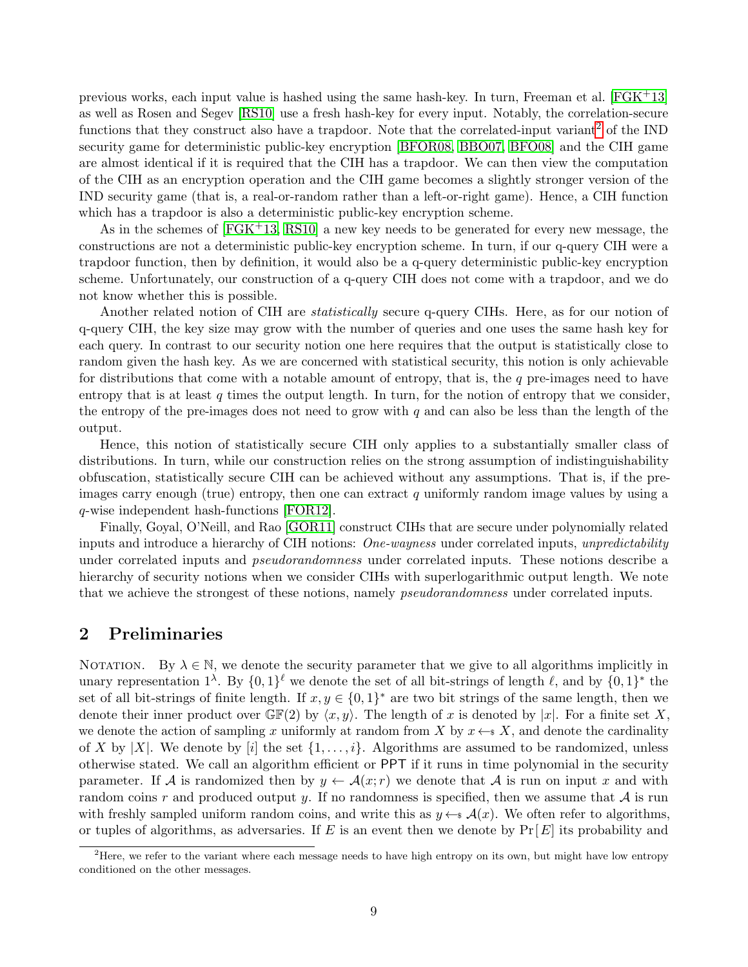<span id="page-8-2"></span>previous works, each input value is hashed using the same hash-key. In turn, Freeman et al. [\[FGK](#page-30-6)+13] as well as Rosen and Segev [\[RS10\]](#page-32-6) use a fresh hash-key for every input. Notably, the correlation-secure functions that they construct also have a trapdoor. Note that the correlated-input variant<sup>[2](#page-8-1)</sup> of the IND security game for deterministic public-key encryption [\[BFOR08,](#page-28-6) [BBO07,](#page-28-7) [BFO08\]](#page-28-8) and the CIH game are almost identical if it is required that the CIH has a trapdoor. We can then view the computation of the CIH as an encryption operation and the CIH game becomes a slightly stronger version of the IND security game (that is, a real-or-random rather than a left-or-right game). Hence, a CIH function which has a trapdoor is also a deterministic public-key encryption scheme.

As in the schemes of [\[FGK](#page-30-6)+13, [RS10\]](#page-32-6) a new key needs to be generated for every new message, the constructions are not a deterministic public-key encryption scheme. In turn, if our q-query CIH were a trapdoor function, then by definition, it would also be a q-query deterministic public-key encryption scheme. Unfortunately, our construction of a q-query CIH does not come with a trapdoor, and we do not know whether this is possible.

Another related notion of CIH are *statistically* secure q-query CIHs. Here, as for our notion of q-query CIH, the key size may grow with the number of queries and one uses the same hash key for each query. In contrast to our security notion one here requires that the output is statistically close to random given the hash key. As we are concerned with statistical security, this notion is only achievable for distributions that come with a notable amount of entropy, that is, the  $q$  pre-images need to have entropy that is at least  $q$  times the output length. In turn, for the notion of entropy that we consider, the entropy of the pre-images does not need to grow with q and can also be less than the length of the output.

Hence, this notion of statistically secure CIH only applies to a substantially smaller class of distributions. In turn, while our construction relies on the strong assumption of indistinguishability obfuscation, statistically secure CIH can be achieved without any assumptions. That is, if the preimages carry enough (true) entropy, then one can extract  $q$  uniformly random image values by using a q-wise independent hash-functions [\[FOR12\]](#page-30-7).

Finally, Goyal, O'Neill, and Rao [\[GOR11\]](#page-31-0) construct CIHs that are secure under polynomially related inputs and introduce a hierarchy of CIH notions: One-wayness under correlated inputs, unpredictability under correlated inputs and *pseudorandomness* under correlated inputs. These notions describe a hierarchy of security notions when we consider CIHs with superlogarithmic output length. We note that we achieve the strongest of these notions, namely *pseudorandomness* under correlated inputs.

#### <span id="page-8-0"></span>2 Preliminaries

NOTATION. By  $\lambda \in \mathbb{N}$ , we denote the security parameter that we give to all algorithms implicitly in unary representation  $1^{\lambda}$ . By  $\{0,1\}^{\ell}$  we denote the set of all bit-strings of length  $\ell$ , and by  $\{0,1\}^*$  the set of all bit-strings of finite length. If  $x, y \in \{0, 1\}^*$  are two bit strings of the same length, then we denote their inner product over  $\mathbb{GF}(2)$  by  $\langle x, y \rangle$ . The length of x is denoted by |x|. For a finite set X, we denote the action of sampling x uniformly at random from X by  $x \leftarrow s X$ , and denote the cardinality of X by |X|. We denote by [i] the set  $\{1,\ldots,i\}$ . Algorithms are assumed to be randomized, unless otherwise stated. We call an algorithm efficient or PPT if it runs in time polynomial in the security parameter. If A is randomized then by  $y \leftarrow \mathcal{A}(x; r)$  we denote that A is run on input x and with random coins r and produced output y. If no randomness is specified, then we assume that  $A$  is run with freshly sampled uniform random coins, and write this as  $y \leftarrow s \mathcal{A}(x)$ . We often refer to algorithms, or tuples of algorithms, as adversaries. If E is an event then we denote by  $Pr[E]$  its probability and

<span id="page-8-1"></span><sup>&</sup>lt;sup>2</sup>Here, we refer to the variant where each message needs to have high entropy on its own, but might have low entropy conditioned on the other messages.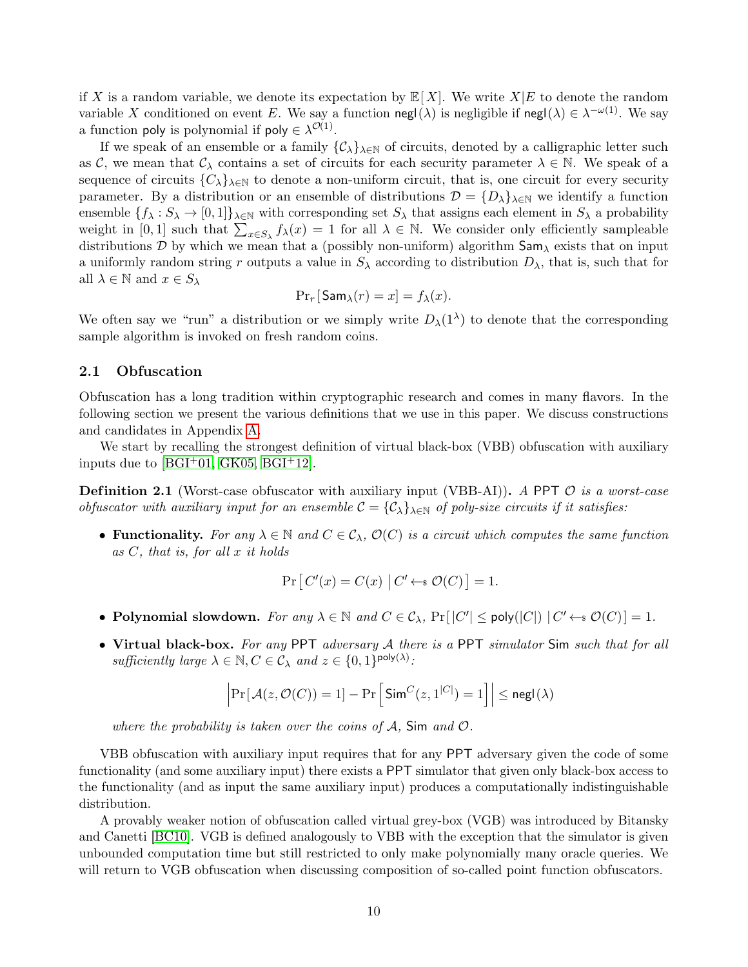<span id="page-9-2"></span>if X is a random variable, we denote its expectation by  $\mathbb{E}[X]$ . We write  $X|E$  to denote the random variable X conditioned on event E. We say a function negl( $\lambda$ ) is negligible if negl( $\lambda$ )  $\in \lambda^{-\omega(1)}$ . We say a function poly is polynomial if poly  $\in \lambda^{\mathcal{O}(1)}$ .

If we speak of an ensemble or a family  $\{\mathcal{C}_\lambda\}_{\lambda\in\mathbb{N}}$  of circuits, denoted by a calligraphic letter such as C, we mean that  $C_\lambda$  contains a set of circuits for each security parameter  $\lambda \in \mathbb{N}$ . We speak of a sequence of circuits  ${C_{\lambda}}_{\lambda\in\mathbb{N}}$  to denote a non-uniform circuit, that is, one circuit for every security parameter. By a distribution or an ensemble of distributions  $\mathcal{D} = \{D_{\lambda}\}_{{\lambda}\in\mathbb{N}}$  we identify a function ensemble  $\{f_\lambda: S_\lambda \to [0,1]\}_{\lambda \in \mathbb{N}}$  with corresponding set  $S_\lambda$  that assigns each element in  $S_\lambda$  a probability weight in [0, 1] such that  $\sum_{x \in S_{\lambda}} f_{\lambda}(x) = 1$  for all  $\lambda \in \mathbb{N}$ . We consider only efficiently sampleable distributions  $D$  by which we mean that a (possibly non-uniform) algorithm  $\mathsf{Sam}_\lambda$  exists that on input a uniformly random string r outputs a value in  $S_\lambda$  according to distribution  $D_\lambda$ , that is, such that for all  $\lambda \in \mathbb{N}$  and  $x \in S_{\lambda}$ 

$$
\Pr_r[\mathsf{Sam}_\lambda(r) = x] = f_\lambda(x).
$$

We often say we "run" a distribution or we simply write  $D_{\lambda}(1^{\lambda})$  to denote that the corresponding sample algorithm is invoked on fresh random coins.

#### <span id="page-9-0"></span>2.1 Obfuscation

Obfuscation has a long tradition within cryptographic research and comes in many flavors. In the following section we present the various definitions that we use in this paper. We discuss constructions and candidates in Appendix [A.](#page-33-0)

We start by recalling the strongest definition of virtual black-box (VBB) obfuscation with auxiliary inputs due to  $[{\rm BGI^+01}, {\rm GK05}, {\rm BGI^+12}].$  $[{\rm BGI^+01}, {\rm GK05}, {\rm BGI^+12}].$  $[{\rm BGI^+01}, {\rm GK05}, {\rm BGI^+12}].$ 

<span id="page-9-1"></span>**Definition 2.1** (Worst-case obfuscator with auxiliary input (VBB-AI)). A PPT  $\mathcal{O}$  is a worst-case obfuscator with auxiliary input for an ensemble  $C = \{C_{\lambda}\}_{\lambda \in \mathbb{N}}$  of poly-size circuits if it satisfies:

• Functionality. For any  $\lambda \in \mathbb{N}$  and  $C \in \mathcal{C}_{\lambda}$ ,  $\mathcal{O}(C)$  is a circuit which computes the same function as  $C$ , that is, for all  $x$  it holds

$$
\Pr[C'(x) = C(x) | C' \leftarrow \mathcal{O}(C)] = 1.
$$

- Polynomial slowdown. For any  $\lambda \in \mathbb{N}$  and  $C \in \mathcal{C}_{\lambda}$ ,  $Pr[|C'| \leq poly(|C|) | C' \leftarrow \mathcal{C}(C)] = 1$ .
- Virtual black-box. For any PPT adversary  $A$  there is a PPT simulator Sim such that for all sufficiently large  $\lambda \in \mathbb{N}, C \in \mathcal{C}_{\lambda}$  and  $z \in \{0, 1\}^{\text{poly}(\lambda)}$ :

$$
\left|\Pr[\mathcal{A}(z,\mathcal{O}(C))=1]-\Pr\left[\mathsf{Sim}^C(z,1^{|C|})=1\right]\right|\leq \mathsf{negl}(\lambda)
$$

where the probability is taken over the coins of  $A$ , Sim and  $O$ .

VBB obfuscation with auxiliary input requires that for any PPT adversary given the code of some functionality (and some auxiliary input) there exists a PPT simulator that given only black-box access to the functionality (and as input the same auxiliary input) produces a computationally indistinguishable distribution.

A provably weaker notion of obfuscation called virtual grey-box (VGB) was introduced by Bitansky and Canetti [\[BC10\]](#page-28-5). VGB is defined analogously to VBB with the exception that the simulator is given unbounded computation time but still restricted to only make polynomially many oracle queries. We will return to VGB obfuscation when discussing composition of so-called point function obfuscators.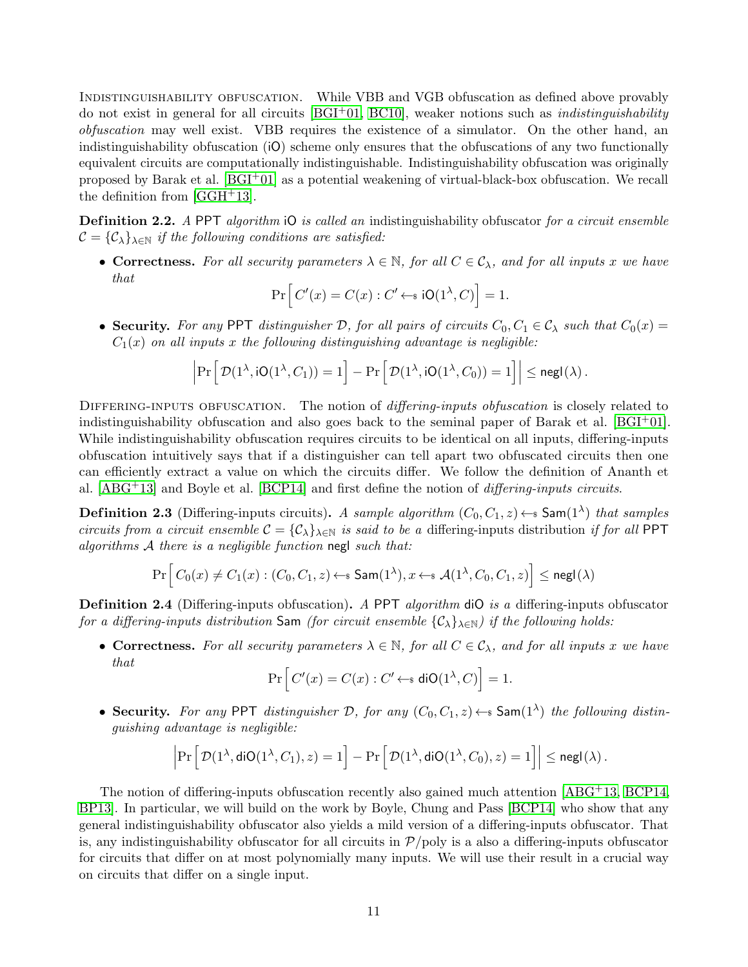<span id="page-10-0"></span>Indistinguishability obfuscation. While VBB and VGB obfuscation as defined above provably do not exist in general for all circuits  $[{\rm BGI}^+01, {\rm BCl}0]$ , weaker notions such as *indistinguishability* obfuscation may well exist. VBB requires the existence of a simulator. On the other hand, an indistinguishability obfuscation (iO) scheme only ensures that the obfuscations of any two functionally equivalent circuits are computationally indistinguishable. Indistinguishability obfuscation was originally proposed by Barak et al. [\[BGI](#page-28-0)+01] as a potential weakening of virtual-black-box obfuscation. We recall the definition from [\[GGH](#page-30-1)+13].

**Definition 2.2.** A PPT algorithm iO is called an indistinguishability obfuscator for a circuit ensemble  $\mathcal{C} = {\mathcal{C}_{\lambda}}_{\lambda \in \mathbb{N}}$  if the following conditions are satisfied:

• Correctness. For all security parameters  $\lambda \in \mathbb{N}$ , for all  $C \in \mathcal{C}_{\lambda}$ , and for all inputs x we have that

$$
\Pr\left[C'(x) = C(x) : C' \leftarrow \text{s iO}(1^{\lambda}, C)\right] = 1.
$$

• Security. For any PPT distinguisher D, for all pairs of circuits  $C_0, C_1 \in C_\lambda$  such that  $C_0(x) =$  $C_1(x)$  on all inputs x the following distinguishing advantage is negligible:

$$
\left|\Pr\left[\left.\mathcal{D}(1^{\lambda},i\mathsf{O}(1^{\lambda},C_1))=1\right]-\Pr\left[\left.\mathcal{D}(1^{\lambda},i\mathsf{O}(1^{\lambda},C_0))=1\right]\right|\leq \mathsf{negl}(\lambda)\,.
$$

DIFFERING-INPUTS OBFUSCATION. The notion of *differing-inputs obfuscation* is closely related to indistinguishability obfuscation and also goes back to the seminal paper of Barak et al. [\[BGI](#page-28-0)<sup>+</sup>01]. While indistinguishability obfuscation requires circuits to be identical on all inputs, differing-inputs obfuscation intuitively says that if a distinguisher can tell apart two obfuscated circuits then one can efficiently extract a value on which the circuits differ. We follow the definition of Ananth et al.  $[ABC^{+13}]$  and Boyle et al.  $[BCP14]$  and first define the notion of *differing-inputs circuits*.

**Definition 2.3** (Differing-inputs circuits). A sample algorithm  $(C_0, C_1, z) \leftarrow s$  Sam $(1^{\lambda})$  that samples circuits from a circuit ensemble  $C = {\mathcal{C}_{\lambda}}_{\lambda \in \mathbb{N}}$  is said to be a differing-inputs distribution if for all PPT algorithms  $A$  there is a negligible function negl such that:

$$
\Pr\Big[C_0(x) \neq C_1(x) : (C_0, C_1, z) \leftarrow s \text{ Sam}(1^{\lambda}), x \leftarrow s \mathcal{A}(1^{\lambda}, C_0, C_1, z)\Big] \le \mathsf{negl}(\lambda)
$$

**Definition 2.4** (Differing-inputs obfuscation). A PPT algorithm diO is a differing-inputs obfuscator for a differing-inputs distribution Sam (for circuit ensemble  $\{\mathcal{C}_\lambda\}_{\lambda\in\mathbb{N}}$ ) if the following holds:

• Correctness. For all security parameters  $\lambda \in \mathbb{N}$ , for all  $C \in \mathcal{C}_{\lambda}$ , and for all inputs x we have that

$$
\Pr\left[C'(x) = C(x) : C' \leftarrow \text{si} \text{diO}(1^{\lambda}, C)\right] = 1.
$$

• Security. For any PPT distinguisher D, for any  $(C_0, C_1, z) \leftarrow s$  Sam $(1^{\lambda})$  the following distinguishing advantage is negligible:

$$
\left|\Pr\Big[\mathcal{D}(1^{\lambda},\text{diO}(1^{\lambda},C_1),z)=1\Big]-\Pr\Big[\mathcal{D}(1^{\lambda},\text{diO}(1^{\lambda},C_0),z)=1\Big]\right|\le {\mathsf{negl}}(\lambda)\,.
$$

The notion of differing-inputs obfuscation recently also gained much attention [\[ABG](#page-27-0)+13, [BCP14,](#page-28-2) [BP13\]](#page-29-7). In particular, we will build on the work by Boyle, Chung and Pass [\[BCP14\]](#page-28-2) who show that any general indistinguishability obfuscator also yields a mild version of a differing-inputs obfuscator. That is, any indistinguishability obfuscator for all circuits in  $P/poly$  is a also a differing-inputs obfuscator for circuits that differ on at most polynomially many inputs. We will use their result in a crucial way on circuits that differ on a single input.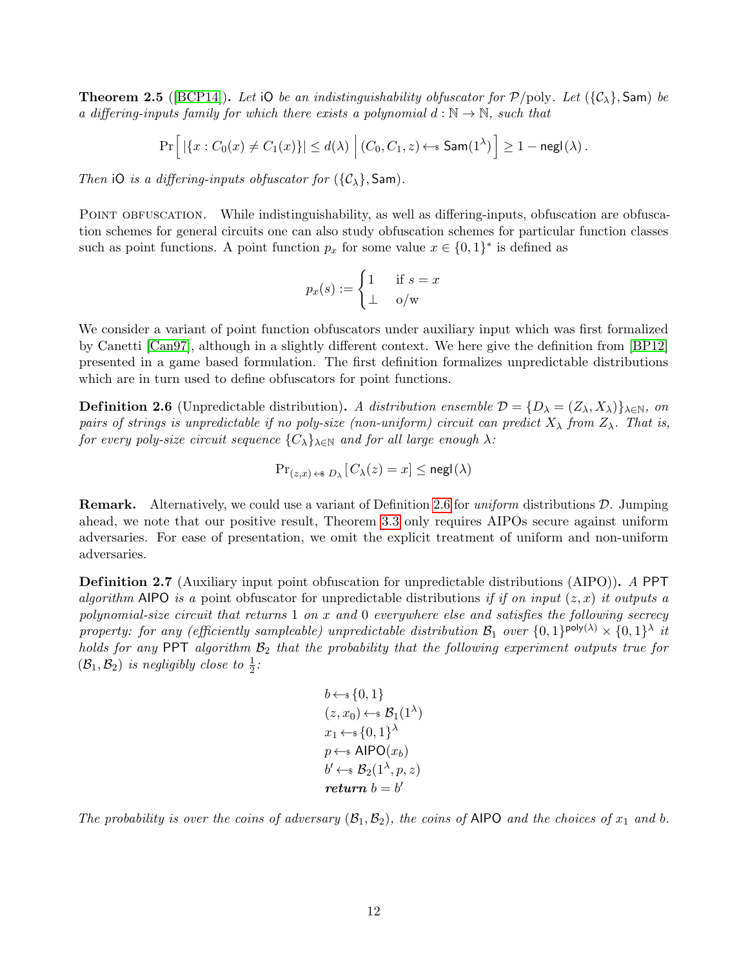<span id="page-11-3"></span><span id="page-11-1"></span>**Theorem 2.5** ([\[BCP14\]](#page-28-2)). Let iO be an indistinguishability obfuscator for  $\mathcal{P}/poly$ . Let  $(\{\mathcal{C}_{\lambda}\}, \mathsf{Sam})$  be a differing-inputs family for which there exists a polynomial  $d : \mathbb{N} \to \mathbb{N}$ , such that

$$
\Pr\Big[\left|\{x:C_0(x)\neq C_1(x)\}\right|\leq d(\lambda)\,\Big|\,(C_0,C_1,z)\leftarrow s\,\mathsf{Sam}(1^{\lambda})\Big]\geq 1-\mathsf{negl}(\lambda)\,.
$$

Then iO is a differing-inputs obfuscator for  $({C_\lambda}, S$ am).

Point obfuscation. While indistinguishability, as well as differing-inputs, obfuscation are obfuscation schemes for general circuits one can also study obfuscation schemes for particular function classes such as point functions. A point function  $p_x$  for some value  $x \in \{0,1\}^*$  is defined as

$$
p_x(s) := \begin{cases} 1 & \text{if } s = x \\ \perp & \text{o/w} \end{cases}
$$

We consider a variant of point function obfuscators under auxiliary input which was first formalized by Canetti [\[Can97\]](#page-30-0), although in a slightly different context. We here give the definition from [\[BP12\]](#page-29-0) presented in a game based formulation. The first definition formalizes unpredictable distributions which are in turn used to define obfuscators for point functions.

<span id="page-11-0"></span>**Definition 2.6** (Unpredictable distribution). A distribution ensemble  $\mathcal{D} = \{D_\lambda = (Z_\lambda, X_\lambda)\}_{\lambda \in \mathbb{N}}$ , on pairs of strings is unpredictable if no poly-size (non-uniform) circuit can predict  $X_{\lambda}$  from  $Z_{\lambda}$ . That is, for every poly-size circuit sequence  $\{C_{\lambda}\}_{\lambda\in\mathbb{N}}$  and for all large enough  $\lambda$ :

$$
\Pr_{(z,x)\leftrightarrow B_{\lambda}}[C_{\lambda}(z)=x]\leq \mathsf{negl}(\lambda)
$$

**Remark.** Alternatively, we could use a variant of Definition [2.6](#page-11-0) for *uniform* distributions  $\mathcal{D}$ . Jumping ahead, we note that our positive result, Theorem [3.3](#page-17-1) only requires AIPOs secure against uniform adversaries. For ease of presentation, we omit the explicit treatment of uniform and non-uniform adversaries.

<span id="page-11-2"></span>**Definition 2.7** (Auxiliary input point obfuscation for unpredictable distributions (AIPO)). A PPT algorithm AIPO is a point obfuscator for unpredictable distributions if if on input  $(z, x)$  it outputs a polynomial-size circuit that returns 1 on x and 0 everywhere else and satisfies the following secrecy property: for any (efficiently sampleable) unpredictable distribution  $\mathcal{B}_1$  over  $\{0,1\}^{\text{poly}(\lambda)} \times \{0,1\}^{\lambda}$  it holds for any PPT algorithm  $\mathcal{B}_2$  that the probability that the following experiment outputs true for  $(\mathcal{B}_1, \mathcal{B}_2)$  is negligibly close to  $\frac{1}{2}$ :

$$
b \leftarrow s \{0, 1\}
$$
  
(z, x<sub>0</sub>)  $\leftarrow s$   $\mathcal{B}_1(1^{\lambda})$   
 $x_1 \leftarrow s \{0, 1\}^{\lambda}$   
 $p \leftarrow s$  AIFO $(x_b)$   
 $b' \leftarrow s$   $\mathcal{B}_2(1^{\lambda}, p, z)$   
**return**  $b = b'$ 

The probability is over the coins of adversary  $(\mathcal{B}_1, \mathcal{B}_2)$ , the coins of AIPO and the choices of  $x_1$  and b.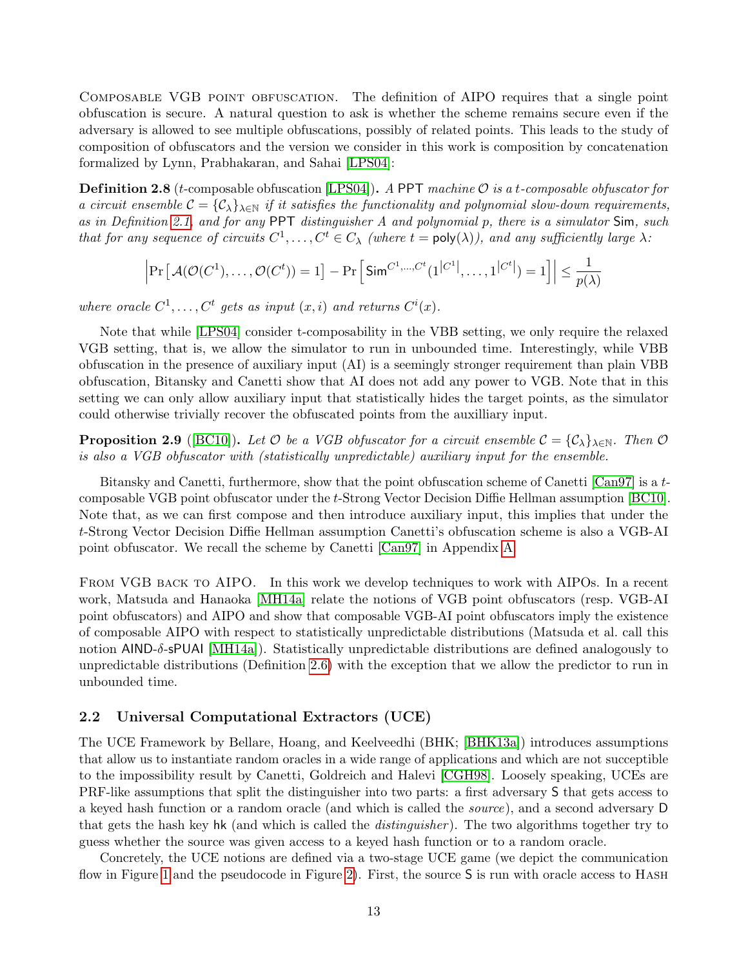<span id="page-12-1"></span>Composable VGB point obfuscation. The definition of AIPO requires that a single point obfuscation is secure. A natural question to ask is whether the scheme remains secure even if the adversary is allowed to see multiple obfuscations, possibly of related points. This leads to the study of composition of obfuscators and the version we consider in this work is composition by concatenation formalized by Lynn, Prabhakaran, and Sahai [\[LPS04\]](#page-32-7):

**Definition 2.8** (t-composable obfuscation [\[LPS04\]](#page-32-7)). A PPT machine  $\mathcal O$  is a t-composable obfuscator for a circuit ensemble  $C = {\mathcal{C}}_{\lambda}$ ,  $\lambda \in \mathbb{N}$  if it satisfies the functionality and polynomial slow-down requirements, as in Definition [2.1,](#page-9-1) and for any PPT distinguisher A and polynomial p, there is a simulator Sim, such that for any sequence of circuits  $C^1,\ldots,C^t \in C_\lambda$  (where  $t = \text{poly}(\lambda)$ ), and any sufficiently large  $\lambda$ :

$$
\left|\Pr\left[\left.\mathcal{A}(\mathcal{O}(C^1),\ldots,\mathcal{O}(C^t))=1\right]-\Pr\left[\left.\mathsf{Sim}^{C^1,\ldots,C^t}(1^{\left|C^1\right|},\ldots,1^{\left|C^t\right|})=1\right]\right|\leq\frac{1}{p(\lambda)}
$$

where oracle  $C^1, \ldots, C^t$  gets as input  $(x, i)$  and returns  $C^i(x)$ .

Note that while [\[LPS04\]](#page-32-7) consider t-composability in the VBB setting, we only require the relaxed VGB setting, that is, we allow the simulator to run in unbounded time. Interestingly, while VBB obfuscation in the presence of auxiliary input (AI) is a seemingly stronger requirement than plain VBB obfuscation, Bitansky and Canetti show that AI does not add any power to VGB. Note that in this setting we can only allow auxiliary input that statistically hides the target points, as the simulator could otherwise trivially recover the obfuscated points from the auxilliary input.

**Proposition 2.9** ([\[BC10\]](#page-28-5)). Let  $\mathcal O$  be a VGB obfuscator for a circuit ensemble  $\mathcal C = {\mathcal C}_\lambda$ } $_{\lambda \in \mathbb N}$ . Then  $\mathcal O$ is also a VGB obfuscator with (statistically unpredictable) auxiliary input for the ensemble.

Bitansky and Canetti, furthermore, show that the point obfuscation scheme of Canetti [\[Can97\]](#page-30-0) is a tcomposable VGB point obfuscator under the t-Strong Vector Decision Diffie Hellman assumption [\[BC10\]](#page-28-5). Note that, as we can first compose and then introduce auxiliary input, this implies that under the t-Strong Vector Decision Diffie Hellman assumption Canetti's obfuscation scheme is also a VGB-AI point obfuscator. We recall the scheme by Canetti [\[Can97\]](#page-30-0) in Appendix [A.](#page-33-0)

From VGB back to AIPO. In this work we develop techniques to work with AIPOs. In a recent work, Matsuda and Hanaoka [\[MH14a\]](#page-32-5) relate the notions of VGB point obfuscators (resp. VGB-AI point obfuscators) and AIPO and show that composable VGB-AI point obfuscators imply the existence of composable AIPO with respect to statistically unpredictable distributions (Matsuda et al. call this notion  $\mathsf{AIND}\text{-}\mathsf{s-PUAL}$  [\[MH14a\]](#page-32-5)). Statistically unpredictable distributions are defined analogously to unpredictable distributions (Definition [2.6\)](#page-11-0) with the exception that we allow the predictor to run in unbounded time.

#### <span id="page-12-0"></span>2.2 Universal Computational Extractors (UCE)

The UCE Framework by Bellare, Hoang, and Keelveedhi (BHK; [\[BHK13a\]](#page-29-2)) introduces assumptions that allow us to instantiate random oracles in a wide range of applications and which are not succeptible to the impossibility result by Canetti, Goldreich and Halevi [\[CGH98\]](#page-30-8). Loosely speaking, UCEs are PRF-like assumptions that split the distinguisher into two parts: a first adversary S that gets access to a keyed hash function or a random oracle (and which is called the source), and a second adversary D that gets the hash key hk (and which is called the *distinguisher*). The two algorithms together try to guess whether the source was given access to a keyed hash function or to a random oracle.

Concretely, the UCE notions are defined via a two-stage UCE game (we depict the communication flow in Figure [1](#page-13-0) and the pseudocode in Figure [2\)](#page-13-0). First, the source S is run with oracle access to HASH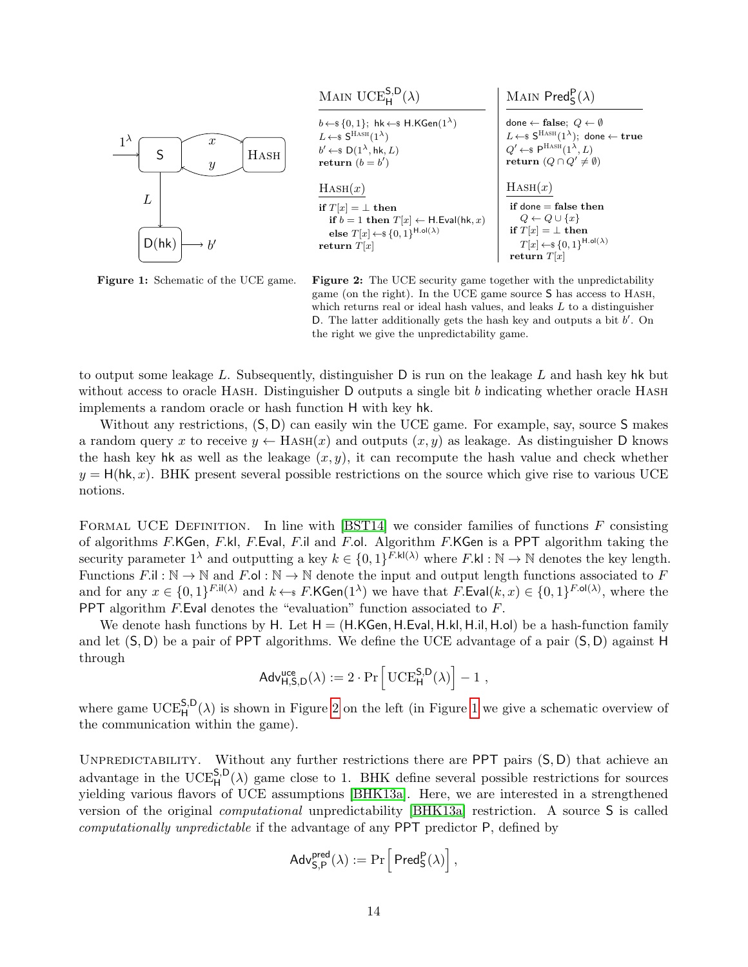<span id="page-13-1"></span><span id="page-13-0"></span>

Figure 1: Schematic of the UCE game.

 $1^{\lambda}$ 

Figure 2: The UCE security game together with the unpredictability game (on the right). In the UCE game source S has access to Hash, which returns real or ideal hash values, and leaks  $L$  to a distinguisher D. The latter additionally gets the hash key and outputs a bit  $b'$ . On the right we give the unpredictability game.

to output some leakage L. Subsequently, distinguisher  $D$  is run on the leakage L and hash key hk but without access to oracle HASH. Distinguisher  $D$  outputs a single bit b indicating whether oracle HASH implements a random oracle or hash function H with key hk.

Without any restrictions,  $(S, D)$  can easily win the UCE game. For example, say, source S makes a random query x to receive  $y \leftarrow$  HASH $(x)$  and outputs  $(x, y)$  as leakage. As distinguisher D knows the hash key hk as well as the leakage  $(x, y)$ , it can recompute the hash value and check whether  $y = H(hk, x)$ . BHK present several possible restrictions on the source which give rise to various UCE notions.

FORMAL UCE DEFINITION. In line with  $[**BST14**]$  we consider families of functions F consisting of algorithms  $F$ .KGen,  $F$ .kl,  $F$ .Eval,  $F$ .il and  $F$ .ol. Algorithm  $F$ .KGen is a PPT algorithm taking the security parameter  $1^{\lambda}$  and outputting a key  $k \in \{0,1\}^{F. \mathsf{kl}(\lambda)}$  where  $F. \mathsf{kl}: \mathbb{N} \to \mathbb{N}$  denotes the key length. Functions  $F \cdot \mathbf{I} : \mathbb{N} \to \mathbb{N}$  and  $F \cdot \mathbf{I} : \mathbb{N} \to \mathbb{N}$  denote the input and output length functions associated to  $F$ and for any  $x \in \{0,1\}^{F,\text{il}(\lambda)}$  and  $k \leftarrow s F$ . KGen $(1^{\lambda})$  we have that  $F$ . Eval $(k, x) \in \{0,1\}^{F,\text{ol}(\lambda)}$ , where the PPT algorithm F.Eval denotes the "evaluation" function associated to F.

We denote hash functions by H. Let  $H = (H.KGen, H.Eval, H.kI, H.iI, H.oI)$  be a hash-function family and let  $(S, D)$  be a pair of PPT algorithms. We define the UCE advantage of a pair  $(S, D)$  against H through

$$
\mathsf{Adv}^{\sf uce}_{\sf H,S,D}(\lambda) := 2 \cdot \Pr \Big[ \operatorname{UCE}^{\sf S,D}_{\sf H}(\lambda) \Big] - 1 \ ,
$$

where game  $\mathrm{UCE}_{\mathsf{H}}^{\mathsf{S},\mathsf{D}}(\lambda)$  is shown in Figure [2](#page-13-0) on the left (in Figure [1](#page-13-0) we give a schematic overview of the communication within the game).

UNPREDICTABILITY. Without any further restrictions there are  $PPT$  pairs  $(S, D)$  that achieve an advantage in the UCE<sup>S,D</sup>( $\lambda$ ) game close to 1. BHK define several possible restrictions for sources yielding various flavors of UCE assumptions [\[BHK13a\]](#page-29-2). Here, we are interested in a strengthened version of the original computational unpredictability [\[BHK13a\]](#page-29-2) restriction. A source S is called computationally unpredictable if the advantage of any PPT predictor P, defined by

$$
\mathsf{Adv}_{S,P}^{\mathsf{pred}}(\lambda) := \Pr\Big[\mathsf{Pred}^{\mathsf{P}}_S(\lambda)\Big],
$$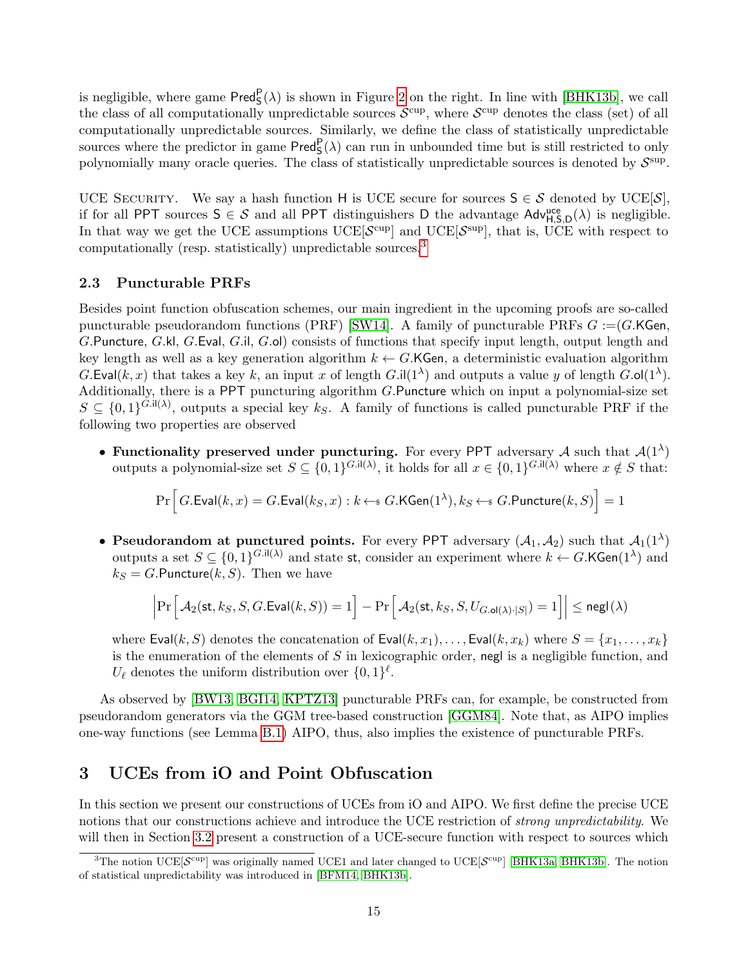<span id="page-14-3"></span>is negligible, where game  $\mathsf{Pred}_{\mathsf{S}}^{\mathsf{P}}(\lambda)$  is shown in Figure [2](#page-13-0) on the right. In line with [\[BHK13b\]](#page-29-3), we call the class of all computationally unpredictable sources  $\mathcal{S}^{\text{cup}}$ , where  $\mathcal{S}^{\text{cup}}$  denotes the class (set) of all computationally unpredictable sources. Similarly, we define the class of statistically unpredictable sources where the predictor in game  $\mathsf{Pred}_{\mathsf{S}}^{\mathsf{P}}(\lambda)$  can run in unbounded time but is still restricted to only polynomially many oracle queries. The class of statistically unpredictable sources is denoted by  $S^{\text{sup}}$ .

UCE SECURITY. We say a hash function H is UCE secure for sources  $S \in \mathcal{S}$  denoted by UCE[ $\mathcal{S}$ ], if for all PPT sources  $S \in S$  and all PPT distinguishers D the advantage  $\mathsf{Adv}_{H,S,D}^{uce}(\lambda)$  is negligible. In that way we get the UCE assumptions  $\text{UCE}[\mathcal{S}^{\text{cup}}]$  and  $\text{UCE}[\mathcal{S}^{\text{sup}}]$ , that is,  $\text{UCE}$  with respect to computationally (resp. statistically) unpredictable sources.<sup>[3](#page-14-2)</sup>

#### <span id="page-14-0"></span>2.3 Puncturable PRFs

Besides point function obfuscation schemes, our main ingredient in the upcoming proofs are so-called puncturable pseudorandom functions (PRF) [\[SW14\]](#page-32-1). A family of puncturable PRFs  $G := (G.KGen,$ G.Puncture, G.kl, G.Eval, G.il, G.ol) consists of functions that specify input length, output length and key length as well as a key generation algorithm  $k \leftarrow G$ . KGen, a deterministic evaluation algorithm G. Eval $(k, x)$  that takes a key k, an input x of length  $G$ . il $(1^{\lambda})$  and outputs a value y of length  $G$ . ol $(1^{\lambda})$ . Additionally, there is a PPT puncturing algorithm G.Puncture which on input a polynomial-size set  $S \subseteq \{0,1\}^{G,\text{il}(\lambda)}$ , outputs a special key  $k_S$ . A family of functions is called puncturable PRF if the following two properties are observed

• Functionality preserved under puncturing. For every PPT adversary A such that  $A(1^{\lambda})$ outputs a polynomial-size set  $S \subseteq \{0,1\}^{G,\text{il}(\lambda)}$ , it holds for all  $x \in \{0,1\}^{G,\text{il}(\lambda)}$  where  $x \notin S$  that:

$$
\Pr\Big[G.\mathsf{Eval}(k,x) = G.\mathsf{Eval}(k_S,x): k \leftarrow \text{s } G.\mathsf{KGen}(1^\lambda), k_S \leftarrow \text{s } G.\mathsf{Puncture}(k,S)\Big] = 1
$$

• Pseudorandom at punctured points. For every PPT adversary  $(\mathcal{A}_1, \mathcal{A}_2)$  such that  $\mathcal{A}_1(1^{\lambda})$ outputs a set  $S \subseteq \{0,1\}^{G,\text{il}(\lambda)}$  and state st, consider an experiment where  $k \leftarrow G.\text{KGen}(1^{\lambda})$  and  $k<sub>S</sub> = G$ . Puncture(k, S). Then we have

$$
\Big\vert \Pr\Big[\mathcal{A}_2(\mathsf{st},k_S,S,G.\mathsf{Eval}(k,S)) = 1 \Big] - \Pr\Big[\mathcal{A}_2(\mathsf{st},k_S,S,U_{G.\mathsf{ol}(\lambda)\cdot|S|}) = 1 \Big] \Big\vert \leq \mathsf{negl}(\lambda)
$$

where  $\textsf{Eval}(k, S)$  denotes the concatenation of  $\textsf{Eval}(k, x_1), \ldots, \textsf{Eval}(k, x_k)$  where  $S = \{x_1, \ldots, x_k\}$ is the enumeration of the elements of  $S$  in lexicographic order, negl is a negligible function, and  $U_{\ell}$  denotes the uniform distribution over  $\{0, 1\}^{\ell}$ .

As observed by [\[BW13,](#page-29-4) [BGI14,](#page-28-4) [KPTZ13\]](#page-32-4) puncturable PRFs can, for example, be constructed from pseudorandom generators via the GGM tree-based construction [\[GGM84\]](#page-31-6). Note that, as AIPO implies one-way functions (see Lemma [B.1\)](#page-34-2) AIPO, thus, also implies the existence of puncturable PRFs.

#### <span id="page-14-1"></span>3 UCEs from iO and Point Obfuscation

In this section we present our constructions of UCEs from iO and AIPO. We first define the precise UCE notions that our constructions achieve and introduce the UCE restriction of *strong unpredictability*. We will then in Section [3.2](#page-17-0) present a construction of a UCE-secure function with respect to sources which

<span id="page-14-2"></span><sup>&</sup>lt;sup>3</sup>The notion UCE[ $S^{\text{cup}}$ ] was originally named UCE1 and later changed to UCE[ $S^{\text{cup}}$ ] [\[BHK13a,](#page-29-2) [BHK13b\]](#page-29-3). The notion of statistical unpredictability was introduced in [\[BFM14,](#page-28-3) [BHK13b\]](#page-29-3).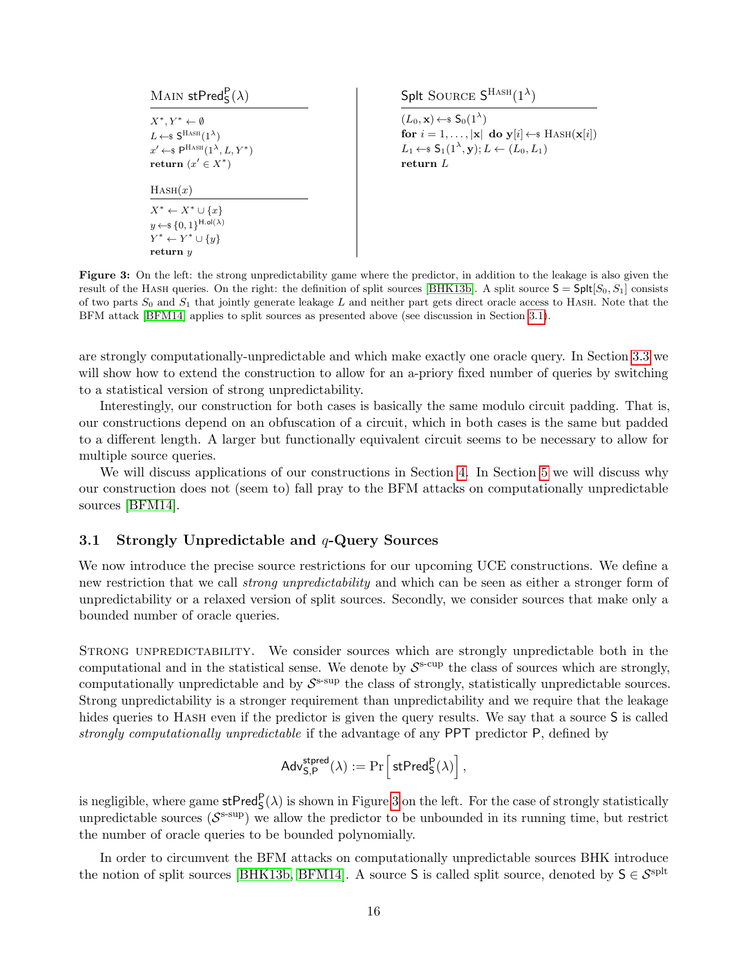<span id="page-15-2"></span><span id="page-15-1"></span>

| MAIN stPred <sub>S</sub> $(\lambda)$                                                                                                                                                    | Splt SOURCE $S^{HASH}(1^{\lambda})$                                                                                                                                                                                                                    |
|-----------------------------------------------------------------------------------------------------------------------------------------------------------------------------------------|--------------------------------------------------------------------------------------------------------------------------------------------------------------------------------------------------------------------------------------------------------|
| $X^*$ , $Y^* \leftarrow \emptyset$<br>$L \leftarrow$ \$ $S^{HASH}(1^{\lambda})$<br>$x' \leftarrow \mathcal{B} \mathsf{P}^{\mathrm{HASH}}(1^{\lambda}, L, Y^*)$<br>return $(x' \in X^*)$ | $(L_0, \mathbf{x}) \leftarrow \mathcal{S}_0(1^{\lambda})$<br>for $i = 1, ,  \mathbf{x} $ do $\mathbf{y}[i] \leftarrow \$ \text{Hash}(\mathbf{x}[i])$<br>$L_1 \leftarrow \mathcal{S}_1(1^{\lambda}, \mathbf{y}); L \leftarrow (L_0, L_1)$<br>return $L$ |
| HASH(x)                                                                                                                                                                                 |                                                                                                                                                                                                                                                        |
| $X^* \leftarrow X^* \cup \{x\}$<br>$y \leftarrow \S \{0,1\}^{\mathsf{H.ol}(\lambda)}$<br>$Y^* \leftarrow Y^* \cup \{y\}$                                                                |                                                                                                                                                                                                                                                        |
| return $y$                                                                                                                                                                              |                                                                                                                                                                                                                                                        |

Figure 3: On the left: the strong unpredictability game where the predictor, in addition to the leakage is also given the result of the HASH queries. On the right: the definition of split sources [\[BHK13b\]](#page-29-3). A split source  $S = Splt[S_0, S_1]$  consists of two parts  $S_0$  and  $S_1$  that jointly generate leakage L and neither part gets direct oracle access to HASH. Note that the BFM attack [\[BFM14\]](#page-28-3) applies to split sources as presented above (see discussion in Section [3.1\)](#page-15-0).

are strongly computationally-unpredictable and which make exactly one oracle query. In Section [3.3](#page-23-0) we will show how to extend the construction to allow for an a-priory fixed number of queries by switching to a statistical version of strong unpredictability.

Interestingly, our construction for both cases is basically the same modulo circuit padding. That is, our constructions depend on an obfuscation of a circuit, which in both cases is the same but padded to a different length. A larger but functionally equivalent circuit seems to be necessary to allow for multiple source queries.

We will discuss applications of our constructions in Section [4.](#page-24-0) In Section [5](#page-26-0) we will discuss why our construction does not (seem to) fall pray to the BFM attacks on computationally unpredictable sources [\[BFM14\]](#page-28-3).

#### <span id="page-15-0"></span>3.1 Strongly Unpredictable and  $q$ -Query Sources

We now introduce the precise source restrictions for our upcoming UCE constructions. We define a new restriction that we call *strong unpredictability* and which can be seen as either a stronger form of unpredictability or a relaxed version of split sources. Secondly, we consider sources that make only a bounded number of oracle queries.

STRONG UNPREDICTABILITY. We consider sources which are strongly unpredictable both in the computational and in the statistical sense. We denote by  $S^{s-cup}$  the class of sources which are strongly, computationally unpredictable and by  $S<sup>s-sup</sup>$  the class of strongly, statistically unpredictable sources. Strong unpredictability is a stronger requirement than unpredictability and we require that the leakage hides queries to HASH even if the predictor is given the query results. We say that a source S is called strongly computationally unpredictable if the advantage of any PPT predictor P, defined by

$$
\mathsf{Adv}_{\mathsf{S},\mathsf{P}}^{\mathsf{stpred}}(\lambda) := \Pr\left[\,\mathsf{stPred}^{\mathsf{P}}_{\mathsf{S}}(\lambda)\right],
$$

is negligible, where game  $stPred_S^P(\lambda)$  is shown in Figure [3](#page-15-1) on the left. For the case of strongly statistically unpredictable sources  $(\mathcal{S}^{\text{s-sup}})$  we allow the predictor to be unbounded in its running time, but restrict the number of oracle queries to be bounded polynomially.

In order to circumvent the BFM attacks on computationally unpredictable sources BHK introduce the notion of split sources [\[BHK13b,](#page-29-3) [BFM14\]](#page-28-3). A source S is called split source, denoted by  $S \in \mathcal{S}^{\text{splt}}$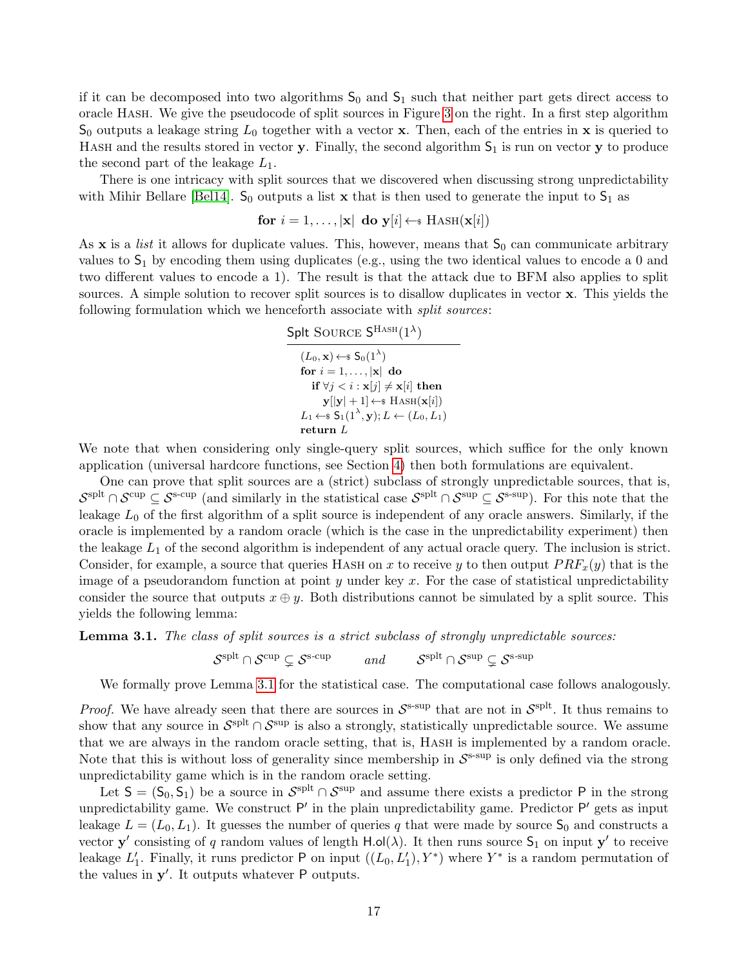<span id="page-16-1"></span>if it can be decomposed into two algorithms  $S_0$  and  $S_1$  such that neither part gets direct access to oracle Hash. We give the pseudocode of split sources in Figure [3](#page-15-1) on the right. In a first step algorithm  $S_0$  outputs a leakage string  $L_0$  together with a vector x. Then, each of the entries in x is queried to HASH and the results stored in vector  $\mathbf{y}$ . Finally, the second algorithm  $\mathsf{S}_1$  is run on vector  $\mathbf{y}$  to produce the second part of the leakage  $L_1$ .

There is one intricacy with split sources that we discovered when discussing strong unpredictability with Mihir Bellare [\[Bel14\]](#page-28-9). S<sub>0</sub> outputs a list x that is then used to generate the input to  $S_1$  as

$$
\mathbf{for } i = 1, \dots, |\mathbf{x}| \mathbf{do } \mathbf{y}[i] \leftarrow \mathbf{s} \mathbf{H} \mathrm{ASH}(\mathbf{x}[i])
$$

As  $x$  is a *list* it allows for duplicate values. This, however, means that  $S_0$  can communicate arbitrary values to  $S_1$  by encoding them using duplicates (e.g., using the two identical values to encode a 0 and two different values to encode a 1). The result is that the attack due to BFM also applies to split sources. A simple solution to recover split sources is to disallow duplicates in vector x. This yields the following formulation which we henceforth associate with *split sources*:

$$
\frac{\text{Split Source S^{HASH}}(1^{\lambda})}{(L_0, \mathbf{x}) \leftarrow \mathbf{s} S_0(1^{\lambda})}
$$
\n
$$
\text{for } i = 1, \dots, |\mathbf{x}| \text{ do}
$$
\n
$$
\text{if } \forall j < i : \mathbf{x}[j] \neq \mathbf{x}[i] \text{ then}
$$
\n
$$
\mathbf{y}[|\mathbf{y}| + 1] \leftarrow \mathbf{s} \text{ HASH}(\mathbf{x}[i])
$$
\n
$$
L_1 \leftarrow \mathbf{s} S_1(1^{\lambda}, \mathbf{y}); L \leftarrow (L_0, L_1)
$$
\n
$$
\text{return } L
$$

We note that when considering only single-query split sources, which suffice for the only known application (universal hardcore functions, see Section [4\)](#page-24-0) then both formulations are equivalent.

One can prove that split sources are a (strict) subclass of strongly unpredictable sources, that is,  $S^{\text{splt}} \cap S^{\text{cup}} \subseteq S^{\text{s-cup}}$  (and similarly in the statistical case  $S^{\text{splt}} \cap S^{\text{sup}} \subseteq S^{\text{s-sup}}$ ). For this note that the leakage  $L_0$  of the first algorithm of a split source is independent of any oracle answers. Similarly, if the oracle is implemented by a random oracle (which is the case in the unpredictability experiment) then the leakage  $L_1$  of the second algorithm is independent of any actual oracle query. The inclusion is strict. Consider, for example, a source that queries HASH on x to receive y to then output  $PRF_x(y)$  that is the image of a pseudorandom function at point y under key x. For the case of statistical unpredictability consider the source that outputs  $x \oplus y$ . Both distributions cannot be simulated by a split source. This yields the following lemma:

<span id="page-16-0"></span>Lemma 3.1. The class of split sources is a strict subclass of strongly unpredictable sources:

$$
\mathcal{S}^{\mathrm{splt}} \cap \mathcal{S}^{\mathrm{cup}} \subsetneq \mathcal{S}^{\mathrm{s-cup}} \qquad \textit{ and } \qquad \mathcal{S}^{\mathrm{splt}} \cap \mathcal{S}^{\mathrm{sup}} \subsetneq \mathcal{S}^{\mathrm{s-sup}}
$$

We formally prove Lemma [3.1](#page-16-0) for the statistical case. The computational case follows analogously.

*Proof.* We have already seen that there are sources in  $S^{\text{s-sup}}$  that are not in  $S^{\text{splt}}$ . It thus remains to show that any source in  $S^{\text{split}} \cap S^{\text{sup}}$  is also a strongly, statistically unpredictable source. We assume that we are always in the random oracle setting, that is, HASH is implemented by a random oracle. Note that this is without loss of generality since membership in  $S<sup>s-sup</sup>$  is only defined via the strong unpredictability game which is in the random oracle setting.

Let  $S = (S_0, S_1)$  be a source in  $S^{\text{splt}} \cap S^{\text{sup}}$  and assume there exists a predictor P in the strong unpredictability game. We construct  $P'$  in the plain unpredictability game. Predictor  $P'$  gets as input leakage  $L = (L_0, L_1)$ . It guesses the number of queries q that were made by source  $\mathsf{S}_0$  and constructs a vector  $y'$  consisting of q random values of length H.ol( $\lambda$ ). It then runs source  $S_1$  on input  $y'$  to receive leakage  $L'_1$ . Finally, it runs predictor P on input  $((L_0, L'_1), Y^*)$  where  $Y^*$  is a random permutation of the values in  $y'$ . It outputs whatever  $P$  outputs.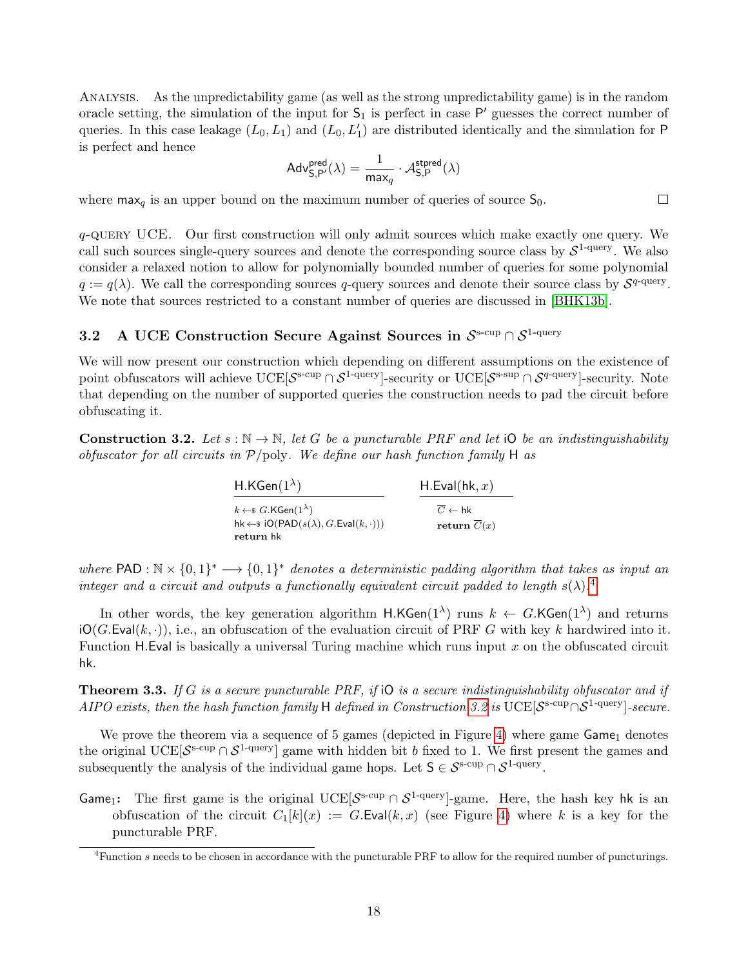<span id="page-17-4"></span>Analysis. As the unpredictability game (as well as the strong unpredictability game) is in the random oracle setting, the simulation of the input for  $S_1$  is perfect in case  $P'$  guesses the correct number of queries. In this case leakage  $(L_0, L_1)$  and  $(L_0, L'_1)$  are distributed identically and the simulation for P is perfect and hence

$$
\mathsf{Adv}_{\mathsf{S},\mathsf{P}'}^{\mathsf{pred}}(\lambda) = \frac{1}{\mathsf{max}_q} \cdot \mathcal{A}_{\mathsf{S},\mathsf{P}}^{\mathsf{stpred}}(\lambda)
$$

 $\Box$ 

where  $\max_q$  is an upper bound on the maximum number of queries of source  $S_0$ .

 $q$ -QUERY UCE. Our first construction will only admit sources which make exactly one query. We call such sources single-query sources and denote the corresponding source class by  $S^{1-\text{query}}$ . We also consider a relaxed notion to allow for polynomially bounded number of queries for some polynomial  $q := q(\lambda)$ . We call the corresponding sources q-query sources and denote their source class by  $S^{q\text{-query}}$ . We note that sources restricted to a constant number of queries are discussed in [\[BHK13b\]](#page-29-3).

#### <span id="page-17-0"></span>3.2 A UCE Construction Secure Against Sources in  $S^{\text{s-cup}} \cap S^{\text{1-query}}$

We will now present our construction which depending on different assumptions on the existence of point obfuscators will achieve UCE $[\mathcal{S}^{\text{s-cup}} \cap \mathcal{S}^{\text{1-query}}]$ -security or UCE $[\mathcal{S}^{\text{s-sup}} \cap \mathcal{S}^{\text{q-query}}]$ -security. Note that depending on the number of supported queries the construction needs to pad the circuit before obfuscating it.

<span id="page-17-3"></span>**Construction 3.2.** Let  $s : \mathbb{N} \to \mathbb{N}$ , let G be a puncturable PRF and let iO be an indistinguishability obfuscator for all circuits in  $P/\text{poly}$ . We define our hash function family H as

| H.KGen $(1^{\lambda})$                                                                             | H. Eval(hk, $x$ )                                      |
|----------------------------------------------------------------------------------------------------|--------------------------------------------------------|
| $k \leftarrow$ G.KGen $(1^{\lambda})$<br>hk $\leftarrow$ iO(PAD( $s(\lambda)$ , G.Eval( $k$ , ·))) | $C \leftarrow \mathsf{hk}$<br>return $\overline{C}(x)$ |
| return hk                                                                                          |                                                        |

where PAD :  $\mathbb{N} \times \{0,1\}^* \longrightarrow \{0,1\}^*$  denotes a deterministic padding algorithm that takes as input an integer and a circuit and outputs a functionally equivalent circuit padded to length  $s(\lambda)$ .<sup>[4](#page-17-2)</sup>

In other words, the key generation algorithm H.KGen(1<sup> $\lambda$ </sup>) runs  $k \leftarrow G$ .KGen(1 $\lambda$ ) and returns  $iO(G.Eval(k, \cdot))$ , i.e., an obfuscation of the evaluation circuit of PRF G with key k hardwired into it. Function H.Eval is basically a universal Turing machine which runs input  $x$  on the obfuscated circuit hk.

<span id="page-17-1"></span>**Theorem 3.3.** If G is a secure puncturable PRF, if  $\mathsf{IO}$  is a secure indistinguishability obfuscator and if AIPO exists, then the hash function family H defined in Construction [3.2](#page-17-3) is UCE[ $S^{\text{s-cup}} \cap S^{\text{1-query}}$ ]-secure.

We prove the theorem via a sequence of 5 games (depicted in Figure [4\)](#page-18-0) where game  $\mathsf{Game}_1$  denotes the original UCE $[S^{\text{s-cup}} \cap S^{1-\text{query}}]$  game with hidden bit b fixed to 1. We first present the games and subsequently the analysis of the individual game hops. Let  $S \in \mathcal{S}^{\text{s-cup}} \cap \mathcal{S}^{\text{1-qvery}}$ .

Game<sub>1</sub>: The first game is the original UCE[ $S^{\text{scup}} \cap S^{\text{1-query}}$ ]-game. Here, the hash key hk is an obfuscation of the circuit  $C_1[k](x) := G$ . Eval $(k, x)$  (see Figure [4\)](#page-18-0) where k is a key for the puncturable PRF.

<span id="page-17-2"></span><sup>&</sup>lt;sup>4</sup>Function s needs to be chosen in accordance with the puncturable PRF to allow for the required number of puncturings.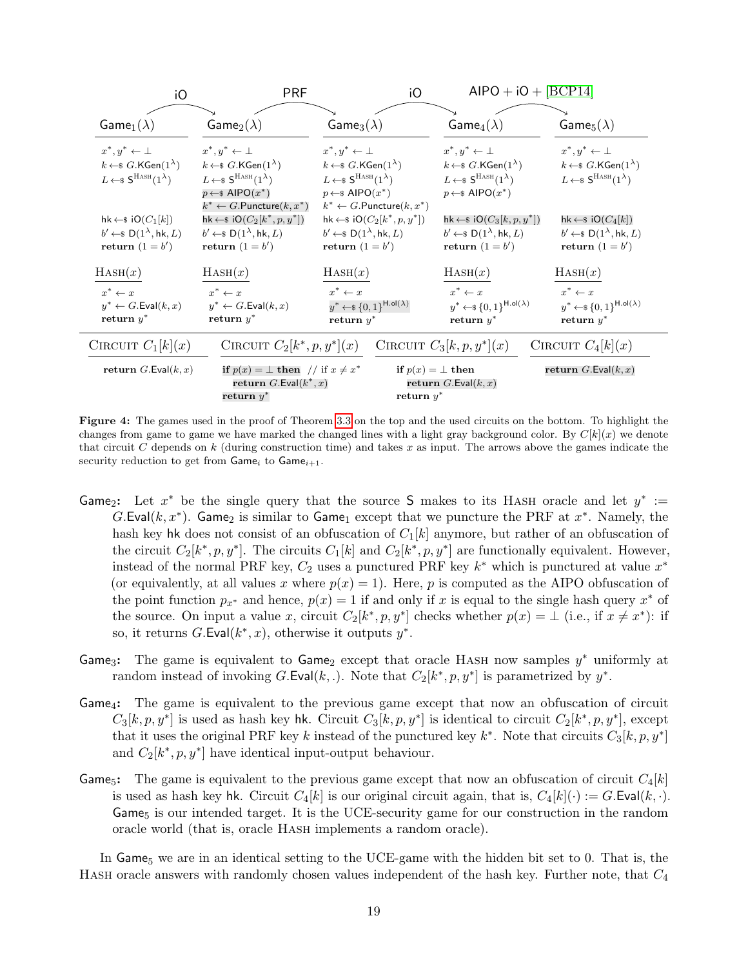<span id="page-18-1"></span><span id="page-18-0"></span>

| iO                                                                                                               | <b>PRF</b>                                                                                                                                                                                         | iO                                                                                                                                                                                             | $AIPO + iO + [BCP14]$                                                                                                                              |                                                                                                                      |
|------------------------------------------------------------------------------------------------------------------|----------------------------------------------------------------------------------------------------------------------------------------------------------------------------------------------------|------------------------------------------------------------------------------------------------------------------------------------------------------------------------------------------------|----------------------------------------------------------------------------------------------------------------------------------------------------|----------------------------------------------------------------------------------------------------------------------|
| $\mathsf{Game}_1(\lambda)$                                                                                       | $\mathsf{Game}_2(\lambda)$                                                                                                                                                                         | $\mathsf{Game}_3(\lambda)$                                                                                                                                                                     | $\mathsf{Game}_4(\lambda)$                                                                                                                         | Game <sub>5</sub> $(\lambda)$                                                                                        |
| $x^*, y^* \leftarrow \perp$<br>$k \leftarrow s G.KGen(1^{\lambda})$<br>$L \leftarrow$ \$ $S^{HASH}(1^{\lambda})$ | $x^*, y^* \leftarrow \perp$<br>$k \leftarrow$ G.KGen $(1^{\lambda})$<br>$L \leftarrow$ \$ $S^{HASH}(1^{\lambda})$<br>$p \leftarrow s \text{AIPO}(x^*)$<br>$k^* \leftarrow G$ . Puncture $(k, x^*)$ | $x^*, y^* \leftarrow \perp$<br>$k \leftarrow$ G.KGen $(1^{\lambda})$<br>$L \leftarrow$ \$ $S^{HASH}(1^{\lambda})$<br>$p \leftarrow s$ AIPO $(x^*)$<br>$k^* \leftarrow G$ . Puncture $(k, x^*)$ | $x^*, y^* \leftarrow \perp$<br>$k \leftarrow$ G.KGen $(1^{\lambda})$<br>$L \leftarrow$ \$ $S^{HASH}(1^{\lambda})$<br>$p \leftarrow s$ AIPO $(x^*)$ | $x^*, y^* \leftarrow \perp$<br>$k \leftarrow$ \$ G.KGen $(1^{\lambda})$<br>$L \leftarrow$ \$ $S^{HASH}(1^{\lambda})$ |
| hk $\leftarrow$ s iO $(C_1[k])$<br>$b' \leftarrow \$ D(1^{\lambda}, \text{hk}, L)$<br>return $(1=b')$            | hk $\leftarrow$ s iO $(C_2[k^*, p, y^*])$<br>$b' \leftarrow \$ D(1^{\lambda}, \text{hk}, L)$<br>return $(1=b')$                                                                                    | hk $\leftarrow$ s iO $(C_2[k^*, p, y^*])$<br>$b' \leftarrow \$ D(1^{\lambda}, \text{hk}, L)$<br>return $(1=b')$                                                                                | hk $\leftarrow$ s iO $(C_3[k, p, y^*])$<br>$b' \leftarrow \$ D(1^{\lambda}, \text{hk}, L)$<br>return $(1=b')$                                      | hk $\leftarrow$ s iO $(C_4[k])$<br>$b' \leftarrow \$ D(1^{\lambda}, \text{hk}, L)$<br>return $(1=b')$                |
| HASH(x)                                                                                                          | HASH(x)                                                                                                                                                                                            | HASH(x)                                                                                                                                                                                        | HASH(x)                                                                                                                                            | HASH(x)                                                                                                              |
| $x^* \leftarrow x$<br>$y^* \leftarrow G$ . Eval $(k, x)$<br>return $y^*$                                         | $x^* \leftarrow x$<br>$y^* \leftarrow G$ . Eval $(k, x)$<br>return $y^*$                                                                                                                           | $x^* \leftarrow x$<br>$y^* \leftarrow \S \{0,1\}^{\text{H.oI}(\lambda)}$<br>return $y^*$                                                                                                       | $x^* \leftarrow x$<br>$y^* \leftarrow \{0,1\}^{\text{H.ol}(\lambda)}$<br>return $y^*$                                                              | $x^* \leftarrow x$<br>$y^* \leftarrow \{0,1\}^{\mathsf{H}.\mathsf{ol}(\lambda)}$<br>return $y^*$                     |
| CIRCUIT $C_1[k](x)$                                                                                              | CIRCUIT $C_2[k^*, p, y^*](x)$                                                                                                                                                                      |                                                                                                                                                                                                | CIRCUIT $C_3[k, p, y^*](x)$                                                                                                                        | CIRCUIT $C_4[k](x)$                                                                                                  |
| return $G$ . Eval $(k, x)$                                                                                       | if $p(x) = \perp$ then // if $x \neq x^*$<br>return G.Eval $(k^*, x)$<br>${\bf return}\,\,y^*$                                                                                                     | if $p(x) = \perp$ then<br>return $y^*$                                                                                                                                                         | return G.Eval $(k, x)$                                                                                                                             | return G.Eval $(k, x)$                                                                                               |

Figure 4: The games used in the proof of Theorem [3.3](#page-17-1) on the top and the used circuits on the bottom. To highlight the changes from game to game we have marked the changed lines with a light gray background color. By  $C[k](x)$  we denote that circuit C depends on  $k$  (during construction time) and takes  $x$  as input. The arrows above the games indicate the security reduction to get from  $Game<sub>i</sub>$  to  $Game<sub>i+1</sub>$ .

- Game<sub>2</sub>: Let  $x^*$  be the single query that the source S makes to its HASH oracle and let  $y^* :=$ G.Eval $(k, x^*)$ . Game<sub>2</sub> is similar to Game<sub>1</sub> except that we puncture the PRF at  $x^*$ . Namely, the hash key hk does not consist of an obfuscation of  $C_1[k]$  anymore, but rather of an obfuscation of the circuit  $C_2[k^*, p, y^*]$ . The circuits  $C_1[k]$  and  $C_2[k^*, p, y^*]$  are functionally equivalent. However, instead of the normal PRF key,  $C_2$  uses a punctured PRF key  $k^*$  which is punctured at value  $x^*$ (or equivalently, at all values x where  $p(x) = 1$ ). Here, p is computed as the AIPO obfuscation of the point function  $p_{x^*}$  and hence,  $p(x) = 1$  if and only if x is equal to the single hash query  $x^*$  of the source. On input a value x, circuit  $C_2[k^*, p, y^*]$  checks whether  $p(x) = \bot$  (i.e., if  $x \neq x^*$ ): if so, it returns  $G$ . Eval $(k^*, x)$ , otherwise it outputs  $y^*$ .
- Game<sub>3</sub>: The game is equivalent to Game<sub>2</sub> except that oracle HASH now samples  $y^*$  uniformly at random instead of invoking G.Eval $(k,.)$ . Note that  $C_2[k^*, p, y^*]$  is parametrized by  $y^*$ .
- Game4: The game is equivalent to the previous game except that now an obfuscation of circuit  $C_3[k, p, y^*]$  is used as hash key hk. Circuit  $C_3[k, p, y^*]$  is identical to circuit  $C_2[k^*, p, y^*]$ , except that it uses the original PRF key k instead of the punctured key  $k^*$ . Note that circuits  $C_3[k, p, y^*]$ and  $C_2[k^*, p, y^*]$  have identical input-output behaviour.
- **Game**<sub>5</sub>: The game is equivalent to the previous game except that now an obfuscation of circuit  $C_4[k]$ is used as hash key hk. Circuit  $C_4[k]$  is our original circuit again, that is,  $C_4[k](\cdot) := G$ . Eval $(k, \cdot)$ . Game<sub>5</sub> is our intended target. It is the UCE-security game for our construction in the random oracle world (that is, oracle Hash implements a random oracle).

In Game<sub>5</sub> we are in an identical setting to the UCE-game with the hidden bit set to 0. That is, the HASH oracle answers with randomly chosen values independent of the hash key. Further note, that  $C_4$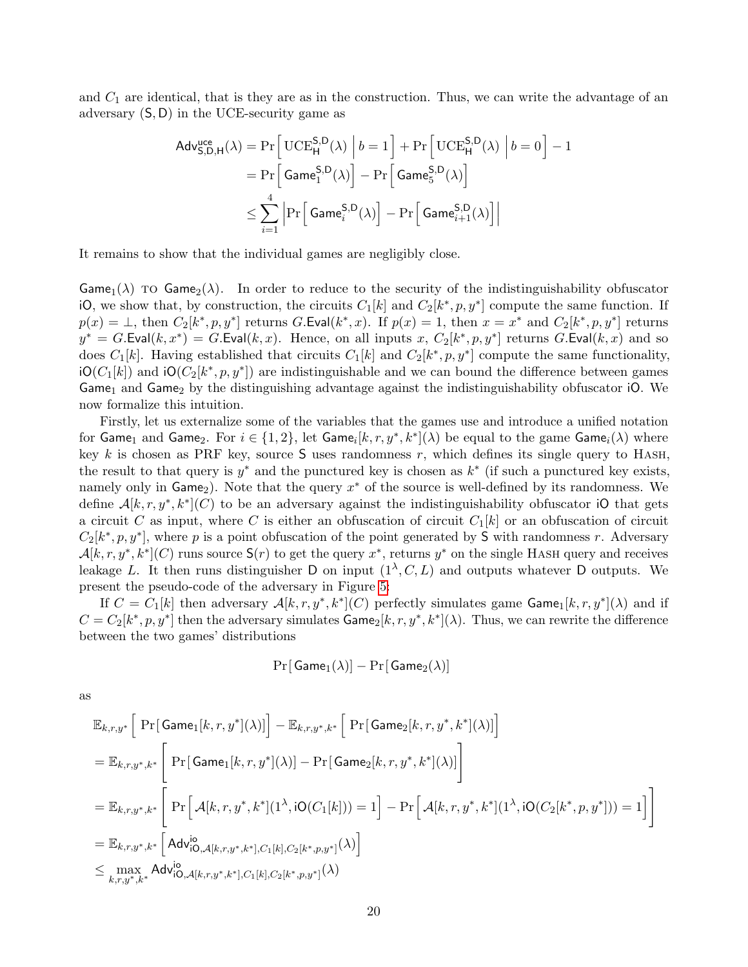and  $C_1$  are identical, that is they are as in the construction. Thus, we can write the advantage of an adversary (S, D) in the UCE-security game as

$$
\begin{aligned} \mathsf{Adv}_{\mathsf{S},\mathsf{D},\mathsf{H}}^{\mathsf{uce}}(\lambda) &= \Pr\Big[\,\mathrm{UCE}^{\mathsf{S},\mathsf{D}}_{\mathsf{H}}(\lambda)\,\,\Big|\,b=1\Big] + \Pr\Big[\,\mathrm{UCE}^{\mathsf{S},\mathsf{D}}_{\mathsf{H}}(\lambda)\,\,\Big|\,b=0\Big] - 1 \\ &= \Pr\Big[\,\mathsf{Game}^{\mathsf{S},\mathsf{D}}_1(\lambda)\Big] - \Pr\Big[\,\mathsf{Game}^{\mathsf{S},\mathsf{D}}_5(\lambda)\Big] \\ &\leq \sum_{i=1}^4 \left|\Pr\Big[\,\mathsf{Game}^{\mathsf{S},\mathsf{D}}_i(\lambda)\Big] - \Pr\Big[\,\mathsf{Game}^{\mathsf{S},\mathsf{D}}_{i+1}(\lambda)\Big]\right| \end{aligned}
$$

It remains to show that the individual games are negligibly close.

 $\mathsf{Game}_1(\lambda)$  to  $\mathsf{Game}_2(\lambda)$ . In order to reduce to the security of the indistinguishability obfuscator iO, we show that, by construction, the circuits  $C_1[k]$  and  $C_2[k^*, p, y^*]$  compute the same function. If  $p(x) = \bot$ , then  $C_2[k^*, p, y^*]$  returns G.Eval $(k^*, x)$ . If  $p(x) = 1$ , then  $x = x^*$  and  $C_2[k^*, p, y^*]$  returns  $y^* = G$ .Eval $(k, x^*) = G$ .Eval $(k, x)$ . Hence, on all inputs x,  $C_2[k^*, p, y^*]$  returns  $G$ .Eval $(k, x)$  and so does  $C_1[k]$ . Having established that circuits  $C_1[k]$  and  $C_2[k^*, p, y^*]$  compute the same functionality,  $iO(C_1[k])$  and  $iO(C_2[k^*, p, y^*])$  are indistinguishable and we can bound the difference between games Game<sub>1</sub> and Game<sub>2</sub> by the distinguishing advantage against the indistinguishability obfuscator iO. We now formalize this intuition.

Firstly, let us externalize some of the variables that the games use and introduce a unified notation for Game<sub>1</sub> and Game<sub>2</sub>. For  $i \in \{1,2\}$ , let Game<sub>i</sub> $[k,r,y^*,k^*](\lambda)$  be equal to the game Game<sub>i</sub>( $\lambda$ ) where key k is chosen as PRF key, source S uses randomness r, which defines its single query to HASH, the result to that query is  $y^*$  and the punctured key is chosen as  $k^*$  (if such a punctured key exists, namely only in  $Game_2$ ). Note that the query  $x^*$  of the source is well-defined by its randomness. We define  $\mathcal{A}[k,r,y^*,k^*](C)$  to be an adversary against the indistinguishability obfuscator iO that gets a circuit C as input, where C is either an obfuscation of circuit  $C_1[k]$  or an obfuscation of circuit  $C_2[k^*, p, y^*]$ , where p is a point obfuscation of the point generated by S with randomness r. Adversary  $\mathcal{A}[k,r,y^*,k^*](C)$  runs source  $\mathsf{S}(r)$  to get the query  $x^*$ , returns  $y^*$  on the single HASH query and receives leakage L. It then runs distinguisher D on input  $(1^{\lambda}, C, L)$  and outputs whatever D outputs. We present the pseudo-code of the adversary in Figure [5:](#page-20-0)

If  $C = C_1[k]$  then adversary  $\mathcal{A}[k, r, y^*, k^*](C)$  perfectly simulates game  $\text{Game}_1[k, r, y^*](\lambda)$  and if  $C = C_2[k^*, p, y^*]$  then the adversary simulates  $\text{Game}_2[k, r, y^*, k^*](\lambda)$ . Thus, we can rewrite the difference between the two games' distributions

$$
\Pr[\mathsf{Game}_1(\lambda)] - \Pr[\mathsf{Game}_2(\lambda)]
$$

as

$$
\begin{aligned} &\mathbb{E}_{k,r,y^{*}}\Big[\Pr\big[\mathsf{Game}_{1}[k,r,y^{*}](\lambda)\big]\Big]-\mathbb{E}_{k,r,y^{*},k^{*}}\Big[\Pr\big[\mathsf{Game}_{2}[k,r,y^{*},k^{*}](\lambda)\big]\Big] \\ &=\mathbb{E}_{k,r,y^{*},k^{*}}\Bigg[\Pr\big[\mathsf{Game}_{1}[k,r,y^{*}](\lambda)\big]-\Pr\big[\mathsf{Game}_{2}[k,r,y^{*},k^{*}](\lambda)\big]\Bigg] \\ &=\mathbb{E}_{k,r,y^{*},k^{*}}\Bigg[\Pr\Big[\mathcal{A}[k,r,y^{*},k^{*}](1^{\lambda},\mathsf{iO}(C_{1}[k]))=1\Big]-\Pr\Big[\mathcal{A}[k,r,y^{*},k^{*}](1^{\lambda},\mathsf{iO}(C_{2}[k^{*},p,y^{*}]))=1\Big]\Bigg] \\ &=\mathbb{E}_{k,r,y^{*},k^{*}}\Big[\mathsf{Adv}_{\mathsf{iO},\mathcal{A}[k,r,y^{*},k^{*}],C_{1}[k],C_{2}[k^{*},p,y^{*}](\lambda)}\Big] \\ &\leq\max_{k,r,y^{*},k^{*}}\mathsf{Adv}_{\mathsf{iO},\mathcal{A}[k,r,y^{*},k^{*}],C_{1}[k],C_{2}[k^{*},p,y^{*}](\lambda)}\end{aligned}
$$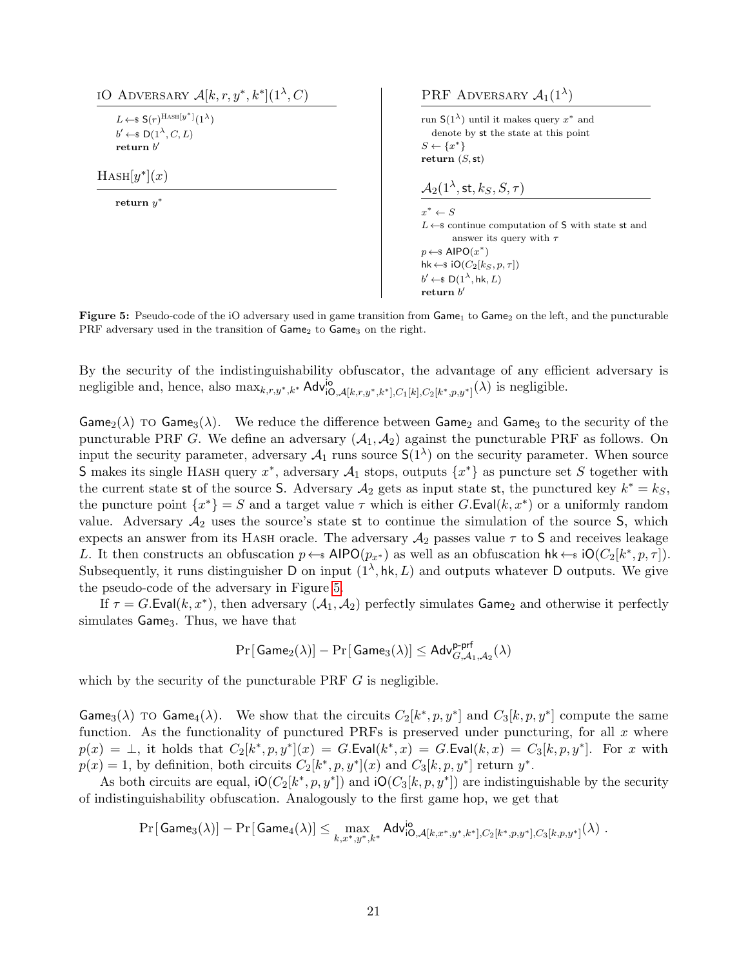<span id="page-20-0"></span>

|  | IO ADVERSARY $\mathcal{A}[k,r,y^*,k^*](1^{\lambda},C)$ |  |
|--|--------------------------------------------------------|--|
|--|--------------------------------------------------------|--|

L  $\leftarrow$  \$  $S(r)^{\text{HASH}[y^*]}(1^{\lambda})$  $b' \leftarrow \S$  D( $1^{\lambda}, C, L$ )  ${\bf return} \; b'$ 

 $HASH[y^*](x)$ 

return  $y^*$ 

PRF ADVERSARY  $A_1(1^{\lambda})$ 

run  $S(1^{\lambda})$  until it makes query  $x^*$  and denote by st the state at this point  $S \leftarrow \{x^*\}$ return  $(S, st)$ 

$$
\mathcal{A}_2(1^\lambda,\mathsf{st},k_S,S,\tau)
$$

 $x^* \leftarrow S$  $L \leftarrow$  continue computation of S with state st and answer its query with  $\tau$  $p \leftarrow s \text{AIPO}(x^*)$  $\leftarrow$ \$ iO( $C_2[k_S, p, \tau]$ )  $b' \leftarrow \$ \mathsf{D}(1^{\lambda}, \mathsf{hk}, L)$  $return b'$ 

Figure 5: Pseudo-code of the iO adversary used in game transition from  $\mathsf{Game}_1$  to  $\mathsf{Game}_2$  on the left, and the puncturable PRF adversary used in the transition of Game<sub>2</sub> to Game<sub>3</sub> on the right.

By the security of the indistinguishability obfuscator, the advantage of any efficient adversary is negligible and, hence, also  $\max_{k,r,y^*,k^*}$  Adv<sup>i</sup>o,  $\mathcal{A}[k,r,y^*,k^*]$ ,  $C_1[k], C_2[k^*,p,y^*]$  ( $\lambda$ ) is negligible.

Game<sub>2</sub>( $\lambda$ ) TO Game<sub>3</sub>( $\lambda$ ). We reduce the difference between Game<sub>2</sub> and Game<sub>3</sub> to the security of the puncturable PRF G. We define an adversary  $(\mathcal{A}_1, \mathcal{A}_2)$  against the puncturable PRF as follows. On input the security parameter, adversary  $\mathcal{A}_1$  runs source  $S(1^{\lambda})$  on the security parameter. When source S makes its single HASH query  $x^*$ , adversary  $\mathcal{A}_1$  stops, outputs  $\{x^*\}$  as puncture set S together with the current state st of the source S. Adversary  $A_2$  gets as input state st, the punctured key  $k^* = k_S$ , the puncture point  $\{x^*\}=S$  and a target value  $\tau$  which is either G.Eval $(k, x^*)$  or a uniformly random value. Adversary  $A_2$  uses the source's state st to continue the simulation of the source S, which expects an answer from its HASH oracle. The adversary  $\mathcal{A}_2$  passes value  $\tau$  to S and receives leakage L. It then constructs an obfuscation  $p \leftarrow s \text{AIPO}(p_{x^*})$  as well as an obfuscation  $\mathsf{hk} \leftarrow s \text{iO}(C_2[k^*, p, \tau])$ . Subsequently, it runs distinguisher D on input  $(1^{\lambda}, \hbar k, L)$  and outputs whatever D outputs. We give the pseudo-code of the adversary in Figure [5.](#page-20-0)

If  $\tau = G$ . Eval $(k, x^*)$ , then adversary  $(\mathcal{A}_1, \mathcal{A}_2)$  perfectly simulates Game<sub>2</sub> and otherwise it perfectly simulates Game<sub>3</sub>. Thus, we have that

$$
\Pr\!\left[\, \mathsf{Game}_2(\lambda)\right] - \Pr\!\left[\, \mathsf{Game}_3(\lambda)\right] \leq \mathsf{Adv}_{G,\mathcal{A}_1,\mathcal{A}_2}^{\mathsf{p-prf}}(\lambda)
$$

which by the security of the puncturable PRF G is negligible.

Game<sub>3</sub>( $\lambda$ ) TO Game<sub>4</sub>( $\lambda$ ). We show that the circuits  $C_2[k^*, p, y^*]$  and  $C_3[k, p, y^*]$  compute the same function. As the functionality of punctured PRFs is preserved under puncturing, for all  $x$  where  $p(x) = \bot$ , it holds that  $C_2[k^*, p, y^*](x) = G$ . Eval $(k^*, x) = G$ . Eval $(k, x) = C_3[k, p, y^*]$ . For x with  $p(x) = 1$ , by definition, both circuits  $C_2[k^*, p, y^*](x)$  and  $C_3[k, p, y^*]$  return  $y^*$ .

As both circuits are equal,  $\mathsf{IO}(C_2[k^*, p, y^*])$  and  $\mathsf{IO}(C_3[k, p, y^*])$  are indistinguishable by the security of indistinguishability obfuscation. Analogously to the first game hop, we get that

$$
\Pr\left[\, \mathsf{Game}_3(\lambda)\right] - \Pr\left[\, \mathsf{Game}_4(\lambda)\right] \leq \max_{k,x^*,y^*,k^*} \mathsf{Adv}_{\mathsf{iO},\mathcal{A}[k,x^*,y^*,k^*],C_2[k^*,p,y^*],C_3[k,p,y^*]}(\lambda)~.
$$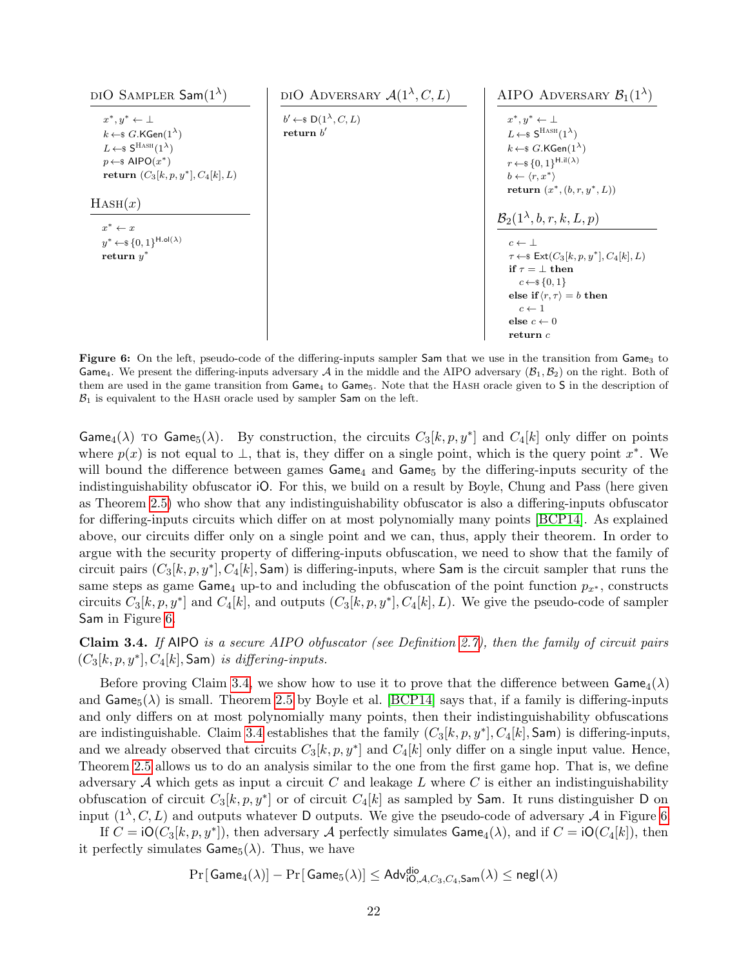<span id="page-21-2"></span><span id="page-21-0"></span>

Figure 6: On the left, pseudo-code of the differing-inputs sampler Sam that we use in the transition from Game<sub>3</sub> to Game<sub>4</sub>. We present the differing-inputs adversary A in the middle and the AIPO adversary  $(\mathcal{B}_1, \mathcal{B}_2)$  on the right. Both of them are used in the game transition from  $Game_4$  to  $Game_5$ . Note that the HASH oracle given to S in the description of  $\mathcal{B}_1$  is equivalent to the HASH oracle used by sampler Sam on the left.

Game<sub>4</sub>( $\lambda$ ) TO Game<sub>5</sub>( $\lambda$ ). By construction, the circuits  $C_3[k, p, y^*]$  and  $C_4[k]$  only differ on points where  $p(x)$  is not equal to  $\perp$ , that is, they differ on a single point, which is the query point  $x^*$ . We will bound the difference between games  $Game_4$  and  $Game_5$  by the differing-inputs security of the indistinguishability obfuscator iO. For this, we build on a result by Boyle, Chung and Pass (here given as Theorem [2.5\)](#page-11-1) who show that any indistinguishability obfuscator is also a differing-inputs obfuscator for differing-inputs circuits which differ on at most polynomially many points [\[BCP14\]](#page-28-2). As explained above, our circuits differ only on a single point and we can, thus, apply their theorem. In order to argue with the security property of differing-inputs obfuscation, we need to show that the family of circuit pairs  $(C_3[k, p, y^*], C_4[k], \mathsf{Sam})$  is differing-inputs, where  $\mathsf{Sam}$  is the circuit sampler that runs the same steps as game Game<sub>4</sub> up-to and including the obfuscation of the point function  $p_{x^*}$ , constructs circuits  $C_3[k, p, y^*]$  and  $C_4[k]$ , and outputs  $(C_3[k, p, y^*], C_4[k], L)$ . We give the pseudo-code of sampler Sam in Figure [6.](#page-21-0)

<span id="page-21-1"></span>Claim 3.4. If AIPO is a secure AIPO obfuscator (see Definition [2.7\)](#page-11-2), then the family of circuit pairs  $(C_3[k, p, y^*], C_4[k], \textsf{Sam})$  is differing-inputs.

Before proving Claim [3.4,](#page-21-1) we show how to use it to prove that the difference between  $\textsf{Game}_4(\lambda)$ and  $\mathsf{Game}_5(\lambda)$  is small. Theorem [2.5](#page-11-1) by Boyle et al. [\[BCP14\]](#page-28-2) says that, if a family is differing-inputs and only differs on at most polynomially many points, then their indistinguishability obfuscations are indistinguishable. Claim [3.4](#page-21-1) establishes that the family  $(C_3[k, p, y^*], C_4[k], \mathsf{Sam})$  is differing-inputs, and we already observed that circuits  $C_3[k, p, y^*]$  and  $C_4[k]$  only differ on a single input value. Hence, Theorem [2.5](#page-11-1) allows us to do an analysis similar to the one from the first game hop. That is, we define adversary A which gets as input a circuit C and leakage L where C is either an indistinguishability obfuscation of circuit  $C_3[k, p, y^*]$  or of circuit  $C_4[k]$  as sampled by Sam. It runs distinguisher D on input  $(1^{\lambda}, C, L)$  and outputs whatever D outputs. We give the pseudo-code of adversary A in Figure [6.](#page-21-0)

If  $C = iO(C_3[k, p, y^*])$ , then adversary A perfectly simulates  $\text{Game}_4(\lambda)$ , and if  $C = iO(C_4[k])$ , then it perfectly simulates  $\mathsf{Game}_5(\lambda)$ . Thus, we have

$$
\Pr\!\left[\mathsf{Game}_4(\lambda)\right] - \Pr\!\left[\mathsf{Game}_5(\lambda)\right] \leq \mathsf{Adv}_{\mathsf{iO},\mathcal{A},C_3,C_4,\mathsf{Sam}}^\mathsf{dio}(\lambda) \leq \mathsf{negl}(\lambda)
$$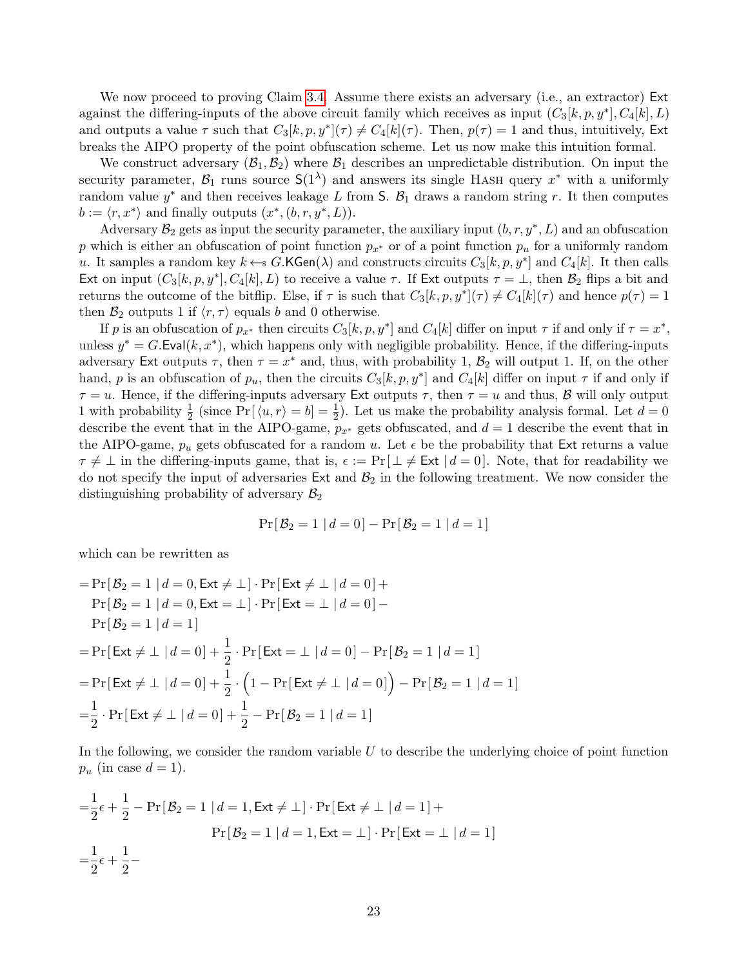We now proceed to proving Claim [3.4.](#page-21-1) Assume there exists an adversary (i.e., an extractor) Ext against the differing-inputs of the above circuit family which receives as input  $(C_3[k, p, y^*], C_4[k], L)$ and outputs a value  $\tau$  such that  $C_3[k, p, y^*](\tau) \neq C_4[k](\tau)$ . Then,  $p(\tau) = 1$  and thus, intuitively, Ext breaks the AIPO property of the point obfuscation scheme. Let us now make this intuition formal.

We construct adversary  $(\mathcal{B}_1, \mathcal{B}_2)$  where  $\mathcal{B}_1$  describes an unpredictable distribution. On input the security parameter,  $\mathcal{B}_1$  runs source  $S(1^{\lambda})$  and answers its single HASH query  $x^*$  with a uniformly random value  $y^*$  and then receives leakage L from S.  $\mathcal{B}_1$  draws a random string r. It then computes  $b := \langle r, x^* \rangle$  and finally outputs  $(x^*, (b, r, y^*, L)).$ 

Adversary  $\mathcal{B}_2$  gets as input the security parameter, the auxiliary input  $(b, r, y^*, L)$  and an obfuscation p which is either an obfuscation of point function  $p_{x*}$  or of a point function  $p_u$  for a uniformly random u. It samples a random key  $k \leftarrow s G.KGen(\lambda)$  and constructs circuits  $C_3[k, p, y^*]$  and  $C_4[k]$ . It then calls Ext on input  $(C_3[k, p, y^*], C_4[k], L)$  to receive a value  $\tau$ . If Ext outputs  $\tau = \bot$ , then  $\mathcal{B}_2$  flips a bit and returns the outcome of the bitflip. Else, if  $\tau$  is such that  $C_3[k, p, y^*](\tau) \neq C_4[k](\tau)$  and hence  $p(\tau) = 1$ then  $\mathcal{B}_2$  outputs 1 if  $\langle r, \tau \rangle$  equals b and 0 otherwise.

If p is an obfuscation of  $p_{x^*}$  then circuits  $C_3[k, p, y^*]$  and  $C_4[k]$  differ on input  $\tau$  if and only if  $\tau = x^*$ , unless  $y^* = G$ . Eval $(k, x^*)$ , which happens only with negligible probability. Hence, if the differing-inputs adversary Ext outputs  $\tau$ , then  $\tau = x^*$  and, thus, with probability 1,  $\mathcal{B}_2$  will output 1. If, on the other hand, p is an obfuscation of  $p_u$ , then the circuits  $C_3[k, p, y^*]$  and  $C_4[k]$  differ on input  $\tau$  if and only if  $\tau = u$ . Hence, if the differing-inputs adversary Ext outputs  $\tau$ , then  $\tau = u$  and thus, B will only output 1 with probability  $\frac{1}{2}$  (since Pr[ $\langle u, r \rangle = b$ ] =  $\frac{1}{2}$  $\frac{1}{2}$ ). Let us make the probability analysis formal. Let  $d = 0$ describe the event that in the AIPO-game,  $p_{x^*}$  gets obfuscated, and  $d = 1$  describe the event that in the AIPO-game,  $p_u$  gets obfuscated for a random u. Let  $\epsilon$  be the probability that Ext returns a value  $\tau \neq \bot$  in the differing-inputs game, that is,  $\epsilon := \Pr[\bot \neq \text{Ext} \mid d = 0].$  Note, that for readability we do not specify the input of adversaries  $Ext$  and  $B_2$  in the following treatment. We now consider the distinguishing probability of adversary  $\mathcal{B}_2$ 

$$
Pr[\mathcal{B}_2 = 1 | d = 0] - Pr[\mathcal{B}_2 = 1 | d = 1]
$$

which can be rewritten as

$$
= \Pr[B_2 = 1 | d = 0, \text{Ext} \neq \bot] \cdot \Pr[\text{Ext} \neq \bot | d = 0] +
$$
  
\n
$$
\Pr[B_2 = 1 | d = 0, \text{Ext} = \bot] \cdot \Pr[\text{Ext} = \bot | d = 0] -
$$
  
\n
$$
\Pr[B_2 = 1 | d = 1]
$$
  
\n
$$
= \Pr[\text{Ext} \neq \bot | d = 0] + \frac{1}{2} \cdot \Pr[\text{Ext} = \bot | d = 0] - \Pr[B_2 = 1 | d = 1]
$$
  
\n
$$
= \Pr[\text{Ext} \neq \bot | d = 0] + \frac{1}{2} \cdot (1 - \Pr[\text{Ext} \neq \bot | d = 0]) - \Pr[B_2 = 1 | d = 1]
$$
  
\n
$$
= \frac{1}{2} \cdot \Pr[\text{Ext} \neq \bot | d = 0] + \frac{1}{2} - \Pr[B_2 = 1 | d = 1]
$$

In the following, we consider the random variable  $U$  to describe the underlying choice of point function  $p_u$  (in case  $d = 1$ ).

$$
= \frac{1}{2}\epsilon + \frac{1}{2} - \Pr[\mathcal{B}_2 = 1 \mid d = 1, \text{Ext} \neq \bot] \cdot \Pr[\text{Ext} \neq \bot \mid d = 1] +
$$

$$
\Pr[\mathcal{B}_2 = 1 \mid d = 1, \text{Ext} = \bot] \cdot \Pr[\text{Ext} = \bot \mid d = 1]
$$

$$
= \frac{1}{2}\epsilon + \frac{1}{2} -
$$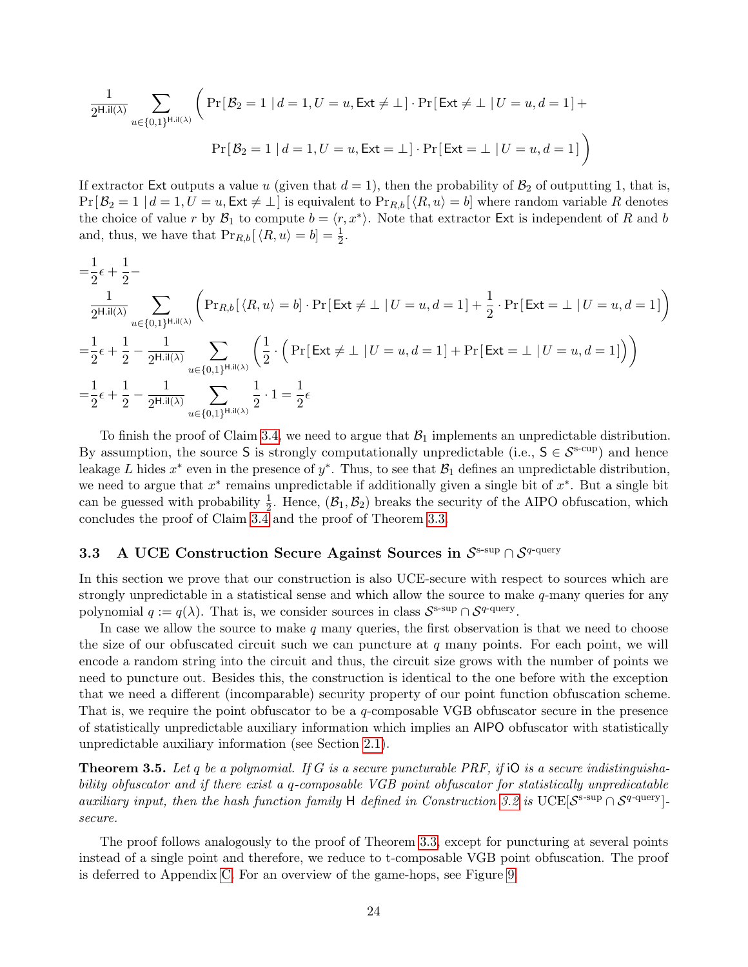$$
\frac{1}{2^{\text{H.i}( \lambda)}} \sum_{u \in \{0,1\}^{\text{H.i}( \lambda)}} \bigg( \Pr[\mathcal{B}_2 = 1 \mid d = 1, U = u, \text{Ext} \neq \bot] \cdot \Pr[\text{Ext} \neq \bot \mid U = u, d = 1] +
$$
  

$$
\Pr[\mathcal{B}_2 = 1 \mid d = 1, U = u, \text{Ext} = \bot] \cdot \Pr[\text{Ext} = \bot \mid U = u, d = 1] \bigg)
$$

If extractor Ext outputs a value u (given that  $d = 1$ ), then the probability of  $\mathcal{B}_2$  of outputting 1, that is,  $Pr[\mathcal{B}_2 = 1 \mid d = 1, U = u, \textsf{Ext} \neq \bot]$  is equivalent to  $Pr_{R,b}[\langle R, u \rangle = b]$  where random variable R denotes the choice of value r by  $\mathcal{B}_1$  to compute  $b = \langle r, x^* \rangle$ . Note that extractor Ext is independent of R and b and, thus, we have that  $Pr_{R,b}[\langle R, u \rangle = b] = \frac{1}{2}$ .

$$
= \frac{1}{2}\epsilon + \frac{1}{2} - \frac{1}{2^{H.iI(\lambda)}} \sum_{u \in \{0,1\}^{H.iI(\lambda)}} \left( \Pr_{R,b} \left[ \langle R, u \rangle = b \right] \cdot \Pr\left[ \text{Ext} \neq \bot \mid U = u, d = 1 \right] + \frac{1}{2} \cdot \Pr\left[ \text{Ext} = \bot \mid U = u, d = 1 \right] \right)
$$
  
\n
$$
= \frac{1}{2}\epsilon + \frac{1}{2} - \frac{1}{2^{H.iI(\lambda)}} \sum_{u \in \{0,1\}^{H.iI(\lambda)}} \left( \frac{1}{2} \cdot \left( \Pr\left[ \text{Ext} \neq \bot \mid U = u, d = 1 \right] + \Pr\left[ \text{Ext} = \bot \mid U = u, d = 1 \right] \right) \right)
$$
  
\n
$$
= \frac{1}{2}\epsilon + \frac{1}{2} - \frac{1}{2^{H.iI(\lambda)}} \sum_{u \in \{0,1\}^{H.iI(\lambda)}} \frac{1}{2} \cdot 1 = \frac{1}{2}\epsilon
$$

To finish the proof of Claim [3.4,](#page-21-1) we need to argue that  $B_1$  implements an unpredictable distribution. By assumption, the source S is strongly computationally unpredictable (i.e.,  $S \in \mathcal{S}^{s-cup}$ ) and hence leakage L hides  $x^*$  even in the presence of  $y^*$ . Thus, to see that  $\mathcal{B}_1$  defines an unpredictable distribution, we need to argue that  $x^*$  remains unpredictable if additionally given a single bit of  $x^*$ . But a single bit can be guessed with probability  $\frac{1}{2}$ . Hence,  $(\mathcal{B}_1, \mathcal{B}_2)$  breaks the security of the AIPO obfuscation, which concludes the proof of Claim [3.4](#page-21-1) and the proof of Theorem [3.3.](#page-17-1)

#### <span id="page-23-0"></span>3.3 A UCE Construction Secure Against Sources in  $S<sup>s</sup>$ -sup  $\cap S<sup>q</sup>$ -query

In this section we prove that our construction is also UCE-secure with respect to sources which are strongly unpredictable in a statistical sense and which allow the source to make  $q$ -many queries for any polynomial  $q := q(\lambda)$ . That is, we consider sources in class  $S^{\text{s-sup}} \cap S^{q\text{-query}}$ .

In case we allow the source to make  $q$  many queries, the first observation is that we need to choose the size of our obfuscated circuit such we can puncture at  $q$  many points. For each point, we will encode a random string into the circuit and thus, the circuit size grows with the number of points we need to puncture out. Besides this, the construction is identical to the one before with the exception that we need a different (incomparable) security property of our point function obfuscation scheme. That is, we require the point obfuscator to be a q-composable VGB obfuscator secure in the presence of statistically unpredictable auxiliary information which implies an AIPO obfuscator with statistically unpredictable auxiliary information (see Section [2.1\)](#page-9-0).

<span id="page-23-1"></span>**Theorem 3.5.** Let q be a polynomial. If G is a secure puncturable PRF, if  $i$ O is a secure indistinguishability obfuscator and if there exist a q-composable VGB point obfuscator for statistically unpredicatable auxiliary input, then the hash function family H defined in Construction [3.2](#page-17-3) is UCE[ $S<sup>s-sup</sup> \cap S<sup>q-query</sup>$ ]. secure.

The proof follows analogously to the proof of Theorem [3.3,](#page-17-1) except for puncturing at several points instead of a single point and therefore, we reduce to t-composable VGB point obfuscation. The proof is deferred to Appendix [C.](#page-34-1) For an overview of the game-hops, see Figure [9.](#page-36-0)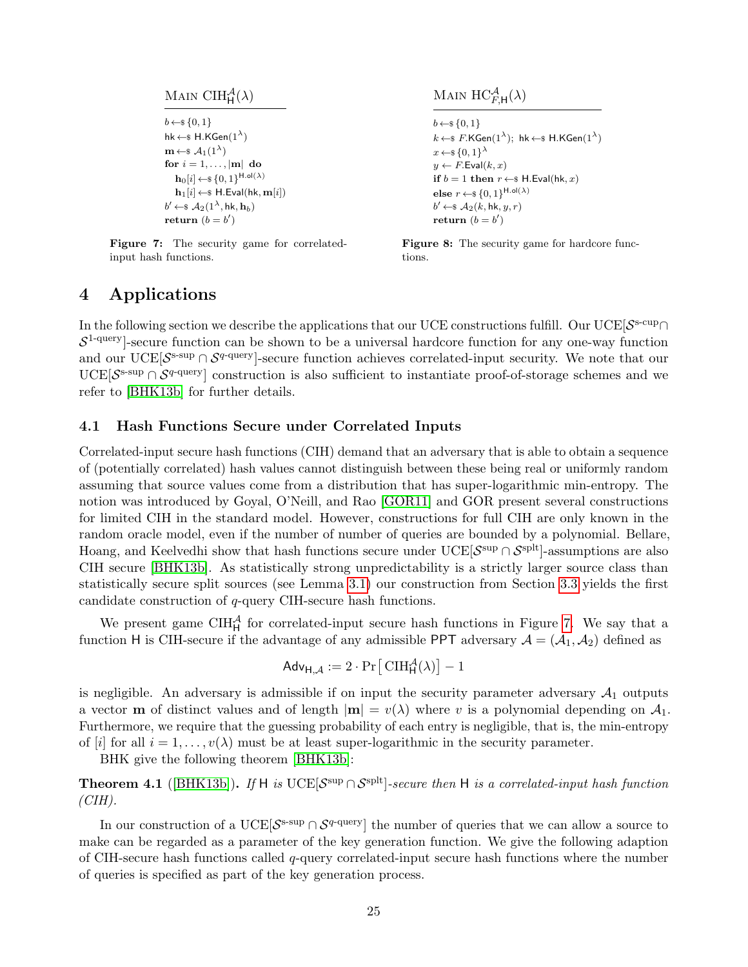```
Main \text{CH}^{\mathcal{A}}_{\mathsf{H}}(\lambda)b \leftarrow s \{0, 1\}hk \leftarrow$ H.KGen(1^{\lambda})\mathbf{m} \leftarrow \$ \mathcal{A}_1(1^\lambda)for i = 1, \ldots, |m| do
      \mathbf{h}_{0}[i] \!\leftarrow\!\! \$} \{0,1\}^{\mathsf{H.ol}(\lambda)}\mathbf{h}_1[i] \leftarrow \$ \mathsf{H}.\mathsf{Eval}(\mathsf{hk}, \mathbf{m}[i])b' \leftarrow $\mathcal{A}_2(1^{\lambda},\textsf{hk}, \textbf{h}_b)return (b = b')
```
Figure 7: The security game for correlatedinput hash functions.

Main  $\mathrm{HC}^{\mathcal{A}}_{F,\mathsf{H}}(\lambda)$ 

```
b \leftarrow \{0, 1\}k \leftarrow$ F.KGen(1^{\lambda}); hk\leftarrow$ H.KGen(1^{\lambda})x \leftarrow \{0,1\}^{\lambda}y \leftarrow F. Eval(k, x)if b = 1 then r \leftarrow \$ H.Eval(hk, x)
else r \leftarrow \$ \{0,1\}^{\mathsf{H.ol}(\lambda)}b' \leftarrow \mathsf{s} \mathcal{A}_2(k,\mathsf{hk},y,r)return (b = b')
```
Figure 8: The security game for hardcore functions.

## <span id="page-24-0"></span>4 Applications

In the following section we describe the applications that our UCE constructions fulfill. Our UCE $[{\cal S}^{\text{scup}}]$  $S<sup>1-query</sup>$ -secure function can be shown to be a universal hardcore function for any one-way function and our UCE[ $S^{\text{s-sup}} \cap S^{\text{q-qvery}}$ ]-secure function achieves correlated-input security. We note that our UCE $[\mathcal{S}^{\text{s-sup}} \cap \mathcal{S}^{\text{qquery}}]$  construction is also sufficient to instantiate proof-of-storage schemes and we refer to [\[BHK13b\]](#page-29-3) for further details.

#### <span id="page-24-1"></span>4.1 Hash Functions Secure under Correlated Inputs

Correlated-input secure hash functions (CIH) demand that an adversary that is able to obtain a sequence of (potentially correlated) hash values cannot distinguish between these being real or uniformly random assuming that source values come from a distribution that has super-logarithmic min-entropy. The notion was introduced by Goyal, O'Neill, and Rao [\[GOR11\]](#page-31-0) and GOR present several constructions for limited CIH in the standard model. However, constructions for full CIH are only known in the random oracle model, even if the number of number of queries are bounded by a polynomial. Bellare, Hoang, and Keelvedhi show that hash functions secure under UCE  $S^{\text{sup}} \cap S^{\text{split}}$  -assumptions are also CIH secure [\[BHK13b\]](#page-29-3). As statistically strong unpredictability is a strictly larger source class than statistically secure split sources (see Lemma [3.1\)](#page-16-0) our construction from Section [3.3](#page-23-0) yields the first candidate construction of q-query CIH-secure hash functions.

We present game  $\text{CH}_{H}^{\mathcal{A}}$  for correlated-input secure hash functions in Figure [7.](#page-24-2) We say that a function H is CIH-secure if the advantage of any admissible PPT adversary  $A = (A_1, A_2)$  defined as

$$
\mathsf{Adv}_{\mathsf{H},\mathcal{A}}:=2\cdot\Pr\big[\operatorname{CH}^{\mathcal{A}}_{\mathsf{H}}(\lambda)\big]-1
$$

is negligible. An adversary is admissible if on input the security parameter adversary  $A_1$  outputs a vector **m** of distinct values and of length  $|\mathbf{m}| = v(\lambda)$  where v is a polynomial depending on  $\mathcal{A}_1$ . Furthermore, we require that the guessing probability of each entry is negligible, that is, the min-entropy of [i] for all  $i = 1, \ldots, v(\lambda)$  must be at least super-logarithmic in the security parameter.

BHK give the following theorem [\[BHK13b\]](#page-29-3):

<span id="page-24-3"></span>**Theorem 4.1** ([\[BHK13b\]](#page-29-3)). If H is UCE[ $\mathcal{S}^{\text{sup}} \cap \mathcal{S}^{\text{split}}$ ]-secure then H is a correlated-input hash function  $(CIH)$ .

In our construction of a UCE  $S^{\text{s-sup}} \cap S^{q\text{-query}}$  the number of queries that we can allow a source to make can be regarded as a parameter of the key generation function. We give the following adaption of CIH-secure hash functions called  $q$ -query correlated-input secure hash functions where the number of queries is specified as part of the key generation process.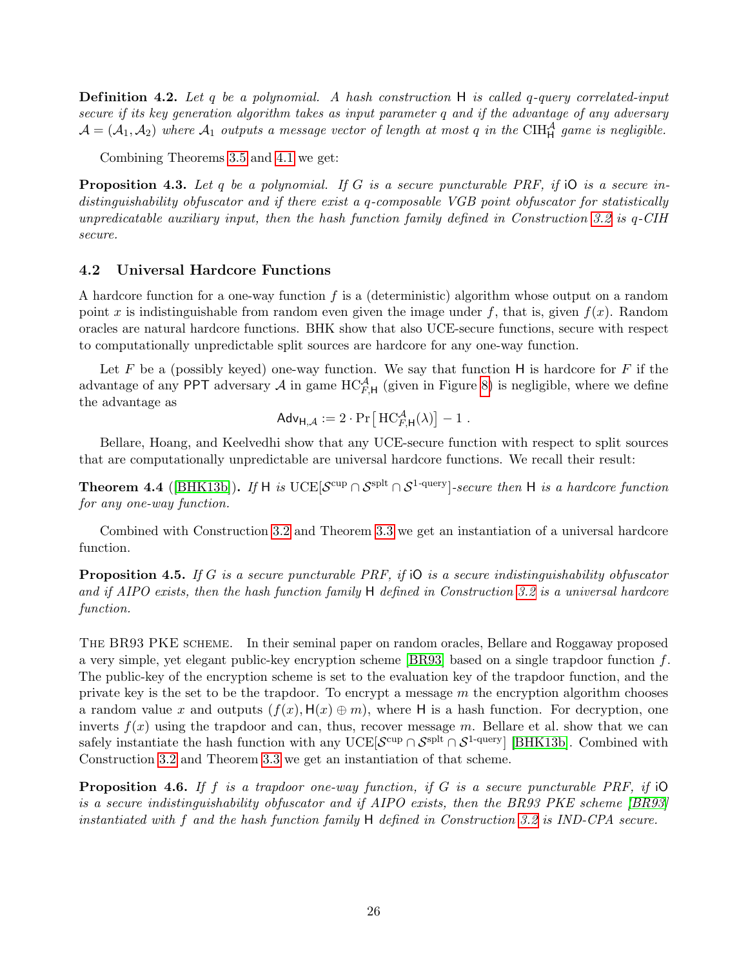<span id="page-25-1"></span>**Definition 4.2.** Let q be a polynomial. A hash construction  $H$  is called q-query correlated-input secure if its key generation algorithm takes as input parameter q and if the advantage of any adversary  $\mathcal{A}=(\mathcal{A}_1,\mathcal{A}_2)$  where  $\mathcal{A}_1$  outputs a message vector of length at most q in the CIH $^{\mathcal{A}}_{\mathsf{H}}$  game is negligible.

Combining Theorems [3.5](#page-23-1) and [4.1](#page-24-3) we get:

**Proposition 4.3.** Let q be a polynomial. If G is a secure puncturable PRF, if iQ is a secure indistinguishability obfuscator and if there exist a q-composable VGB point obfuscator for statistically unpredicatable auxiliary input, then the hash function family defined in Construction [3.2](#page-17-3) is  $q$ -CIH secure.

#### <span id="page-25-0"></span>4.2 Universal Hardcore Functions

A hardcore function for a one-way function  $f$  is a (deterministic) algorithm whose output on a random point x is indistinguishable from random even given the image under f, that is, given  $f(x)$ . Random oracles are natural hardcore functions. BHK show that also UCE-secure functions, secure with respect to computationally unpredictable split sources are hardcore for any one-way function.

Let F be a (possibly keyed) one-way function. We say that function  $H$  is hardcore for F if the advantage of any PPT adversary A in game  $HC_{F,H}^{\mathcal{A}}$  (given in Figure [8\)](#page-24-2) is negligible, where we define the advantage as

$$
\mathsf{Adv}_{\mathsf{H},\mathcal{A}} := 2 \cdot \Pr\left[\,\mathrm{HC}_{F,\mathsf{H}}^{\mathcal{A}}(\lambda)\right] - 1\;.
$$

Bellare, Hoang, and Keelvedhi show that any UCE-secure function with respect to split sources that are computationally unpredictable are universal hardcore functions. We recall their result:

**Theorem 4.4** ([\[BHK13b\]](#page-29-3)). If H is UCE[ $S^{cup} \cap S^{split} \cap S^{1-query}$ ]-secure then H is a hardcore function for any one-way function.

Combined with Construction [3.2](#page-17-3) and Theorem [3.3](#page-17-1) we get an instantiation of a universal hardcore function.

**Proposition 4.5.** If G is a secure puncturable PRF, if  $\mathbf{I}$  is a secure indistinguishability obfuscator and if AIPO exists, then the hash function family H defined in Construction [3.2](#page-17-3) is a universal hardcore function.

THE BR93 PKE SCHEME. In their seminal paper on random oracles, Bellare and Roggaway proposed a very simple, yet elegant public-key encryption scheme [\[BR93\]](#page-29-8) based on a single trapdoor function f. The public-key of the encryption scheme is set to the evaluation key of the trapdoor function, and the private key is the set to be the trapdoor. To encrypt a message  $m$  the encryption algorithm chooses a random value x and outputs  $(f(x), H(x) \oplus m)$ , where H is a hash function. For decryption, one inverts  $f(x)$  using the trapdoor and can, thus, recover message m. Bellare et al. show that we can safely instantiate the hash function with any UCE $[\mathcal{S}^{\text{cup}} \cap \mathcal{S}^{\text{split}} \cap \mathcal{S}^{\text{1-query}}]$  [\[BHK13b\]](#page-29-3). Combined with Construction [3.2](#page-17-3) and Theorem [3.3](#page-17-1) we get an instantiation of that scheme.

**Proposition 4.6.** If f is a trapdoor one-way function, if G is a secure puncturable PRF, if  $\overline{O}$ is a secure indistinguishability obfuscator and if AIPO exists, then the BR93 PKE scheme [\[BR93\]](#page-29-8) instantiated with f and the hash function family H defined in Construction [3.2](#page-17-3) is IND-CPA secure.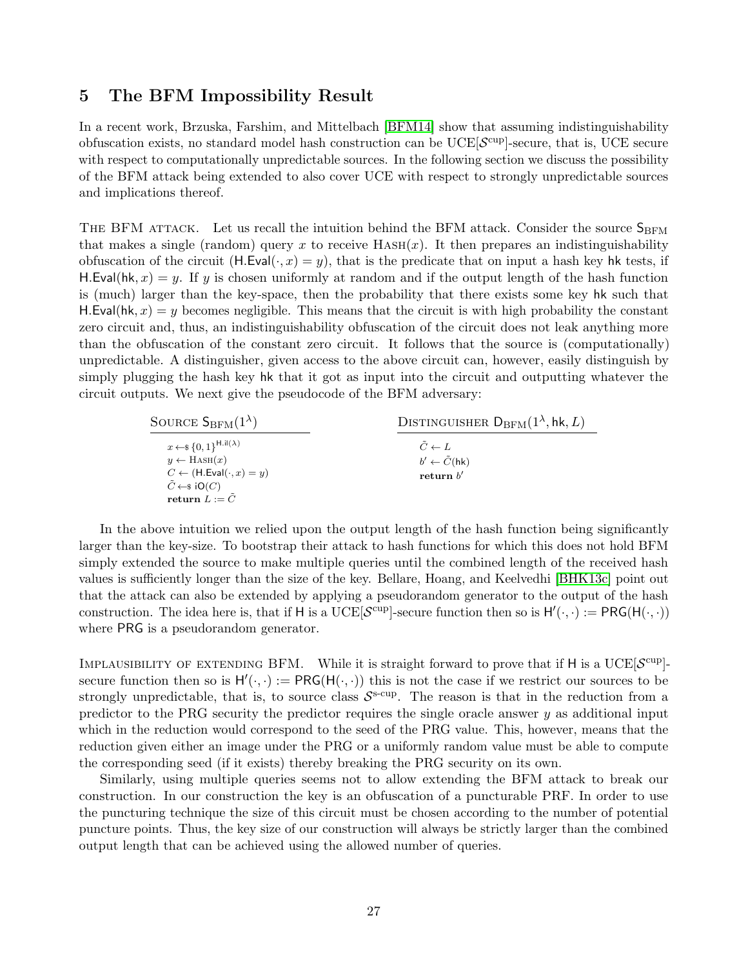## <span id="page-26-1"></span><span id="page-26-0"></span>5 The BFM Impossibility Result

In a recent work, Brzuska, Farshim, and Mittelbach [\[BFM14\]](#page-28-3) show that assuming indistinguishability obfuscation exists, no standard model hash construction can be  $\text{UCE}[\mathcal{S}^{\text{cup}}]$ -secure, that is, UCE secure with respect to computationally unpredictable sources. In the following section we discuss the possibility of the BFM attack being extended to also cover UCE with respect to strongly unpredictable sources and implications thereof.

THE BFM ATTACK. Let us recall the intuition behind the BFM attack. Consider the source  $S_{BFM}$ that makes a single (random) query x to receive  $HASH(x)$ . It then prepares an indistinguishability obfuscation of the circuit  $(H.Eval(\cdot, x) = y)$ , that is the predicate that on input a hash key hk tests, if H.Eval(hk, x) = y. If y is chosen uniformly at random and if the output length of the hash function is (much) larger than the key-space, then the probability that there exists some key hk such that H.Eval(hk, x) = y becomes negligible. This means that the circuit is with high probability the constant zero circuit and, thus, an indistinguishability obfuscation of the circuit does not leak anything more than the obfuscation of the constant zero circuit. It follows that the source is (computationally) unpredictable. A distinguisher, given access to the above circuit can, however, easily distinguish by simply plugging the hash key hk that it got as input into the circuit and outputting whatever the circuit outputs. We next give the pseudocode of the BFM adversary:

| SOURCE $S_{BFM}(1^{\lambda})$                                                                                                                                                     | DISTINGUISHER $D_{BFM}(1^{\lambda}, h\mathsf{k}, L)$              |
|-----------------------------------------------------------------------------------------------------------------------------------------------------------------------------------|-------------------------------------------------------------------|
| $x \leftarrow \{0,1\}^{\text{H.il}(\lambda)}$<br>$y \leftarrow$ HASH $(x)$<br>$C \leftarrow (H.Eval(\cdot, x) = y)$<br>$\tilde{C} \leftarrow$ s iO $(C)$<br>return $L:=\tilde{C}$ | $C \leftarrow L$<br>$b' \leftarrow \tilde{C}$ (hk)<br>return $b'$ |

In the above intuition we relied upon the output length of the hash function being significantly larger than the key-size. To bootstrap their attack to hash functions for which this does not hold BFM simply extended the source to make multiple queries until the combined length of the received hash values is sufficiently longer than the size of the key. Bellare, Hoang, and Keelvedhi [\[BHK13c\]](#page-29-6) point out that the attack can also be extended by applying a pseudorandom generator to the output of the hash construction. The idea here is, that if H is a UCE  $[\mathcal{S}^{\text{cup}}]$ -secure function then so is  $H'(\cdot, \cdot) := \text{PRG}(H(\cdot, \cdot))$ where PRG is a pseudorandom generator.

IMPLAUSIBILITY OF EXTENDING BFM. While it is straight forward to prove that if H is a UCE  $[\mathcal{S}^{\text{cup}}]$ secure function then so is  $H'(\cdot, \cdot) := \text{PRG}(H(\cdot, \cdot))$  this is not the case if we restrict our sources to be strongly unpredictable, that is, to source class  $S^{\text{s-cup}}$ . The reason is that in the reduction from a predictor to the PRG security the predictor requires the single oracle answer  $\eta$  as additional input which in the reduction would correspond to the seed of the PRG value. This, however, means that the reduction given either an image under the PRG or a uniformly random value must be able to compute the corresponding seed (if it exists) thereby breaking the PRG security on its own.

Similarly, using multiple queries seems not to allow extending the BFM attack to break our construction. In our construction the key is an obfuscation of a puncturable PRF. In order to use the puncturing technique the size of this circuit must be chosen according to the number of potential puncture points. Thus, the key size of our construction will always be strictly larger than the combined output length that can be achieved using the allowed number of queries.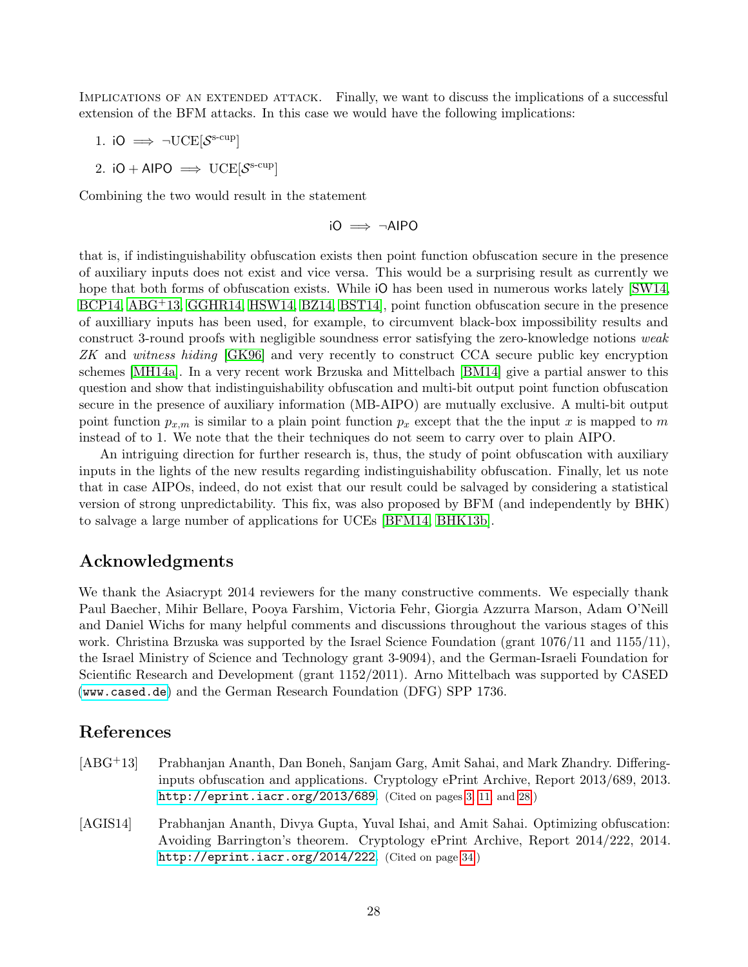<span id="page-27-1"></span>Implications of an extended attack. Finally, we want to discuss the implications of a successful extension of the BFM attacks. In this case we would have the following implications:

- 1. iO  $\implies \neg \text{UCE}[\mathcal{S}^{\text{s-cup}}]$
- 2.  $iO + A \parallel PO \implies \text{UCE}[\mathcal{S}^{\text{s-cup}}]$

Combining the two would result in the statement

$$
iO \implies \neg AIPO
$$

that is, if indistinguishability obfuscation exists then point function obfuscation secure in the presence of auxiliary inputs does not exist and vice versa. This would be a surprising result as currently we hope that both forms of obfuscation exists. While  $\overline{10}$  has been used in numerous works lately [\[SW14,](#page-32-1) [BCP14,](#page-28-2) [ABG](#page-27-0)<sup>+</sup>13, [GGHR14,](#page-30-2) [HSW14,](#page-31-1) [BZ14,](#page-30-3) BST14, point function obfuscation secure in the presence of auxilliary inputs has been used, for example, to circumvent black-box impossibility results and construct 3-round proofs with negligible soundness error satisfying the zero-knowledge notions weak ZK and witness hiding [\[GK96\]](#page-31-7) and very recently to construct CCA secure public key encryption schemes [\[MH14a\]](#page-32-5). In a very recent work Brzuska and Mittelbach [\[BM14\]](#page-29-5) give a partial answer to this question and show that indistinguishability obfuscation and multi-bit output point function obfuscation secure in the presence of auxiliary information (MB-AIPO) are mutually exclusive. A multi-bit output point function  $p_{x,m}$  is similar to a plain point function  $p_x$  except that the the input x is mapped to m instead of to 1. We note that the their techniques do not seem to carry over to plain AIPO.

An intriguing direction for further research is, thus, the study of point obfuscation with auxiliary inputs in the lights of the new results regarding indistinguishability obfuscation. Finally, let us note that in case AIPOs, indeed, do not exist that our result could be salvaged by considering a statistical version of strong unpredictability. This fix, was also proposed by BFM (and independently by BHK) to salvage a large number of applications for UCEs [\[BFM14,](#page-28-3) [BHK13b\]](#page-29-3).

#### Acknowledgments

We thank the Asiacrypt 2014 reviewers for the many constructive comments. We especially thank Paul Baecher, Mihir Bellare, Pooya Farshim, Victoria Fehr, Giorgia Azzurra Marson, Adam O'Neill and Daniel Wichs for many helpful comments and discussions throughout the various stages of this work. Christina Brzuska was supported by the Israel Science Foundation (grant 1076/11 and 1155/11), the Israel Ministry of Science and Technology grant 3-9094), and the German-Israeli Foundation for Scientific Research and Development (grant 1152/2011). Arno Mittelbach was supported by CASED (<www.cased.de>) and the German Research Foundation (DFG) SPP 1736.

## References

- <span id="page-27-0"></span>[ABG+13] Prabhanjan Ananth, Dan Boneh, Sanjam Garg, Amit Sahai, and Mark Zhandry. Differinginputs obfuscation and applications. Cryptology ePrint Archive, Report 2013/689, 2013. <http://eprint.iacr.org/2013/689>. (Cited on pages [3,](#page-2-1) [11,](#page-10-0) and [28.](#page-27-1))
- <span id="page-27-2"></span>[AGIS14] Prabhanjan Ananth, Divya Gupta, Yuval Ishai, and Amit Sahai. Optimizing obfuscation: Avoiding Barrington's theorem. Cryptology ePrint Archive, Report 2014/222, 2014. <http://eprint.iacr.org/2014/222>. (Cited on page [34.](#page-33-1))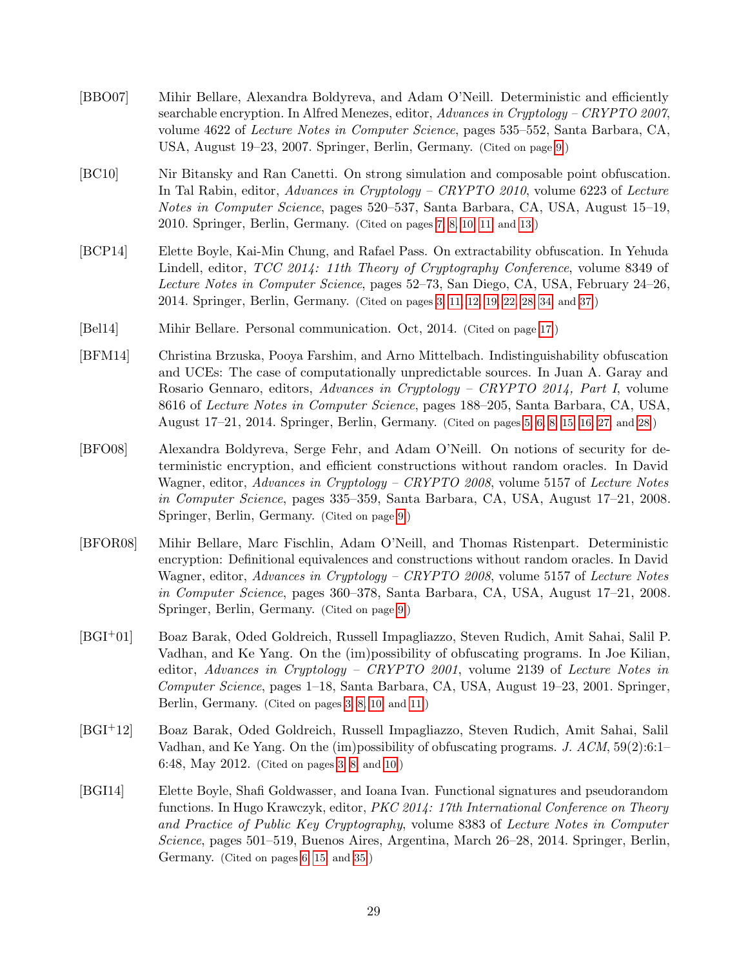- <span id="page-28-7"></span>[BBO07] Mihir Bellare, Alexandra Boldyreva, and Adam O'Neill. Deterministic and efficiently searchable encryption. In Alfred Menezes, editor, Advances in Cryptology – CRYPTO 2007, volume 4622 of Lecture Notes in Computer Science, pages 535–552, Santa Barbara, CA, USA, August 19–23, 2007. Springer, Berlin, Germany. (Cited on page [9.](#page-8-2))
- <span id="page-28-5"></span>[BC10] Nir Bitansky and Ran Canetti. On strong simulation and composable point obfuscation. In Tal Rabin, editor, Advances in Cryptology – CRYPTO 2010, volume 6223 of Lecture Notes in Computer Science, pages 520–537, Santa Barbara, CA, USA, August 15–19, 2010. Springer, Berlin, Germany. (Cited on pages [7,](#page-6-0) [8,](#page-7-0) [10,](#page-9-2) [11,](#page-10-0) and [13.](#page-12-1))
- <span id="page-28-2"></span>[BCP14] Elette Boyle, Kai-Min Chung, and Rafael Pass. On extractability obfuscation. In Yehuda Lindell, editor, *TCC 2014: 11th Theory of Cryptography Conference*, volume 8349 of Lecture Notes in Computer Science, pages 52–73, San Diego, CA, USA, February 24–26, 2014. Springer, Berlin, Germany. (Cited on pages [3,](#page-2-1) [11,](#page-10-0) [12,](#page-11-3) [19,](#page-18-1) [22,](#page-21-2) [28,](#page-27-1) [34,](#page-33-1) and [37.](#page-36-1))
- <span id="page-28-9"></span>[Bel14] Mihir Bellare. Personal communication. Oct, 2014. (Cited on page [17.](#page-16-1))
- <span id="page-28-3"></span>[BFM14] Christina Brzuska, Pooya Farshim, and Arno Mittelbach. Indistinguishability obfuscation and UCEs: The case of computationally unpredictable sources. In Juan A. Garay and Rosario Gennaro, editors, Advances in Cryptology – CRYPTO 2014, Part I, volume 8616 of Lecture Notes in Computer Science, pages 188–205, Santa Barbara, CA, USA, August 17–21, 2014. Springer, Berlin, Germany. (Cited on pages [5,](#page-4-0) [6,](#page-5-1) [8,](#page-7-0) [15,](#page-14-3) [16,](#page-15-2) [27,](#page-26-1) and [28.](#page-27-1))
- <span id="page-28-8"></span>[BFO08] Alexandra Boldyreva, Serge Fehr, and Adam O'Neill. On notions of security for deterministic encryption, and efficient constructions without random oracles. In David Wagner, editor, Advances in Cryptology – CRYPTO 2008, volume 5157 of Lecture Notes in Computer Science, pages 335–359, Santa Barbara, CA, USA, August 17–21, 2008. Springer, Berlin, Germany. (Cited on page [9.](#page-8-2))
- <span id="page-28-6"></span>[BFOR08] Mihir Bellare, Marc Fischlin, Adam O'Neill, and Thomas Ristenpart. Deterministic encryption: Definitional equivalences and constructions without random oracles. In David Wagner, editor, Advances in Cryptology – CRYPTO 2008, volume 5157 of Lecture Notes in Computer Science, pages 360–378, Santa Barbara, CA, USA, August 17–21, 2008. Springer, Berlin, Germany. (Cited on page [9.](#page-8-2))
- <span id="page-28-0"></span>[BGI+01] Boaz Barak, Oded Goldreich, Russell Impagliazzo, Steven Rudich, Amit Sahai, Salil P. Vadhan, and Ke Yang. On the (im)possibility of obfuscating programs. In Joe Kilian, editor, Advances in Cryptology – CRYPTO 2001, volume 2139 of Lecture Notes in Computer Science, pages 1–18, Santa Barbara, CA, USA, August 19–23, 2001. Springer, Berlin, Germany. (Cited on pages [3,](#page-2-1) [8,](#page-7-0) [10,](#page-9-2) and [11.](#page-10-0))
- <span id="page-28-1"></span>[BGI+12] Boaz Barak, Oded Goldreich, Russell Impagliazzo, Steven Rudich, Amit Sahai, Salil Vadhan, and Ke Yang. On the (im)possibility of obfuscating programs. J. ACM, 59(2):6:1– 6:48, May 2012. (Cited on pages [3,](#page-2-1) [8,](#page-7-0) and [10.](#page-9-2))
- <span id="page-28-4"></span>[BGI14] Elette Boyle, Shafi Goldwasser, and Ioana Ivan. Functional signatures and pseudorandom functions. In Hugo Krawczyk, editor, PKC 2014: 17th International Conference on Theory and Practice of Public Key Cryptography, volume 8383 of Lecture Notes in Computer Science, pages 501–519, Buenos Aires, Argentina, March 26–28, 2014. Springer, Berlin, Germany. (Cited on pages [6,](#page-5-1) [15,](#page-14-3) and [35.](#page-34-3))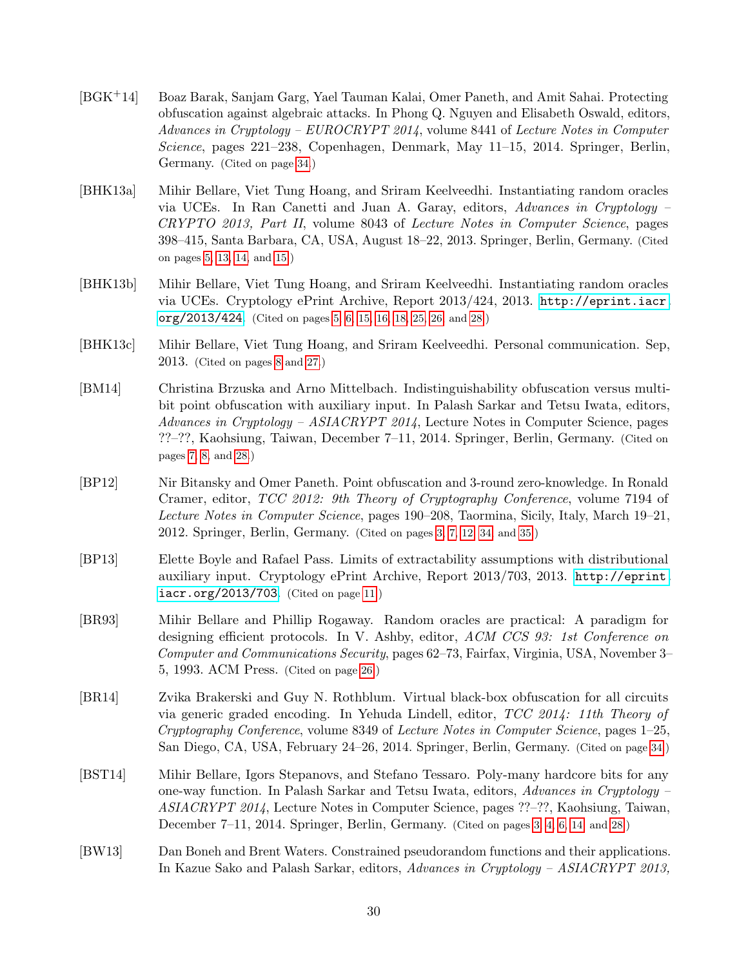- <span id="page-29-10"></span>[BGK+14] Boaz Barak, Sanjam Garg, Yael Tauman Kalai, Omer Paneth, and Amit Sahai. Protecting obfuscation against algebraic attacks. In Phong Q. Nguyen and Elisabeth Oswald, editors, Advances in Cryptology – EUROCRYPT 2014, volume 8441 of Lecture Notes in Computer Science, pages 221–238, Copenhagen, Denmark, May 11–15, 2014. Springer, Berlin, Germany. (Cited on page [34.](#page-33-1))
- <span id="page-29-2"></span>[BHK13a] Mihir Bellare, Viet Tung Hoang, and Sriram Keelveedhi. Instantiating random oracles via UCEs. In Ran Canetti and Juan A. Garay, editors, Advances in Cryptology – CRYPTO 2013, Part II, volume 8043 of Lecture Notes in Computer Science, pages 398–415, Santa Barbara, CA, USA, August 18–22, 2013. Springer, Berlin, Germany. (Cited on pages [5,](#page-4-0) [13,](#page-12-1) [14,](#page-13-1) and [15.](#page-14-3))
- <span id="page-29-3"></span>[BHK13b] Mihir Bellare, Viet Tung Hoang, and Sriram Keelveedhi. Instantiating random oracles via UCEs. Cryptology ePrint Archive, Report 2013/424, 2013. [http://eprint.iacr.](http://eprint.iacr.org/2013/424) [org/2013/424](http://eprint.iacr.org/2013/424). (Cited on pages [5,](#page-4-0) [6,](#page-5-1) [15,](#page-14-3) [16,](#page-15-2) [18,](#page-17-4) [25,](#page-24-4) [26,](#page-25-1) and [28.](#page-27-1))
- <span id="page-29-6"></span>[BHK13c] Mihir Bellare, Viet Tung Hoang, and Sriram Keelveedhi. Personal communication. Sep, 2013. (Cited on pages [8](#page-7-0) and [27.](#page-26-1))
- <span id="page-29-5"></span>[BM14] Christina Brzuska and Arno Mittelbach. Indistinguishability obfuscation versus multibit point obfuscation with auxiliary input. In Palash Sarkar and Tetsu Iwata, editors, Advances in Cryptology – ASIACRYPT 2014, Lecture Notes in Computer Science, pages ??–??, Kaohsiung, Taiwan, December 7–11, 2014. Springer, Berlin, Germany. (Cited on pages [7,](#page-6-0) [8,](#page-7-0) and [28.](#page-27-1))
- <span id="page-29-0"></span>[BP12] Nir Bitansky and Omer Paneth. Point obfuscation and 3-round zero-knowledge. In Ronald Cramer, editor, TCC 2012: 9th Theory of Cryptography Conference, volume 7194 of Lecture Notes in Computer Science, pages 190–208, Taormina, Sicily, Italy, March 19–21, 2012. Springer, Berlin, Germany. (Cited on pages [3,](#page-2-1) [7,](#page-6-0) [12,](#page-11-3) [34,](#page-33-1) and [35.](#page-34-3))
- <span id="page-29-7"></span>[BP13] Elette Boyle and Rafael Pass. Limits of extractability assumptions with distributional auxiliary input. Cryptology ePrint Archive, Report 2013/703, 2013. [http://eprint.](http://eprint.iacr.org/2013/703) [iacr.org/2013/703](http://eprint.iacr.org/2013/703). (Cited on page [11.](#page-10-0))
- <span id="page-29-8"></span>[BR93] Mihir Bellare and Phillip Rogaway. Random oracles are practical: A paradigm for designing efficient protocols. In V. Ashby, editor, ACM CCS 93: 1st Conference on Computer and Communications Security, pages 62–73, Fairfax, Virginia, USA, November 3– 5, 1993. ACM Press. (Cited on page [26.](#page-25-1))
- <span id="page-29-9"></span>[BR14] Zvika Brakerski and Guy N. Rothblum. Virtual black-box obfuscation for all circuits via generic graded encoding. In Yehuda Lindell, editor, TCC 2014: 11th Theory of Cryptography Conference, volume 8349 of Lecture Notes in Computer Science, pages 1–25, San Diego, CA, USA, February 24–26, 2014. Springer, Berlin, Germany. (Cited on page [34.](#page-33-1))
- <span id="page-29-1"></span>[BST14] Mihir Bellare, Igors Stepanovs, and Stefano Tessaro. Poly-many hardcore bits for any one-way function. In Palash Sarkar and Tetsu Iwata, editors, Advances in Cryptology – ASIACRYPT 2014, Lecture Notes in Computer Science, pages ??–??, Kaohsiung, Taiwan, December 7–11, 2014. Springer, Berlin, Germany. (Cited on pages [3,](#page-2-1) [4,](#page-3-0) [6,](#page-5-1) [14,](#page-13-1) and [28.](#page-27-1))
- <span id="page-29-4"></span>[BW13] Dan Boneh and Brent Waters. Constrained pseudorandom functions and their applications. In Kazue Sako and Palash Sarkar, editors, Advances in Cryptology – ASIACRYPT 2013,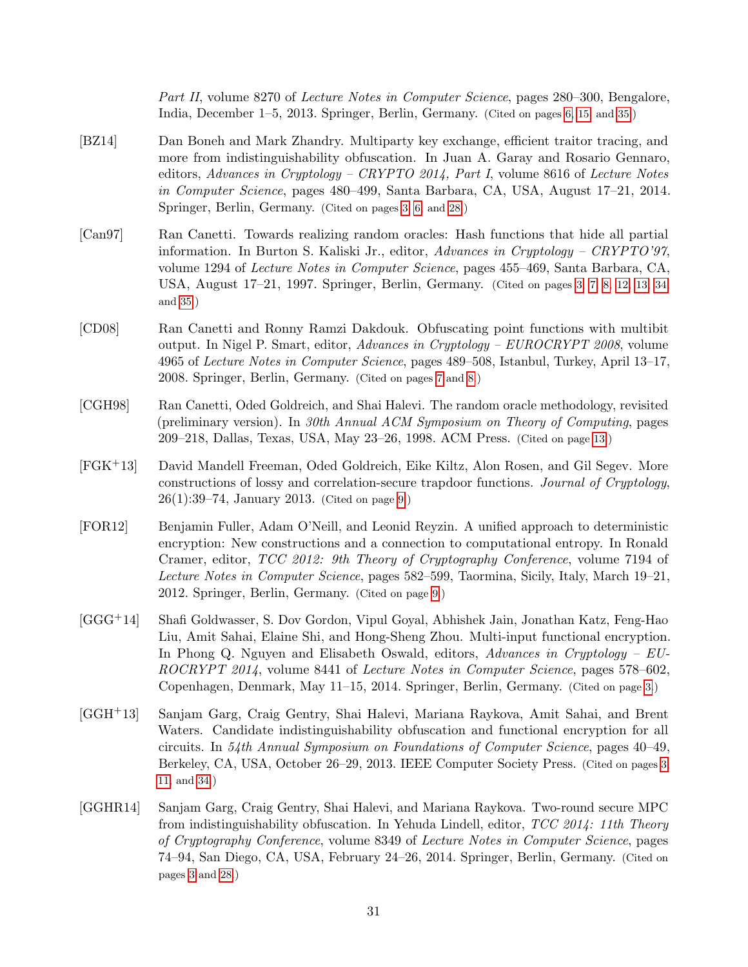Part II, volume 8270 of Lecture Notes in Computer Science, pages 280–300, Bengalore, India, December 1–5, 2013. Springer, Berlin, Germany. (Cited on pages [6,](#page-5-1) [15,](#page-14-3) and [35.](#page-34-3))

- <span id="page-30-3"></span>[BZ14] Dan Boneh and Mark Zhandry. Multiparty key exchange, efficient traitor tracing, and more from indistinguishability obfuscation. In Juan A. Garay and Rosario Gennaro, editors, Advances in Cryptology – CRYPTO 2014, Part I, volume 8616 of Lecture Notes in Computer Science, pages 480–499, Santa Barbara, CA, USA, August 17–21, 2014. Springer, Berlin, Germany. (Cited on pages [3,](#page-2-1) [6,](#page-5-1) and [28.](#page-27-1))
- <span id="page-30-0"></span>[Can97] Ran Canetti. Towards realizing random oracles: Hash functions that hide all partial information. In Burton S. Kaliski Jr., editor, Advances in Cryptology – CRYPTO'97, volume 1294 of Lecture Notes in Computer Science, pages 455–469, Santa Barbara, CA, USA, August 17–21, 1997. Springer, Berlin, Germany. (Cited on pages [3,](#page-2-1) [7,](#page-6-0) [8,](#page-7-0) [12,](#page-11-3) [13,](#page-12-1) [34,](#page-33-1) and [35.](#page-34-3))
- <span id="page-30-5"></span>[CD08] Ran Canetti and Ronny Ramzi Dakdouk. Obfuscating point functions with multibit output. In Nigel P. Smart, editor, Advances in Cryptology – EUROCRYPT 2008, volume 4965 of Lecture Notes in Computer Science, pages 489–508, Istanbul, Turkey, April 13–17, 2008. Springer, Berlin, Germany. (Cited on pages [7](#page-6-0) and [8.](#page-7-0))
- <span id="page-30-8"></span>[CGH98] Ran Canetti, Oded Goldreich, and Shai Halevi. The random oracle methodology, revisited (preliminary version). In 30th Annual ACM Symposium on Theory of Computing, pages 209–218, Dallas, Texas, USA, May 23–26, 1998. ACM Press. (Cited on page [13.](#page-12-1))
- <span id="page-30-6"></span>[FGK+13] David Mandell Freeman, Oded Goldreich, Eike Kiltz, Alon Rosen, and Gil Segev. More constructions of lossy and correlation-secure trapdoor functions. Journal of Cryptology, 26(1):39–74, January 2013. (Cited on page [9.](#page-8-2))
- <span id="page-30-7"></span>[FOR12] Benjamin Fuller, Adam O'Neill, and Leonid Reyzin. A unified approach to deterministic encryption: New constructions and a connection to computational entropy. In Ronald Cramer, editor, TCC 2012: 9th Theory of Cryptography Conference, volume 7194 of Lecture Notes in Computer Science, pages 582–599, Taormina, Sicily, Italy, March 19–21, 2012. Springer, Berlin, Germany. (Cited on page [9.](#page-8-2))
- <span id="page-30-4"></span>[GGG+14] Shafi Goldwasser, S. Dov Gordon, Vipul Goyal, Abhishek Jain, Jonathan Katz, Feng-Hao Liu, Amit Sahai, Elaine Shi, and Hong-Sheng Zhou. Multi-input functional encryption. In Phong Q. Nguyen and Elisabeth Oswald, editors, Advances in Cryptology –  $EU$ ROCRYPT 2014, volume 8441 of Lecture Notes in Computer Science, pages 578–602, Copenhagen, Denmark, May 11–15, 2014. Springer, Berlin, Germany. (Cited on page [3.](#page-2-1))
- <span id="page-30-1"></span>[GGH+13] Sanjam Garg, Craig Gentry, Shai Halevi, Mariana Raykova, Amit Sahai, and Brent Waters. Candidate indistinguishability obfuscation and functional encryption for all circuits. In 54th Annual Symposium on Foundations of Computer Science, pages 40–49, Berkeley, CA, USA, October 26–29, 2013. IEEE Computer Society Press. (Cited on pages [3,](#page-2-1) [11,](#page-10-0) and [34.](#page-33-1))
- <span id="page-30-2"></span>[GGHR14] Sanjam Garg, Craig Gentry, Shai Halevi, and Mariana Raykova. Two-round secure MPC from indistinguishability obfuscation. In Yehuda Lindell, editor, TCC 2014: 11th Theory of Cryptography Conference, volume 8349 of Lecture Notes in Computer Science, pages 74–94, San Diego, CA, USA, February 24–26, 2014. Springer, Berlin, Germany. (Cited on pages [3](#page-2-1) and [28.](#page-27-1))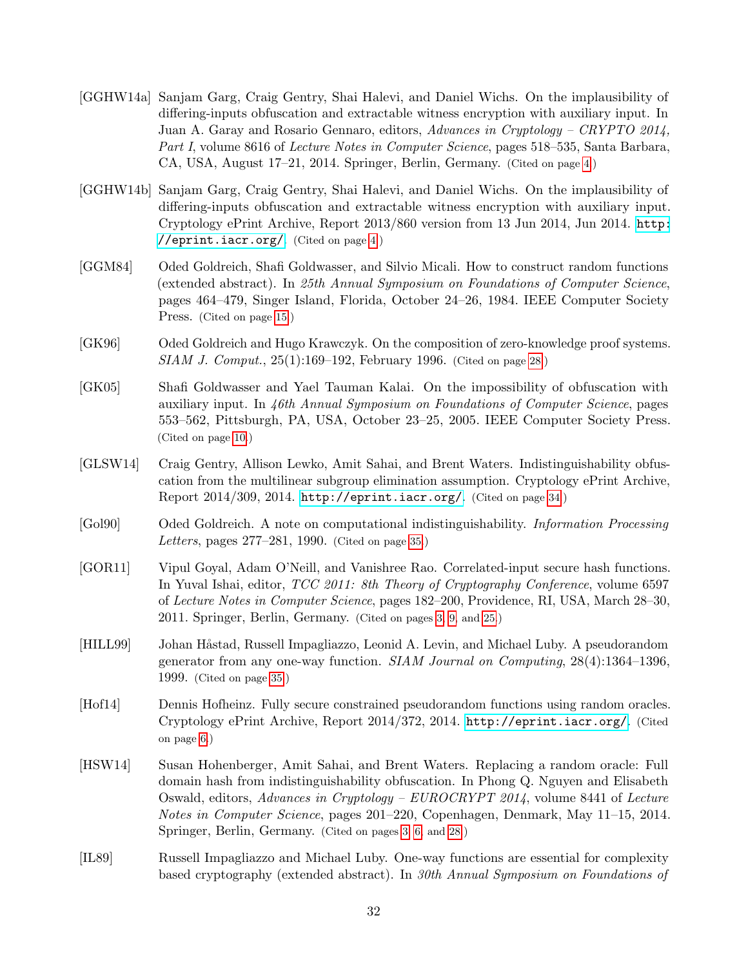- <span id="page-31-2"></span>[GGHW14a] Sanjam Garg, Craig Gentry, Shai Halevi, and Daniel Wichs. On the implausibility of differing-inputs obfuscation and extractable witness encryption with auxiliary input. In Juan A. Garay and Rosario Gennaro, editors, Advances in Cryptology – CRYPTO 2014, Part I, volume 8616 of Lecture Notes in Computer Science, pages 518–535, Santa Barbara, CA, USA, August 17–21, 2014. Springer, Berlin, Germany. (Cited on page [4.](#page-3-0))
- <span id="page-31-3"></span>[GGHW14b] Sanjam Garg, Craig Gentry, Shai Halevi, and Daniel Wichs. On the implausibility of differing-inputs obfuscation and extractable witness encryption with auxiliary input. Cryptology ePrint Archive, Report 2013/860 version from 13 Jun 2014, Jun 2014. [http:](http://eprint.iacr.org/) [//eprint.iacr.org/](http://eprint.iacr.org/). (Cited on page [4.](#page-3-0))
- <span id="page-31-6"></span>[GGM84] Oded Goldreich, Shafi Goldwasser, and Silvio Micali. How to construct random functions (extended abstract). In 25th Annual Symposium on Foundations of Computer Science, pages 464–479, Singer Island, Florida, October 24–26, 1984. IEEE Computer Society Press. (Cited on page [15.](#page-14-3))
- <span id="page-31-7"></span>[GK96] Oded Goldreich and Hugo Krawczyk. On the composition of zero-knowledge proof systems. SIAM J. Comput., 25(1):169–192, February 1996. (Cited on page [28.](#page-27-1))
- <span id="page-31-5"></span>[GK05] Shafi Goldwasser and Yael Tauman Kalai. On the impossibility of obfuscation with auxiliary input. In 46th Annual Symposium on Foundations of Computer Science, pages 553–562, Pittsburgh, PA, USA, October 23–25, 2005. IEEE Computer Society Press. (Cited on page [10.](#page-9-2))
- <span id="page-31-8"></span>[GLSW14] Craig Gentry, Allison Lewko, Amit Sahai, and Brent Waters. Indistinguishability obfuscation from the multilinear subgroup elimination assumption. Cryptology ePrint Archive, Report 2014/309, 2014. <http://eprint.iacr.org/>. (Cited on page [34.](#page-33-1))
- <span id="page-31-10"></span>[Gol90] Oded Goldreich. A note on computational indistinguishability. *Information Processing* Letters, pages 277–281, 1990. (Cited on page [35.](#page-34-3))
- <span id="page-31-0"></span>[GOR11] Vipul Goyal, Adam O'Neill, and Vanishree Rao. Correlated-input secure hash functions. In Yuval Ishai, editor, TCC 2011: 8th Theory of Cryptography Conference, volume 6597 of Lecture Notes in Computer Science, pages 182–200, Providence, RI, USA, March 28–30, 2011. Springer, Berlin, Germany. (Cited on pages [3,](#page-2-1) [9,](#page-8-2) and [25.](#page-24-4))
- <span id="page-31-9"></span>[HILL99] Johan Håstad, Russell Impagliazzo, Leonid A. Levin, and Michael Luby. A pseudorandom generator from any one-way function. *SIAM Journal on Computing*,  $28(4)$ :1364–1396, 1999. (Cited on page [35.](#page-34-3))
- <span id="page-31-4"></span>[Hof14] Dennis Hofheinz. Fully secure constrained pseudorandom functions using random oracles. Cryptology ePrint Archive, Report 2014/372, 2014. <http://eprint.iacr.org/>. (Cited on page [6.](#page-5-1))
- <span id="page-31-1"></span>[HSW14] Susan Hohenberger, Amit Sahai, and Brent Waters. Replacing a random oracle: Full domain hash from indistinguishability obfuscation. In Phong Q. Nguyen and Elisabeth Oswald, editors, Advances in Cryptology – EUROCRYPT 2014, volume 8441 of Lecture Notes in Computer Science, pages 201–220, Copenhagen, Denmark, May 11–15, 2014. Springer, Berlin, Germany. (Cited on pages [3,](#page-2-1) [6,](#page-5-1) and [28.](#page-27-1))
- <span id="page-31-11"></span>[IL89] Russell Impagliazzo and Michael Luby. One-way functions are essential for complexity based cryptography (extended abstract). In 30th Annual Symposium on Foundations of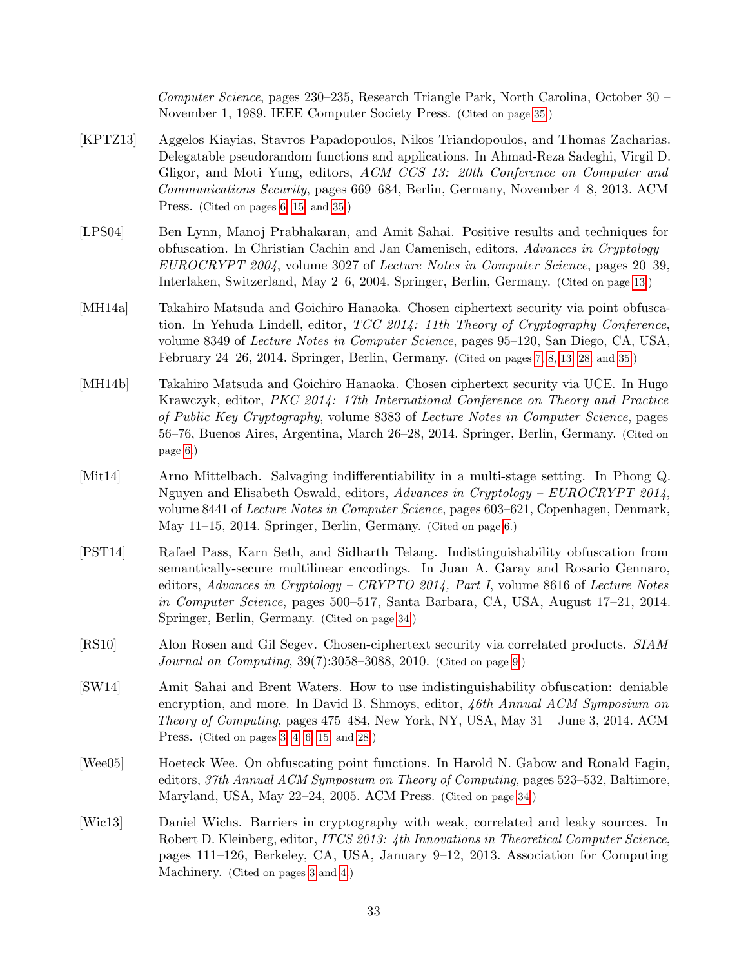Computer Science, pages 230–235, Research Triangle Park, North Carolina, October 30 – November 1, 1989. IEEE Computer Society Press. (Cited on page [35.](#page-34-3))

- <span id="page-32-4"></span>[KPTZ13] Aggelos Kiayias, Stavros Papadopoulos, Nikos Triandopoulos, and Thomas Zacharias. Delegatable pseudorandom functions and applications. In Ahmad-Reza Sadeghi, Virgil D. Gligor, and Moti Yung, editors, ACM CCS 13: 20th Conference on Computer and Communications Security, pages 669–684, Berlin, Germany, November 4–8, 2013. ACM Press. (Cited on pages [6,](#page-5-1) [15,](#page-14-3) and [35.](#page-34-3))
- <span id="page-32-7"></span>[LPS04] Ben Lynn, Manoj Prabhakaran, and Amit Sahai. Positive results and techniques for obfuscation. In Christian Cachin and Jan Camenisch, editors, Advances in Cryptology – EUROCRYPT 2004, volume 3027 of Lecture Notes in Computer Science, pages 20–39, Interlaken, Switzerland, May 2–6, 2004. Springer, Berlin, Germany. (Cited on page [13.](#page-12-1))
- <span id="page-32-5"></span>[MH14a] Takahiro Matsuda and Goichiro Hanaoka. Chosen ciphertext security via point obfuscation. In Yehuda Lindell, editor, TCC 2014: 11th Theory of Cryptography Conference, volume 8349 of Lecture Notes in Computer Science, pages 95–120, San Diego, CA, USA, February 24–26, 2014. Springer, Berlin, Germany. (Cited on pages [7,](#page-6-0) [8,](#page-7-0) [13,](#page-12-1) [28,](#page-27-1) and [35.](#page-34-3))
- <span id="page-32-2"></span>[MH14b] Takahiro Matsuda and Goichiro Hanaoka. Chosen ciphertext security via UCE. In Hugo Krawczyk, editor, PKC 2014: 17th International Conference on Theory and Practice of Public Key Cryptography, volume 8383 of Lecture Notes in Computer Science, pages 56–76, Buenos Aires, Argentina, March 26–28, 2014. Springer, Berlin, Germany. (Cited on page [6.](#page-5-1))
- <span id="page-32-3"></span>[Mit14] Arno Mittelbach. Salvaging indifferentiability in a multi-stage setting. In Phong Q. Nguyen and Elisabeth Oswald, editors, Advances in Cryptology –  $EUROCRYPT 2014$ , volume 8441 of Lecture Notes in Computer Science, pages 603–621, Copenhagen, Denmark, May 11–15, 2014. Springer, Berlin, Germany. (Cited on page [6.](#page-5-1))
- <span id="page-32-8"></span>[PST14] Rafael Pass, Karn Seth, and Sidharth Telang. Indistinguishability obfuscation from semantically-secure multilinear encodings. In Juan A. Garay and Rosario Gennaro, editors, Advances in Cryptology – CRYPTO 2014, Part I, volume 8616 of Lecture Notes in Computer Science, pages 500–517, Santa Barbara, CA, USA, August 17–21, 2014. Springer, Berlin, Germany. (Cited on page [34.](#page-33-1))
- <span id="page-32-6"></span>[RS10] Alon Rosen and Gil Segev. Chosen-ciphertext security via correlated products. SIAM Journal on Computing, 39(7):3058–3088, 2010. (Cited on page [9.](#page-8-2))
- <span id="page-32-1"></span>[SW14] Amit Sahai and Brent Waters. How to use indistinguishability obfuscation: deniable encryption, and more. In David B. Shmoys, editor, 46th Annual ACM Symposium on Theory of Computing, pages 475–484, New York, NY, USA, May 31 – June 3, 2014. ACM Press. (Cited on pages [3,](#page-2-1) [4,](#page-3-0) [6,](#page-5-1) [15,](#page-14-3) and [28.](#page-27-1))
- <span id="page-32-9"></span>[Wee05] Hoeteck Wee. On obfuscating point functions. In Harold N. Gabow and Ronald Fagin, editors, 37th Annual ACM Symposium on Theory of Computing, pages 523–532, Baltimore, Maryland, USA, May 22–24, 2005. ACM Press. (Cited on page [34.](#page-33-1))
- <span id="page-32-0"></span>[Wic13] Daniel Wichs. Barriers in cryptography with weak, correlated and leaky sources. In Robert D. Kleinberg, editor, ITCS 2013: 4th Innovations in Theoretical Computer Science, pages 111–126, Berkeley, CA, USA, January 9–12, 2013. Association for Computing Machinery. (Cited on pages [3](#page-2-1) and [4.](#page-3-0))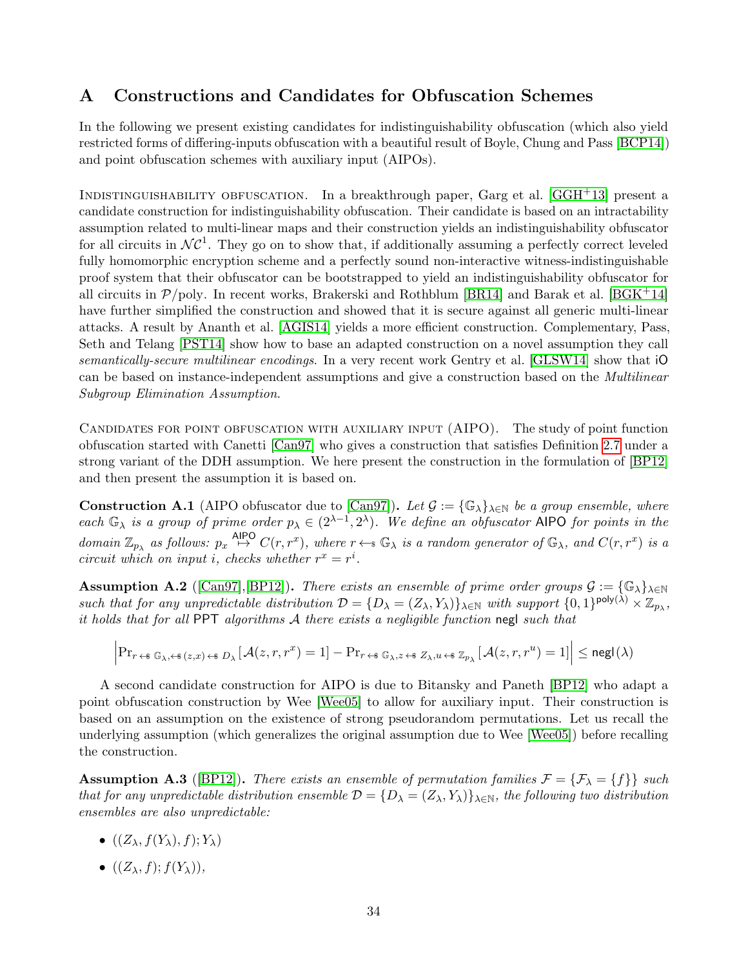## <span id="page-33-1"></span><span id="page-33-0"></span>A Constructions and Candidates for Obfuscation Schemes

In the following we present existing candidates for indistinguishability obfuscation (which also yield restricted forms of differing-inputs obfuscation with a beautiful result of Boyle, Chung and Pass [\[BCP14\]](#page-28-2)) and point obfuscation schemes with auxiliary input (AIPOs).

Indistinguishability obfuscation. In a breakthrough paper, Garg et al. [\[GGH](#page-30-1)+13] present a candidate construction for indistinguishability obfuscation. Their candidate is based on an intractability assumption related to multi-linear maps and their construction yields an indistinguishability obfuscator for all circuits in  $\mathcal{NC}^1$ . They go on to show that, if additionally assuming a perfectly correct leveled fully homomorphic encryption scheme and a perfectly sound non-interactive witness-indistinguishable proof system that their obfuscator can be bootstrapped to yield an indistinguishability obfuscator for all circuits in  $P/\text{poly}$ . In recent works, Brakerski and Rothblum [\[BR14\]](#page-29-9) and Barak et al. [\[BGK](#page-29-10)+14] have further simplified the construction and showed that it is secure against all generic multi-linear attacks. A result by Ananth et al. [\[AGIS14\]](#page-27-2) yields a more efficient construction. Complementary, Pass, Seth and Telang [\[PST14\]](#page-32-8) show how to base an adapted construction on a novel assumption they call semantically-secure multilinear encodings. In a very recent work Gentry et al. [\[GLSW14\]](#page-31-8) show that iO can be based on instance-independent assumptions and give a construction based on the Multilinear Subgroup Elimination Assumption.

Candidates for point obfuscation with auxiliary input (AIPO). The study of point function obfuscation started with Canetti [\[Can97\]](#page-30-0) who gives a construction that satisfies Definition [2.7](#page-11-2) under a strong variant of the DDH assumption. We here present the construction in the formulation of [\[BP12\]](#page-29-0) and then present the assumption it is based on.

**Construction A.1** (AIPO obfuscator due to [\[Can97\]](#page-30-0)). Let  $\mathcal{G} := {\mathbb{G}}_{\lambda}$ <sub> $\lambda \in \mathbb{N}$ </sub> be a group ensemble, where each  $\mathbb{G}_{\lambda}$  is a group of prime order  $p_{\lambda} \in (2^{\lambda-1}, 2^{\lambda})$ . We define an obfuscator AIPO for points in the domain  $\mathbb{Z}_{p_{\lambda}}$  as follows:  $p_x \stackrel{\text{AIPO}}{\mapsto} C(r, r^x)$ , where  $r \leftarrow s \mathbb{G}_{\lambda}$  is a random generator of  $\mathbb{G}_{\lambda}$ , and  $C(r, r^x)$  is a circuit which on input i, checks whether  $r^x = r^i$ .

**Assumption A.2** ([\[Can97\]](#page-30-0),[\[BP12\]](#page-29-0)). There exists an ensemble of prime order groups  $\mathcal{G} := {\mathbb{G}}_{\lambda}$ } $_{\lambda \in \mathbb{N}}$ such that for any unpredictable distribution  $\mathcal{D} = \{D_\lambda = (Z_\lambda, Y_\lambda)\}_{\lambda \in \mathbb{N}}$  with support  $\{0, 1\}^{\text{poly}(\lambda)} \times \mathbb{Z}_{p_\lambda}$ , it holds that for all PPT algorithms A there exists a negligible function negl such that

$$
\left|\Pr_{r\text{ is }\mathbb{G}_{\lambda},\text{ is }(z,x)\text{ is }D_{\lambda}}\left[\mathcal{A}(z,r,r^x)=1\right]-\Pr_{r\text{ is }\mathbb{G}_{\lambda},z\text{ is }Z_{\lambda},u\text{ is }\mathbb{Z}_{p_{\lambda}}}\left[\mathcal{A}(z,r,r^u)=1\right]\right|\leq \text{negl}(\lambda)
$$

A second candidate construction for AIPO is due to Bitansky and Paneth [\[BP12\]](#page-29-0) who adapt a point obfuscation construction by Wee [\[Wee05\]](#page-32-9) to allow for auxiliary input. Their construction is based on an assumption on the existence of strong pseudorandom permutations. Let us recall the underlying assumption (which generalizes the original assumption due to Wee [\[Wee05\]](#page-32-9)) before recalling the construction.

<span id="page-33-2"></span>**Assumption A.3** ([\[BP12\]](#page-29-0)). There exists an ensemble of permutation families  $\mathcal{F} = {\mathcal{F}_{\lambda} = {f}}$  such that for any unpredictable distribution ensemble  $\mathcal{D} = \{D_\lambda = (Z_\lambda, Y_\lambda)\}_{\lambda \in \mathbb{N}}$ , the following two distribution ensembles are also unpredictable:

- $\bullet$   $((Z_{\lambda}, f(Y_{\lambda}), f); Y_{\lambda})$
- $((Z_{\lambda}, f); f(Y_{\lambda})),$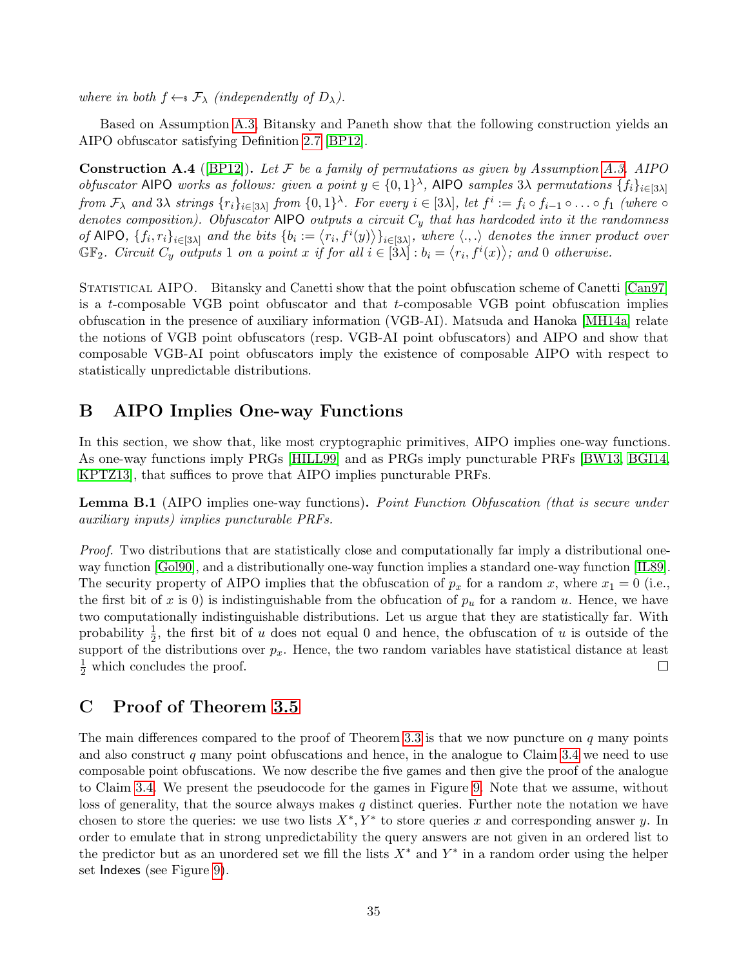<span id="page-34-3"></span>where in both  $f \leftarrow s \mathcal{F}_{\lambda}$  (independently of  $D_{\lambda}$ ).

Based on Assumption [A.3,](#page-33-2) Bitansky and Paneth show that the following construction yields an AIPO obfuscator satisfying Definition [2.7](#page-11-2) [\[BP12\]](#page-29-0).

**Construction A.4** ([\[BP12\]](#page-29-0)). Let  $\mathcal F$  be a family of permutations as given by Assumption [A.3.](#page-33-2) AIPO obfuscator AIPO works as follows: given a point  $y \in \{0,1\}^{\lambda}$ , AIPO samples  $3\lambda$  permutations  $\{f_i\}_{i\in [3\lambda]}$ from  $\mathcal{F}_{\lambda}$  and  $3\lambda$  strings  $\{r_i\}_{i\in [3\lambda]}$  from  $\{0,1\}^{\lambda}$ . For every  $i\in [3\lambda]$ , let  $f^i:=f_i\circ f_{i-1}\circ \ldots \circ f_1$  (where  $\circ$ denotes composition). Obfuscator AIPO outputs a circuit  $C_y$  that has hardcoded into it the randomness of AIPO,  $\{f_i, r_i\}_{i\in[3\lambda]}$  and the bits  $\{b_i := \langle r_i, f^i(y)\rangle\}_{i\in[3\lambda]}$ , where  $\langle.,.\rangle$  denotes the inner product over  $\mathbb{GF}_2$ . Circuit  $C_y$  outputs 1 on a point x if for all  $i \in [\dot{3}\lambda]: b_i = \langle r_i, f^i(x) \rangle$ ; and 0 otherwise.

STATISTICAL AIPO. Bitansky and Canetti show that the point obfuscation scheme of Canetti [\[Can97\]](#page-30-0) is a t-composable VGB point obfuscator and that t-composable VGB point obfuscation implies obfuscation in the presence of auxiliary information (VGB-AI). Matsuda and Hanoka [\[MH14a\]](#page-32-5) relate the notions of VGB point obfuscators (resp. VGB-AI point obfuscators) and AIPO and show that composable VGB-AI point obfuscators imply the existence of composable AIPO with respect to statistically unpredictable distributions.

## <span id="page-34-0"></span>B AIPO Implies One-way Functions

In this section, we show that, like most cryptographic primitives, AIPO implies one-way functions. As one-way functions imply PRGs [\[HILL99\]](#page-31-9) and as PRGs imply puncturable PRFs [\[BW13,](#page-29-4) [BGI14,](#page-28-4) [KPTZ13\]](#page-32-4), that suffices to prove that AIPO implies puncturable PRFs.

<span id="page-34-2"></span>Lemma B.1 (AIPO implies one-way functions). Point Function Obfuscation (that is secure under auxiliary inputs) implies puncturable PRFs.

Proof. Two distributions that are statistically close and computationally far imply a distributional oneway function [\[Gol90\]](#page-31-10), and a distributionally one-way function implies a standard one-way function [\[IL89\]](#page-31-11). The security property of AIPO implies that the obfuscation of  $p_x$  for a random x, where  $x_1 = 0$  (i.e., the first bit of x is 0) is indistinguishable from the obfucation of  $p_u$  for a random u. Hence, we have two computationally indistinguishable distributions. Let us argue that they are statistically far. With probability  $\frac{1}{2}$ , the first bit of u does not equal 0 and hence, the obfuscation of u is outside of the support of the distributions over  $p_x$ . Hence, the two random variables have statistical distance at least  $\frac{1}{2}$  which concludes the proof.  $\Box$ 

## <span id="page-34-1"></span>C Proof of Theorem [3.5](#page-23-1)

The main differences compared to the proof of Theorem [3.3](#page-17-1) is that we now puncture on  $q$  many points and also construct  $q$  many point obfuscations and hence, in the analogue to Claim [3.4](#page-21-1) we need to use composable point obfuscations. We now describe the five games and then give the proof of the analogue to Claim [3.4.](#page-21-1) We present the pseudocode for the games in Figure [9.](#page-36-0) Note that we assume, without loss of generality, that the source always makes  $q$  distinct queries. Further note the notation we have chosen to store the queries: we use two lists  $X^*, Y^*$  to store queries x and corresponding answer y. In order to emulate that in strong unpredictability the query answers are not given in an ordered list to the predictor but as an unordered set we fill the lists  $X^*$  and  $Y^*$  in a random order using the helper set Indexes (see Figure [9\)](#page-36-0).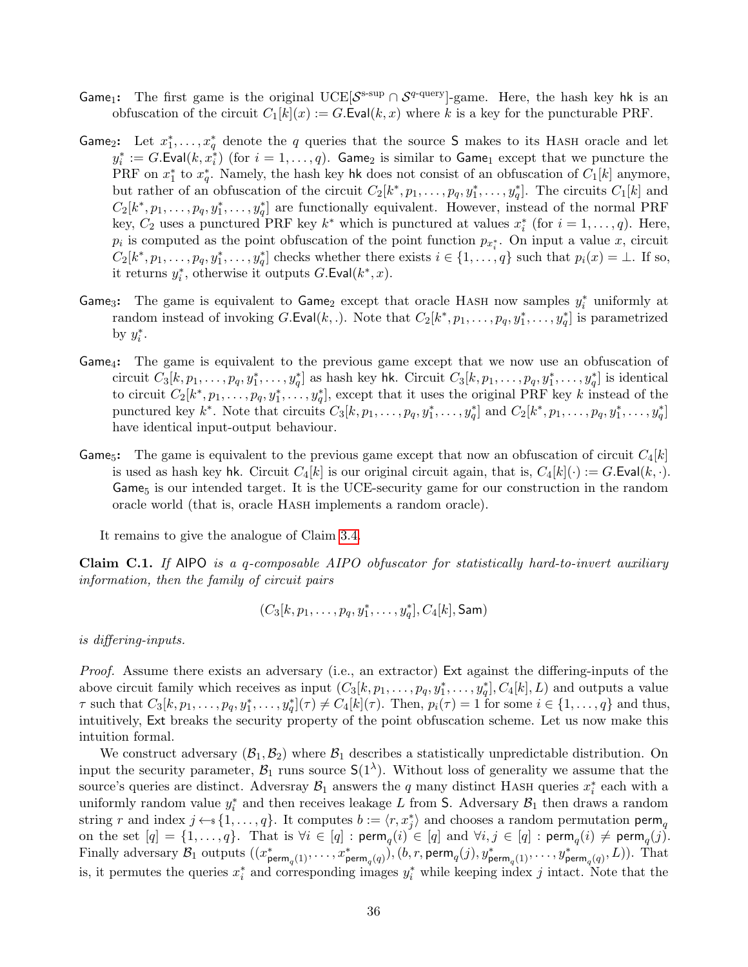- Game<sub>1</sub>: The first game is the original UCE[ $S^{s-sup} \cap S^{q-query}$ ]-game. Here, the hash key hk is an obfuscation of the circuit  $C_1[k](x) := G$ . Eval $(k, x)$  where k is a key for the puncturable PRF.
- Game<sub>2</sub>: Let  $x_1^*, \ldots, x_q^*$  denote the q queries that the source S makes to its HASH oracle and let  $y_i^*:=G.$  Eval $(k,x_i^*)$  (for  $i=1,\ldots,q).$  Game $_2$  is similar to Game $_1$  except that we puncture the PRF on  $x_1^*$  to  $x_q^*$ . Namely, the hash key hk does not consist of an obfuscation of  $C_1[k]$  anymore, but rather of an obfuscation of the circuit  $C_2[k^*, p_1, \ldots, p_q, y_1^*, \ldots, y_q^*]$ . The circuits  $C_1[k]$  and  $C_2[k^*, p_1, \ldots, p_q, y_1^*, \ldots, y_q^*]$  are functionally equivalent. However, instead of the normal PRF key,  $C_2$  uses a punctured PRF key  $k^*$  which is punctured at values  $x_i^*$  (for  $i = 1, \ldots, q$ ). Here,  $p_i$  is computed as the point obfuscation of the point function  $p_{x_i^*}$ . On input a value x, circuit  $C_2[k^*, p_1, \ldots, p_q, y_1^*, \ldots, y_q^*]$  checks whether there exists  $i \in \{1, \ldots, q\}$  such that  $p_i(x) = \perp$ . If so, it returns  $y_i^*$ , otherwise it outputs  $G$ .Eval $(k^*, x)$ .
- Game<sub>3</sub>: The game is equivalent to Game<sub>2</sub> except that oracle HASH now samples  $y_i^*$  uniformly at random instead of invoking G.Eval $(k,.)$ . Note that  $C_2[k^*, p_1, \ldots, p_q, y_1^*, \ldots, y_q^*]$  is parametrized by  $y_i^*$ .
- Game<sub>4</sub>: The game is equivalent to the previous game except that we now use an obfuscation of circuit  $C_3[k, p_1, \ldots, p_q, y_1^*, \ldots, y_q^*]$  as hash key hk. Circuit  $C_3[k, p_1, \ldots, p_q, y_1^*, \ldots, y_q^*]$  is identical to circuit  $C_2[k^*, p_1, \ldots, p_q, y_1^*, \ldots, y_q^*]$ , except that it uses the original PRF key k instead of the punctured key k<sup>\*</sup>. Note that circuits  $C_3[k, p_1, \ldots, p_q, y_1^*, \ldots, y_q^*]$  and  $C_2[k^*, p_1, \ldots, p_q, y_1^*, \ldots, y_q^*]$ have identical input-output behaviour.
- Game<sub>5</sub>: The game is equivalent to the previous game except that now an obfuscation of circuit  $C_4[k]$ is used as hash key hk. Circuit  $C_4[k]$  is our original circuit again, that is,  $C_4[k](\cdot) := G.Eval(k, \cdot)$ . Game<sub>5</sub> is our intended target. It is the UCE-security game for our construction in the random oracle world (that is, oracle Hash implements a random oracle).

It remains to give the analogue of Claim [3.4.](#page-21-1)

<span id="page-35-0"></span>**Claim C.1.** If AIPO is a q-composable AIPO obfuscator for statistically hard-to-invert auxiliary information, then the family of circuit pairs

$$
(C_3[k,p_1,\ldots,p_q,y_1^*,\ldots,y_q^*],C_4[k],\mathsf{Sam})
$$

is differing-inputs.

Proof. Assume there exists an adversary (i.e., an extractor) Ext against the differing-inputs of the above circuit family which receives as input  $(C_3[k, p_1, \ldots, p_q, y_1^*, \ldots, y_q^*], C_4[k], L)$  and outputs a value  $\tau$  such that  $C_3[k, p_1, \ldots, p_q, y_1^*, \ldots, y_q^*](\tau) \neq C_4[k](\tau)$ . Then,  $p_i(\tau) = 1$  for some  $i \in \{1, \ldots, q\}$  and thus, intuitively, Ext breaks the security property of the point obfuscation scheme. Let us now make this intuition formal.

We construct adversary  $(\mathcal{B}_1, \mathcal{B}_2)$  where  $\mathcal{B}_1$  describes a statistically unpredictable distribution. On input the security parameter,  $\mathcal{B}_1$  runs source  $S(1^{\lambda})$ . Without loss of generality we assume that the source's queries are distinct. Adversray  $\mathcal{B}_1$  answers the q many distinct HASH queries  $x_i^*$  each with a uniformly random value  $y_i^*$  and then receives leakage L from S. Adversary  $\mathcal{B}_1$  then draws a random string r and index  $j \leftarrow s \{1, \ldots, q\}$ . It computes  $b := \langle r, x_j^* \rangle$  and chooses a random permutation perm<sub>q</sub> on the set  $[q] = \{1, \ldots, q\}$ . That is  $\forall i \in [q] : \mathsf{perm}_q(i) \in [q]$  and  $\forall i, j \in [q] : \mathsf{perm}_q(i) \neq \mathsf{perm}_q(j)$ . Finally adversary  $\mathcal{B}_1$  outputs  $((x^*_{\text{perm}_q(1)},\ldots,x^*_{\text{perm}_q(q)}), (b,r,\text{perm}_q(j),y^*_{\text{perm}_q(1)},\ldots,y^*_{\text{perm}_q(q)},L)).$  That is, it permutes the queries  $x_i^*$  and corresponding images  $y_i^*$  while keeping index j intact. Note that the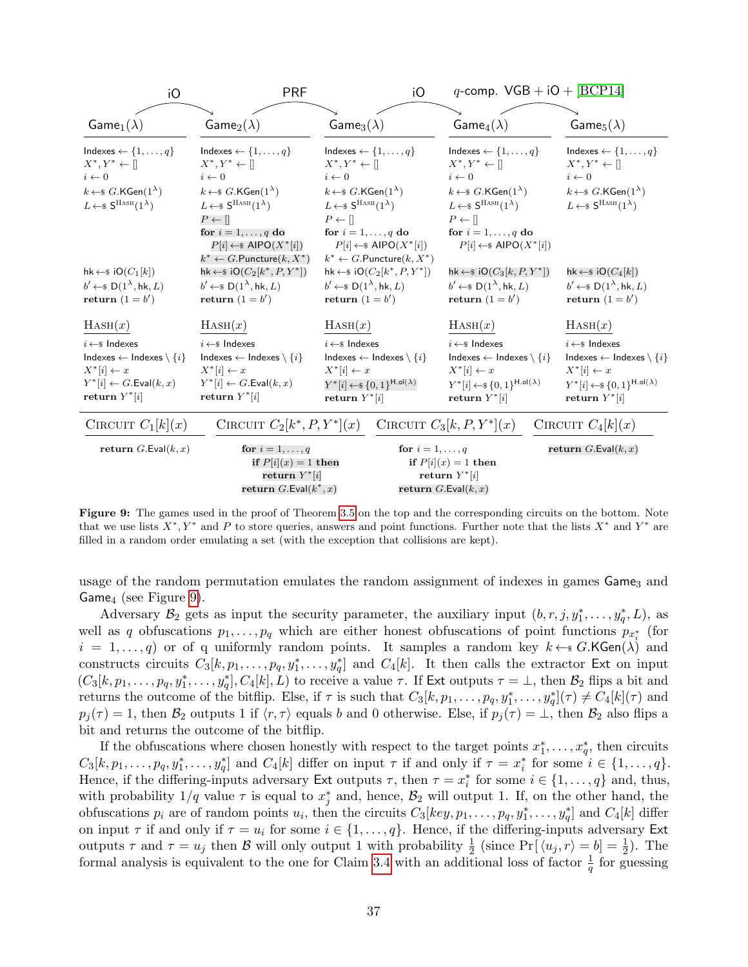<span id="page-36-1"></span><span id="page-36-0"></span>

| iO                                                                                                                                                              | <b>PRF</b>                                                                                                                                                                                                              | iO                                                                                                                                                                                                                      | q-comp. $VGB + iO + [BCP14]$                                                                                                                                                            |                                                                                                                                                                              |
|-----------------------------------------------------------------------------------------------------------------------------------------------------------------|-------------------------------------------------------------------------------------------------------------------------------------------------------------------------------------------------------------------------|-------------------------------------------------------------------------------------------------------------------------------------------------------------------------------------------------------------------------|-----------------------------------------------------------------------------------------------------------------------------------------------------------------------------------------|------------------------------------------------------------------------------------------------------------------------------------------------------------------------------|
| $\mathsf{Game}_1(\lambda)$                                                                                                                                      | Game <sub>2</sub> ( $\lambda$ )                                                                                                                                                                                         | Game <sub>3</sub> $(\lambda)$                                                                                                                                                                                           | Game $_4(\lambda)$                                                                                                                                                                      | Game <sub>5</sub> $(\lambda)$                                                                                                                                                |
| Indexes $\leftarrow \{1, \ldots, q\}$<br>$X^*, Y^* \leftarrow \lbrack\! \rbrack$<br>$i \leftarrow 0$                                                            | Indexes $\leftarrow \{1,\ldots,q\}$<br>$X^*, Y^* \leftarrow []$<br>$i \leftarrow 0$                                                                                                                                     | Indexes $\leftarrow \{1, \ldots, q\}$<br>$X^*, Y^* \leftarrow \Box$<br>$i \leftarrow 0$                                                                                                                                 | Indexes $\leftarrow \{1, \ldots, q\}$<br>$X^*, Y^* \leftarrow \Box$<br>$i \leftarrow 0$                                                                                                 | Indexes $\leftarrow \{1,\ldots,q\}$<br>$X^*, Y^* \leftarrow []$<br>$i \leftarrow 0$                                                                                          |
| $k \leftarrow$ G.KGen $(1^{\lambda})$<br>$L \leftarrow$ \$ $S^{HASH}(1^{\lambda})$                                                                              | $k \leftarrow$ G.KGen $(1^{\lambda})$<br>$L \leftarrow$ \$ $S^{HASH}(1^{\lambda})$<br>$P \leftarrow \Box$<br>for $i = 1, \ldots, q$ do<br>$P[i] \leftarrow \$ AIFO(X^*[i])$<br>$k^* \leftarrow G$ . Puncture $(k, X^*)$ | $k \leftarrow$ G.KGen $(1^{\lambda})$<br>$L \leftarrow$ \$ $S^{HASH}(1^{\lambda})$<br>$P \leftarrow \Box$<br>for $i = 1, \ldots, q$ do<br>$P[i] \leftarrow \$ AIFO(X^*[i])$<br>$k^* \leftarrow G$ . Puncture $(k, X^*)$ | $k \leftarrow$ G.KGen $(1^{\lambda})$<br>$L \leftarrow$ \$ $S^{HASH}(1^{\lambda})$<br>$P \leftarrow \parallel$<br>for $i = 1, \ldots, q$ do<br>$P[i] \leftarrow \$ AIPO(X^*[i])$        | $k \leftarrow$ G.KGen $(1^{\lambda})$<br>$L \leftarrow$ \$ $S^{HASH}(1^{\lambda})$                                                                                           |
| hk $\leftarrow$ s iO $(C_1[k])$<br>$b' \leftarrow \$ D(1^{\lambda}, \text{hk}, L)$<br>return $(1=b')$                                                           | hk $\leftarrow$ \$ iO $(C_2[k^*, P, Y^*])$<br>$b' \leftarrow \$ \mathsf{D}(1^{\lambda}, \mathsf{hk}, L)$<br>return $(1=b')$                                                                                             | hk $\leftarrow$ s iO $(C_2[k^*, P, Y^*])$<br>$b' \leftarrow \$ D(1^{\lambda}, \text{hk}, L)$<br>return $(1=b')$                                                                                                         | hk $\leftarrow$ s iO $(C_3[k, P, Y^*])$<br>$b' \leftarrow \$ D(1^{\lambda}, \text{hk}, L)$<br>return $(1=b')$                                                                           | hk $\leftarrow$ s iO $(C_4[k])$<br>$b' \leftarrow \$ D(1^{\lambda}, \text{hk}, L)$<br>return $(1=b')$                                                                        |
| HASH(x)                                                                                                                                                         | HASH(x)                                                                                                                                                                                                                 | HASH(x)                                                                                                                                                                                                                 | HASH(x)                                                                                                                                                                                 | HASH(x)                                                                                                                                                                      |
| $i \leftarrow s$ Indexes<br>Indexes $\leftarrow$ Indexes $\setminus \{i\}$<br>$X^*[i] \leftarrow x$<br>$Y^*[i] \leftarrow G$ . Eval $(k, x)$<br>return $Y^*[i]$ | $i \leftarrow s$ Indexes<br>Indexes $\leftarrow$ Indexes $\setminus \{i\}$<br>$X^*[i] \leftarrow x$<br>$Y^*[i] \leftarrow G$ . Eval $(k, x)$<br>return $Y^*[i]$                                                         | $i \leftarrow s$ Indexes<br>Indexes $\leftarrow$ Indexes $\setminus \{i\}$<br>$X^*[i] \leftarrow x$<br>$Y^*[\mathit{i}] \leftarrow \S \{0,1\}^{\mathsf{H}.\mathsf{ol}(\lambda)}$<br>return $Y^*[i]$                     | $i \leftarrow s$ Indexes<br>Indexes $\leftarrow$ Indexes $\setminus \{i\}$<br>$X^*[i] \leftarrow x$<br>$Y^*[i] \leftarrow \{0,1\}^{\mathsf{H}.\mathsf{ol}(\lambda)}$<br>return $Y^*[i]$ | $i \leftarrow s$ Indexes<br>Indexes $\leftarrow$ Indexes $\setminus \{i\}$<br>$X^*[i] \leftarrow x$<br>$Y^*[i] \leftarrow \{0,1\}^{\text{H.ol}(\lambda)}$<br>return $Y^*[i]$ |
| CIRCUIT $C_1[k](x)$                                                                                                                                             | CIRCUIT $C_2[k^*, P, Y^*](x)$                                                                                                                                                                                           |                                                                                                                                                                                                                         | CIRCUIT $C_3[k, P, Y^*](x)$                                                                                                                                                             | CIRCUIT $C_4[k](x)$                                                                                                                                                          |
| return $G$ . Eval $(k, x)$                                                                                                                                      | for $i=1,\ldots,q$<br>if $P[i](x) = 1$ then<br>return $Y^*[i]$<br>return G.Eval $(k^*, x)$                                                                                                                              | for $i=1,\ldots,q$                                                                                                                                                                                                      | if $P[i](x) = 1$ then<br>return $Y^*[i]$<br>return $G$ . Eval $(k, x)$                                                                                                                  | return G.Eval $(k, x)$                                                                                                                                                       |

Figure 9: The games used in the proof of Theorem [3.5](#page-23-1) on the top and the corresponding circuits on the bottom. Note that we use lists  $X^*, Y^*$  and P to store queries, answers and point functions. Further note that the lists  $X^*$  and  $Y^*$  are filled in a random order emulating a set (with the exception that collisions are kept).

usage of the random permutation emulates the random assignment of indexes in games Game<sub>3</sub> and  $Game_4$  (see Figure [9\)](#page-36-0).

Adversary  $\mathcal{B}_2$  gets as input the security parameter, the auxiliary input  $(b, r, j, y_1^*, \ldots, y_q^*, L)$ , as well as q obfuscations  $p_1, \ldots, p_q$  which are either honest obfuscations of point functions  $p_{x_i^*}$  (for  $i = 1, \ldots, q$  or of q uniformly random points. It samples a random key  $k \leftarrow s G.KGen(\lambda)$  and constructs circuits  $C_3[k, p_1, \ldots, p_q, y_1^*, \ldots, y_q^*]$  and  $C_4[k]$ . It then calls the extractor Ext on input  $(C_3[k, p_1, \ldots, p_q, y_1^*, \ldots, y_q^*], C_4[k], L)$  to receive a value  $\tau$ . If Ext outputs  $\tau = \bot$ , then  $\mathcal{B}_2$  flips a bit and returns the outcome of the bitflip. Else, if  $\tau$  is such that  $C_3[k, p_1, \ldots, p_q, y_1^*, \ldots, y_q^*](\tau) \neq C_4[k](\tau)$  and  $p_j(\tau) = 1$ , then  $\mathcal{B}_2$  outputs 1 if  $\langle r, \tau \rangle$  equals b and 0 otherwise. Else, if  $p_j(\tau) = \bot$ , then  $\mathcal{B}_2$  also flips a bit and returns the outcome of the bitflip.

If the obfuscations where chosen honestly with respect to the target points  $x_1^*, \ldots, x_q^*$ , then circuits  $C_3[k, p_1, \ldots, p_q, y_1^*, \ldots, y_q^*]$  and  $C_4[k]$  differ on input  $\tau$  if and only if  $\tau = x_i^*$  for some  $i \in \{1, \ldots, q\}$ . Hence, if the differing-inputs adversary Ext outputs  $\tau$ , then  $\tau = x_i^*$  for some  $i \in \{1, ..., q\}$  and, thus, with probability  $1/q$  value  $\tau$  is equal to  $x_j^*$  and, hence,  $\mathcal{B}_2$  will output 1. If, on the other hand, the obfuscations  $p_i$  are of random points  $u_i$ , then the circuits  $C_3[key, p_1, \ldots, p_q, y_1^*, \ldots, y_q^*]$  and  $C_4[k]$  differ on input  $\tau$  if and only if  $\tau = u_i$  for some  $i \in \{1, \ldots, q\}$ . Hence, if the differing-inputs adversary Ext outputs  $\tau$  and  $\tau = u_j$  then  $\mathcal B$  will only output 1 with probability  $\frac{1}{2}$  (since Pr[ $\langle u_j, r \rangle = b$ ] =  $\frac{1}{2}$  $\frac{1}{2}$ ). The formal analysis is equivalent to the one for Claim [3.4](#page-21-1) with an additional loss of factor  $\frac{1}{q}$  for guessing